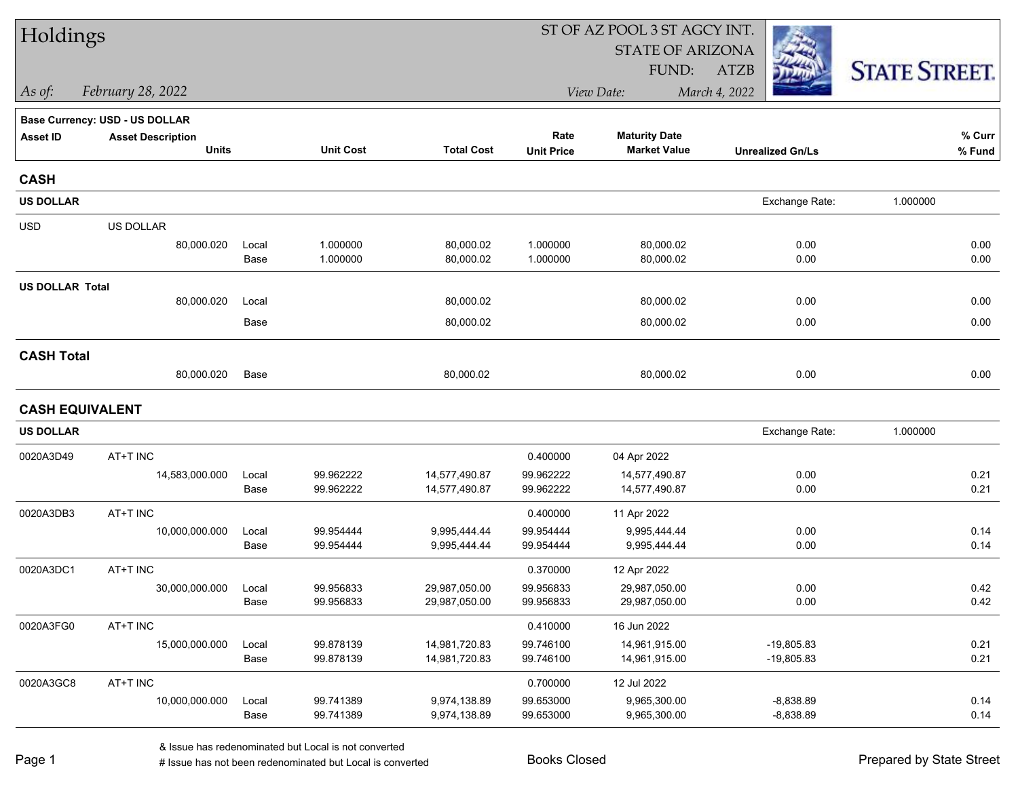| Holdings               |                                |               |                        |                                |                        | ST OF AZ POOL 3 ST AGCY INT. |                            |                      |
|------------------------|--------------------------------|---------------|------------------------|--------------------------------|------------------------|------------------------------|----------------------------|----------------------|
|                        |                                |               |                        |                                |                        | <b>STATE OF ARIZONA</b>      |                            |                      |
|                        |                                |               |                        |                                |                        | FUND:                        | <b>ATZB</b>                | <b>STATE STREET.</b> |
| As of:                 | February 28, 2022              |               |                        |                                |                        | View Date:                   | March 4, 2022              |                      |
|                        | Base Currency: USD - US DOLLAR |               |                        |                                |                        |                              |                            |                      |
| <b>Asset ID</b>        | <b>Asset Description</b>       |               |                        |                                | Rate                   | <b>Maturity Date</b>         |                            | % Curr               |
|                        | <b>Units</b>                   |               | <b>Unit Cost</b>       | <b>Total Cost</b>              | <b>Unit Price</b>      | <b>Market Value</b>          | <b>Unrealized Gn/Ls</b>    | % Fund               |
| <b>CASH</b>            |                                |               |                        |                                |                        |                              |                            |                      |
| <b>US DOLLAR</b>       |                                |               |                        |                                |                        |                              | Exchange Rate:             | 1.000000             |
| <b>USD</b>             | US DOLLAR                      |               |                        |                                |                        |                              |                            |                      |
|                        | 80,000.020                     | Local         | 1.000000               | 80,000.02                      | 1.000000               | 80,000.02                    | 0.00                       | 0.00                 |
|                        |                                | Base          | 1.000000               | 80,000.02                      | 1.000000               | 80,000.02                    | 0.00                       | 0.00                 |
| <b>US DOLLAR Total</b> |                                |               |                        |                                |                        |                              |                            |                      |
|                        | 80,000.020                     | Local         |                        | 80,000.02                      |                        | 80,000.02                    | 0.00                       | 0.00                 |
|                        |                                | Base          |                        | 80,000.02                      |                        | 80,000.02                    | 0.00                       | 0.00                 |
| <b>CASH Total</b>      |                                |               |                        |                                |                        |                              |                            |                      |
|                        | 80,000.020                     | Base          |                        | 80,000.02                      |                        | 80,000.02                    | 0.00                       | 0.00                 |
| <b>CASH EQUIVALENT</b> |                                |               |                        |                                |                        |                              |                            |                      |
| <b>US DOLLAR</b>       |                                |               |                        |                                |                        |                              | Exchange Rate:             | 1.000000             |
| 0020A3D49              | AT+T INC                       |               |                        |                                | 0.400000               | 04 Apr 2022                  |                            |                      |
|                        | 14,583,000.000                 | Local         | 99.962222              | 14,577,490.87                  | 99.962222              | 14,577,490.87                | 0.00                       | 0.21                 |
|                        |                                | Base          | 99.962222              | 14,577,490.87                  | 99.962222              | 14,577,490.87                | 0.00                       | 0.21                 |
| 0020A3DB3              | AT+T INC                       |               |                        |                                | 0.400000               | 11 Apr 2022                  |                            |                      |
|                        | 10,000,000.000                 | Local         | 99.954444              | 9,995,444.44                   | 99.954444              | 9,995,444.44                 | 0.00                       | 0.14                 |
|                        |                                | Base          | 99.954444              | 9,995,444.44                   | 99.954444              | 9,995,444.44                 | 0.00                       | 0.14                 |
| 0020A3DC1              | AT+T INC                       |               |                        |                                | 0.370000               | 12 Apr 2022                  |                            |                      |
|                        | 30,000,000.000                 | Local         | 99.956833              | 29,987,050.00                  | 99.956833              | 29,987,050.00                | 0.00                       | 0.42                 |
|                        |                                | Base          | 99.956833              | 29,987,050.00                  | 99.956833              | 29,987,050.00                | 0.00                       | 0.42                 |
| 0020A3FG0              | AT+T INC                       |               |                        |                                | 0.410000               | 16 Jun 2022                  |                            |                      |
|                        | 15,000,000.000                 | Local         | 99.878139<br>99.878139 | 14,981,720.83<br>14,981,720.83 | 99.746100<br>99.746100 | 14,961,915.00                | $-19,805.83$               | 0.21<br>0.21         |
|                        |                                | Base          |                        |                                |                        | 14,961,915.00                | -19,805.83                 |                      |
| 0020A3GC8              | AT+T INC                       |               |                        |                                | 0.700000               | 12 Jul 2022                  |                            |                      |
|                        | 10,000,000.000                 | Local<br>Base | 99.741389<br>99.741389 | 9,974,138.89<br>9,974,138.89   | 99.653000<br>99.653000 | 9,965,300.00<br>9,965,300.00 | $-8,838.89$<br>$-8,838.89$ | 0.14<br>0.14         |
|                        |                                |               |                        |                                |                        |                              |                            |                      |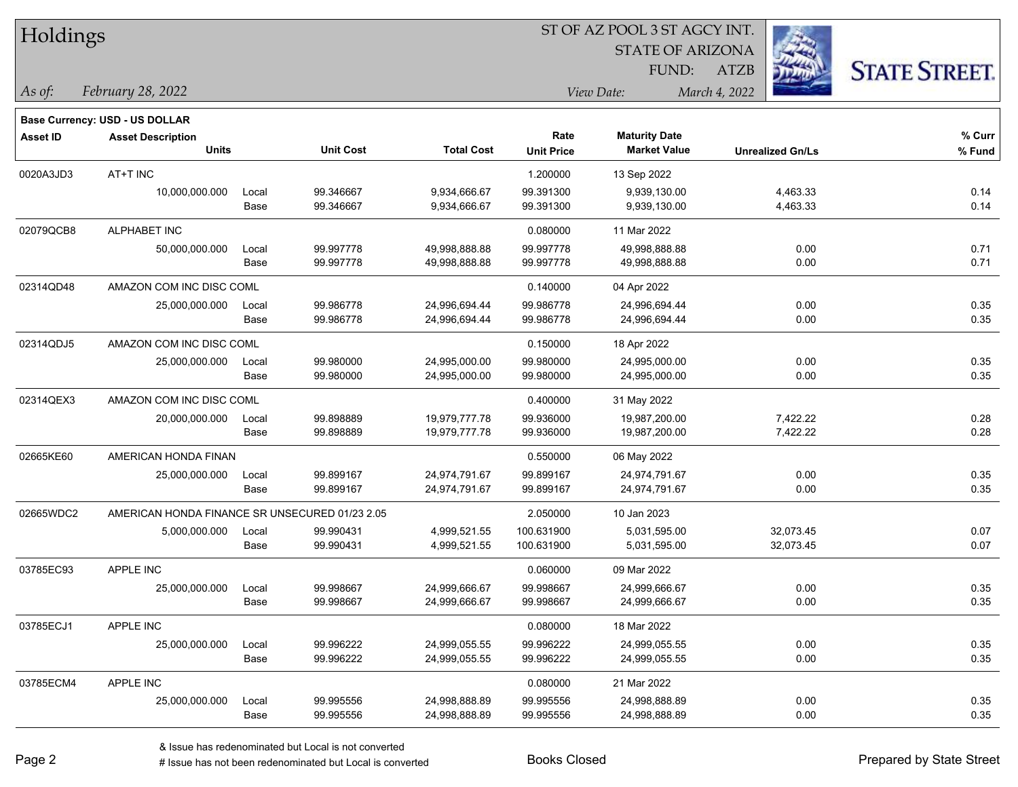| Holdings        |                                                |       |                  |                   |                   | ST OF AZ POOL 3 ST AGCY INT. |                         |                      |
|-----------------|------------------------------------------------|-------|------------------|-------------------|-------------------|------------------------------|-------------------------|----------------------|
|                 |                                                |       |                  |                   |                   | <b>STATE OF ARIZONA</b>      |                         |                      |
|                 |                                                |       |                  |                   |                   | FUND:                        | <b>ATZB</b>             | <b>STATE STREET.</b> |
| As of:          | February 28, 2022                              |       |                  |                   |                   | View Date:                   | March 4, 2022           |                      |
|                 | <b>Base Currency: USD - US DOLLAR</b>          |       |                  |                   |                   |                              |                         |                      |
| <b>Asset ID</b> | <b>Asset Description</b>                       |       |                  |                   | Rate              | <b>Maturity Date</b>         |                         | % Curr               |
|                 | <b>Units</b>                                   |       | <b>Unit Cost</b> | <b>Total Cost</b> | <b>Unit Price</b> | <b>Market Value</b>          | <b>Unrealized Gn/Ls</b> | % Fund               |
| 0020A3JD3       | AT+T INC                                       |       |                  |                   | 1.200000          | 13 Sep 2022                  |                         |                      |
|                 | 10,000,000.000                                 | Local | 99.346667        | 9,934,666.67      | 99.391300         | 9,939,130.00                 | 4,463.33                | 0.14                 |
|                 |                                                | Base  | 99.346667        | 9,934,666.67      | 99.391300         | 9,939,130.00                 | 4,463.33                | 0.14                 |
| 02079QCB8       | ALPHABET INC                                   |       |                  |                   | 0.080000          | 11 Mar 2022                  |                         |                      |
|                 | 50,000,000.000                                 | Local | 99.997778        | 49,998,888.88     | 99.997778         | 49,998,888.88                | 0.00                    | 0.71                 |
|                 |                                                | Base  | 99.997778        | 49,998,888.88     | 99.997778         | 49,998,888.88                | 0.00                    | 0.71                 |
| 02314QD48       | AMAZON COM INC DISC COML                       |       |                  |                   | 0.140000          | 04 Apr 2022                  |                         |                      |
|                 | 25,000,000.000                                 | Local | 99.986778        | 24,996,694.44     | 99.986778         | 24,996,694.44                | 0.00                    | 0.35                 |
|                 |                                                | Base  | 99.986778        | 24,996,694.44     | 99.986778         | 24,996,694.44                | 0.00                    | 0.35                 |
| 02314QDJ5       | AMAZON COM INC DISC COML                       |       |                  |                   | 0.150000          | 18 Apr 2022                  |                         |                      |
|                 | 25,000,000.000                                 | Local | 99.980000        | 24,995,000.00     | 99.980000         | 24,995,000.00                | 0.00                    | 0.35                 |
|                 |                                                | Base  | 99.980000        | 24,995,000.00     | 99.980000         | 24,995,000.00                | 0.00                    | 0.35                 |
| 02314QEX3       | AMAZON COM INC DISC COML                       |       |                  |                   | 0.400000          | 31 May 2022                  |                         |                      |
|                 | 20,000,000.000                                 | Local | 99.898889        | 19,979,777.78     | 99.936000         | 19,987,200.00                | 7,422.22                | 0.28                 |
|                 |                                                | Base  | 99.898889        | 19,979,777.78     | 99.936000         | 19,987,200.00                | 7,422.22                | 0.28                 |
| 02665KE60       | AMERICAN HONDA FINAN                           |       |                  |                   | 0.550000          | 06 May 2022                  |                         |                      |
|                 | 25,000,000.000                                 | Local | 99.899167        | 24,974,791.67     | 99.899167         | 24,974,791.67                | 0.00                    | 0.35                 |
|                 |                                                | Base  | 99.899167        | 24,974,791.67     | 99.899167         | 24,974,791.67                | 0.00                    | 0.35                 |
| 02665WDC2       | AMERICAN HONDA FINANCE SR UNSECURED 01/23 2.05 |       |                  |                   | 2.050000          | 10 Jan 2023                  |                         |                      |
|                 | 5,000,000.000                                  | Local | 99.990431        | 4,999,521.55      | 100.631900        | 5,031,595.00                 | 32,073.45               | 0.07                 |
|                 |                                                | Base  | 99.990431        | 4,999,521.55      | 100.631900        | 5,031,595.00                 | 32,073.45               | 0.07                 |
| 03785EC93       | APPLE INC                                      |       |                  |                   | 0.060000          | 09 Mar 2022                  |                         |                      |
|                 | 25,000,000.000                                 | Local | 99.998667        | 24,999,666.67     | 99.998667         | 24,999,666.67                | 0.00                    | 0.35                 |
|                 |                                                | Base  | 99.998667        | 24,999,666.67     | 99.998667         | 24,999,666.67                | 0.00                    | 0.35                 |
| 03785ECJ1       | APPLE INC                                      |       |                  |                   | 0.080000          | 18 Mar 2022                  |                         |                      |
|                 | 25,000,000.000                                 | Local | 99.996222        | 24,999,055.55     | 99.996222         | 24,999,055.55                | 0.00                    | 0.35                 |
|                 |                                                | Base  | 99.996222        | 24,999,055.55     | 99.996222         | 24,999,055.55                | 0.00                    | 0.35                 |
| 03785ECM4       | APPLE INC                                      |       |                  |                   | 0.080000          | 21 Mar 2022                  |                         |                      |
|                 | 25,000,000.000                                 | Local | 99.995556        | 24,998,888.89     | 99.995556         | 24,998,888.89                | 0.00                    | 0.35                 |
|                 |                                                | Base  | 99.995556        | 24,998,888.89     | 99.995556         | 24,998,888.89                | 0.00                    | 0.35                 |

# $TT.1.1:$

 $\overline{\phantom{0}}$ 

 $\overline{\phantom{0}}$ 

 $\overline{\phantom{0}}$ 

 $\overline{\phantom{0}}$ 

 $\overline{\phantom{0}}$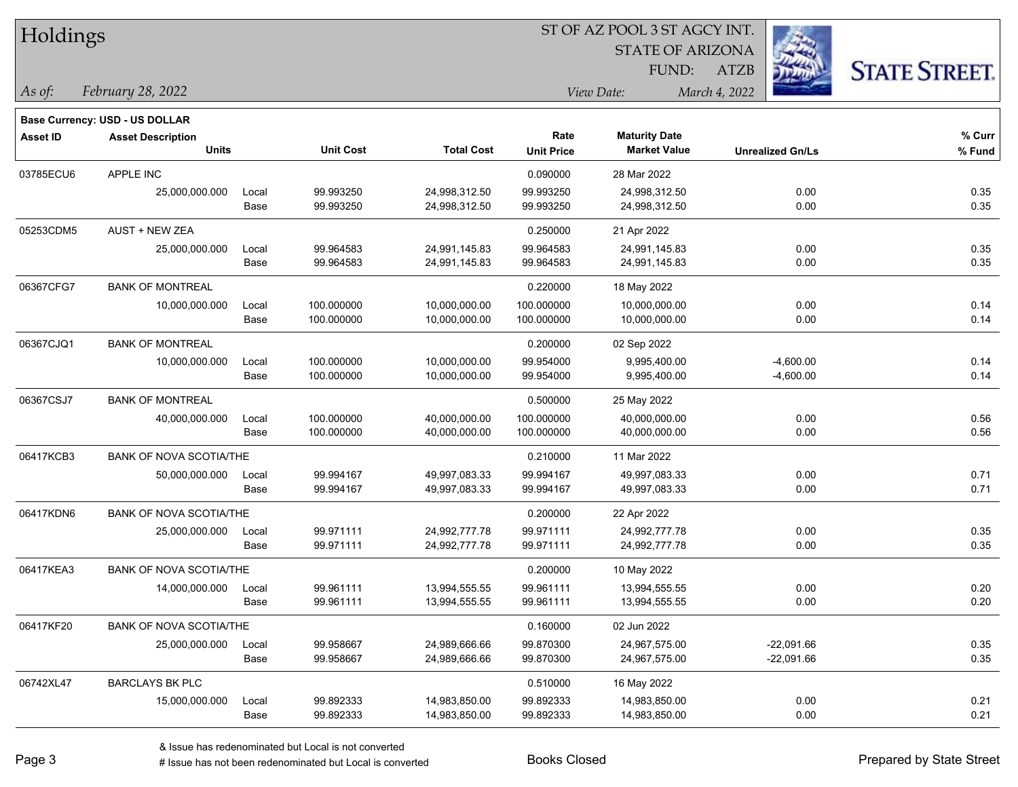| Holdings        |                                       |       |                  |                   |                   | ST OF AZ POOL 3 ST AGCY INT. |                         |                      |
|-----------------|---------------------------------------|-------|------------------|-------------------|-------------------|------------------------------|-------------------------|----------------------|
|                 |                                       |       |                  |                   |                   | <b>STATE OF ARIZONA</b>      | - 43                    |                      |
|                 |                                       |       |                  |                   |                   | FUND:                        | ATZB                    | <b>STATE STREET.</b> |
| As of:          | February 28, 2022                     |       |                  |                   |                   | View Date:                   | March 4, 2022           |                      |
|                 | <b>Base Currency: USD - US DOLLAR</b> |       |                  |                   |                   |                              |                         |                      |
| <b>Asset ID</b> | <b>Asset Description</b>              |       |                  |                   | Rate              | <b>Maturity Date</b>         |                         | % Curr               |
|                 | <b>Units</b>                          |       | <b>Unit Cost</b> | <b>Total Cost</b> | <b>Unit Price</b> | <b>Market Value</b>          | <b>Unrealized Gn/Ls</b> | % Fund               |
| 03785ECU6       | APPLE INC                             |       |                  |                   | 0.090000          | 28 Mar 2022                  |                         |                      |
|                 | 25,000,000.000                        | Local | 99.993250        | 24,998,312.50     | 99.993250         | 24,998,312.50                | 0.00                    | 0.35                 |
|                 |                                       | Base  | 99.993250        | 24,998,312.50     | 99.993250         | 24,998,312.50                | 0.00                    | 0.35                 |
| 05253CDM5       | <b>AUST + NEW ZEA</b>                 |       |                  |                   | 0.250000          | 21 Apr 2022                  |                         |                      |
|                 | 25,000,000.000                        | Local | 99.964583        | 24,991,145.83     | 99.964583         | 24,991,145.83                | 0.00                    | 0.35                 |
|                 |                                       | Base  | 99.964583        | 24,991,145.83     | 99.964583         | 24,991,145.83                | 0.00                    | 0.35                 |
| 06367CFG7       | <b>BANK OF MONTREAL</b>               |       |                  |                   | 0.220000          | 18 May 2022                  |                         |                      |
|                 | 10,000,000.000                        | Local | 100.000000       | 10,000,000.00     | 100.000000        | 10,000,000.00                | 0.00                    | 0.14                 |
|                 |                                       | Base  | 100.000000       | 10,000,000.00     | 100.000000        | 10,000,000.00                | 0.00                    | 0.14                 |
| 06367CJQ1       | <b>BANK OF MONTREAL</b>               |       |                  |                   | 0.200000          | 02 Sep 2022                  |                         |                      |
|                 | 10,000,000.000                        | Local | 100.000000       | 10,000,000.00     | 99.954000         | 9,995,400.00                 | $-4,600.00$             | 0.14                 |
|                 |                                       | Base  | 100.000000       | 10,000,000.00     | 99.954000         | 9,995,400.00                 | $-4,600.00$             | 0.14                 |
| 06367CSJ7       | <b>BANK OF MONTREAL</b>               |       |                  |                   | 0.500000          | 25 May 2022                  |                         |                      |
|                 | 40,000,000.000                        | Local | 100.000000       | 40,000,000.00     | 100.000000        | 40,000,000.00                | 0.00                    | 0.56                 |
|                 |                                       | Base  | 100.000000       | 40,000,000.00     | 100.000000        | 40,000,000.00                | 0.00                    | 0.56                 |
| 06417KCB3       | BANK OF NOVA SCOTIA/THE               |       |                  |                   | 0.210000          | 11 Mar 2022                  |                         |                      |
|                 | 50,000,000.000                        | Local | 99.994167        | 49,997,083.33     | 99.994167         | 49,997,083.33                | 0.00                    | 0.71                 |
|                 |                                       | Base  | 99.994167        | 49,997,083.33     | 99.994167         | 49,997,083.33                | 0.00                    | 0.71                 |
| 06417KDN6       | <b>BANK OF NOVA SCOTIA/THE</b>        |       |                  |                   | 0.200000          | 22 Apr 2022                  |                         |                      |
|                 | 25,000,000.000                        | Local | 99.971111        | 24,992,777.78     | 99.971111         | 24,992,777.78                | 0.00                    | 0.35                 |
|                 |                                       | Base  | 99.971111        | 24,992,777.78     | 99.971111         | 24,992,777.78                | 0.00                    | 0.35                 |
| 06417KEA3       | <b>BANK OF NOVA SCOTIA/THE</b>        |       |                  |                   | 0.200000          | 10 May 2022                  |                         |                      |
|                 | 14,000,000.000                        | Local | 99.961111        | 13,994,555.55     | 99.961111         | 13,994,555.55                | 0.00                    | 0.20                 |
|                 |                                       | Base  | 99.961111        | 13,994,555.55     | 99.961111         | 13,994,555.55                | 0.00                    | 0.20                 |
| 06417KF20       | BANK OF NOVA SCOTIA/THE               |       |                  |                   | 0.160000          | 02 Jun 2022                  |                         |                      |
|                 | 25,000,000.000                        | Local | 99.958667        | 24,989,666.66     | 99.870300         | 24,967,575.00                | $-22,091.66$            | 0.35                 |
|                 |                                       | Base  | 99.958667        | 24,989,666.66     | 99.870300         | 24,967,575.00                | $-22,091.66$            | 0.35                 |
| 06742XL47       | <b>BARCLAYS BK PLC</b>                |       |                  |                   | 0.510000          | 16 May 2022                  |                         |                      |
|                 | 15,000,000.000                        | Local | 99.892333        | 14,983,850.00     | 99.892333         | 14,983,850.00                | 0.00                    | 0.21                 |
|                 |                                       | Base  | 99.892333        | 14,983,850.00     | 99.892333         | 14,983,850.00                | 0.00                    | 0.21                 |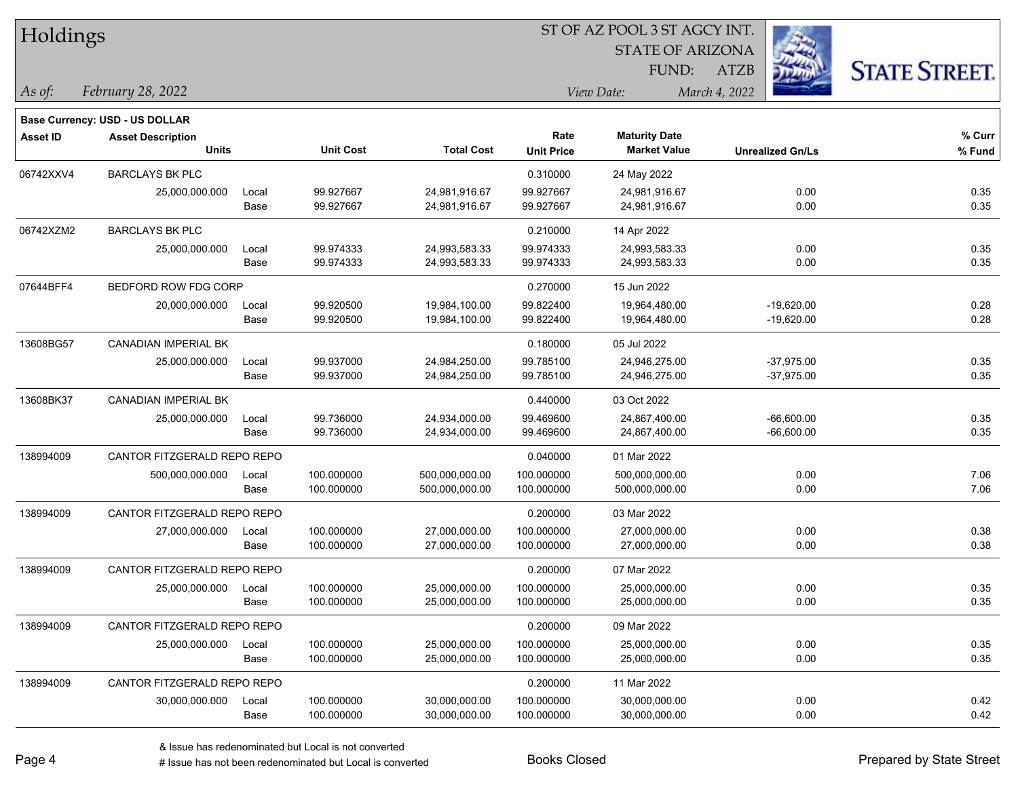| Holdings        |                                       |       |                  |                   |                   | ST OF AZ POOL 3 ST AGCY INT. |                         |                      |
|-----------------|---------------------------------------|-------|------------------|-------------------|-------------------|------------------------------|-------------------------|----------------------|
|                 |                                       |       |                  |                   |                   | <b>STATE OF ARIZONA</b>      |                         |                      |
|                 |                                       |       |                  |                   |                   | FUND:                        | <b>ATZB</b>             | <b>STATE STREET.</b> |
| As of:          | February 28, 2022                     |       |                  |                   |                   | View Date:                   | March 4, 2022           |                      |
|                 | <b>Base Currency: USD - US DOLLAR</b> |       |                  |                   |                   |                              |                         |                      |
| <b>Asset ID</b> | <b>Asset Description</b>              |       |                  |                   | Rate              | <b>Maturity Date</b>         |                         | % Curr               |
|                 | <b>Units</b>                          |       | <b>Unit Cost</b> | <b>Total Cost</b> | <b>Unit Price</b> | <b>Market Value</b>          | <b>Unrealized Gn/Ls</b> | % Fund               |
| 06742XXV4       | <b>BARCLAYS BK PLC</b>                |       |                  |                   | 0.310000          | 24 May 2022                  |                         |                      |
|                 | 25,000,000.000                        | Local | 99.927667        | 24,981,916.67     | 99.927667         | 24,981,916.67                | 0.00                    | 0.35                 |
|                 |                                       | Base  | 99.927667        | 24,981,916.67     | 99.927667         | 24,981,916.67                | 0.00                    | 0.35                 |
| 06742XZM2       | <b>BARCLAYS BK PLC</b>                |       |                  |                   | 0.210000          | 14 Apr 2022                  |                         |                      |
|                 | 25,000,000.000                        | Local | 99.974333        | 24,993,583.33     | 99.974333         | 24,993,583.33                | 0.00                    | 0.35                 |
|                 |                                       | Base  | 99.974333        | 24,993,583.33     | 99.974333         | 24,993,583.33                | 0.00                    | 0.35                 |
| 07644BFF4       | BEDFORD ROW FDG CORP                  |       |                  |                   | 0.270000          | 15 Jun 2022                  |                         |                      |
|                 | 20,000,000.000                        | Local | 99.920500        | 19,984,100.00     | 99.822400         | 19,964,480.00                | $-19,620.00$            | 0.28                 |
|                 |                                       | Base  | 99.920500        | 19,984,100.00     | 99.822400         | 19,964,480.00                | $-19,620.00$            | 0.28                 |
| 13608BG57       | <b>CANADIAN IMPERIAL BK</b>           |       |                  |                   | 0.180000          | 05 Jul 2022                  |                         |                      |
|                 | 25,000,000.000                        | Local | 99.937000        | 24,984,250.00     | 99.785100         | 24,946,275.00                | $-37,975.00$            | 0.35                 |
|                 |                                       | Base  | 99.937000        | 24,984,250.00     | 99.785100         | 24,946,275.00                | $-37,975.00$            | 0.35                 |
| 13608BK37       | CANADIAN IMPERIAL BK                  |       |                  |                   | 0.440000          | 03 Oct 2022                  |                         |                      |
|                 | 25,000,000.000                        | Local | 99.736000        | 24,934,000.00     | 99.469600         | 24,867,400.00                | $-66,600.00$            | 0.35                 |
|                 |                                       | Base  | 99.736000        | 24,934,000.00     | 99.469600         | 24,867,400.00                | $-66,600.00$            | 0.35                 |
| 138994009       | CANTOR FITZGERALD REPO REPO           |       |                  |                   | 0.040000          | 01 Mar 2022                  |                         |                      |
|                 | 500,000,000.000                       | Local | 100.000000       | 500,000,000.00    | 100.000000        | 500,000,000.00               | 0.00                    | 7.06                 |
|                 |                                       | Base  | 100.000000       | 500,000,000.00    | 100.000000        | 500,000,000.00               | 0.00                    | 7.06                 |
| 138994009       | CANTOR FITZGERALD REPO REPO           |       |                  |                   | 0.200000          | 03 Mar 2022                  |                         |                      |
|                 | 27,000,000.000                        | Local | 100.000000       | 27,000,000.00     | 100.000000        | 27,000,000.00                | 0.00                    | 0.38                 |
|                 |                                       | Base  | 100.000000       | 27,000,000.00     | 100.000000        | 27,000,000.00                | 0.00                    | 0.38                 |
| 138994009       | CANTOR FITZGERALD REPO REPO           |       |                  |                   | 0.200000          | 07 Mar 2022                  |                         |                      |
|                 | 25,000,000.000                        | Local | 100.000000       | 25,000,000.00     | 100.000000        | 25,000,000.00                | 0.00                    | 0.35                 |
|                 |                                       | Base  | 100.000000       | 25,000,000.00     | 100.000000        | 25,000,000.00                | 0.00                    | 0.35                 |
| 138994009       | CANTOR FITZGERALD REPO REPO           |       |                  |                   | 0.200000          | 09 Mar 2022                  |                         |                      |
|                 | 25,000,000.000                        | Local | 100.000000       | 25,000,000.00     | 100.000000        | 25,000,000.00                | 0.00                    | 0.35                 |
|                 |                                       | Base  | 100.000000       | 25,000,000.00     | 100.000000        | 25,000,000.00                | 0.00                    | 0.35                 |
| 138994009       | CANTOR FITZGERALD REPO REPO           |       |                  |                   | 0.200000          | 11 Mar 2022                  |                         |                      |
|                 | 30,000,000.000                        | Local | 100.000000       | 30,000,000.00     | 100.000000        | 30,000,000.00                | 0.00                    | 0.42                 |
|                 |                                       | Base  | 100.000000       | 30,000,000.00     | 100.000000        | 30,000,000.00                | 0.00                    | 0.42                 |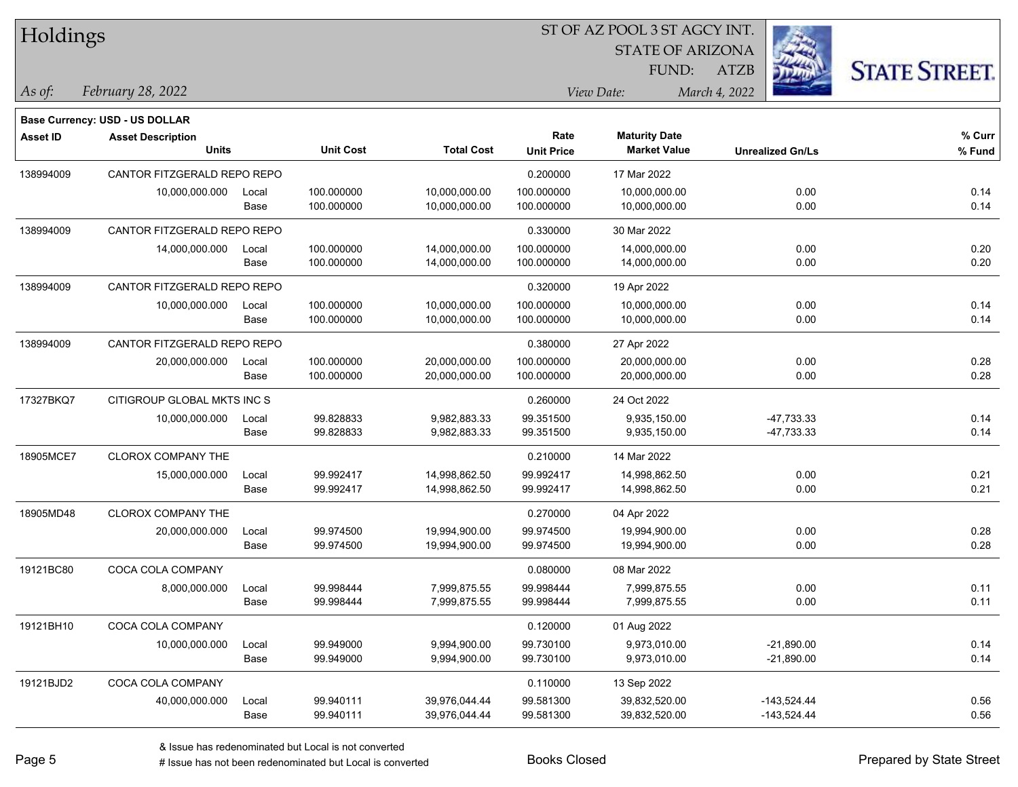| Holdings        |                                          |               |                          |                                |                           | ST OF AZ POOL 3 ST AGCY INT.                |                              |                      |
|-----------------|------------------------------------------|---------------|--------------------------|--------------------------------|---------------------------|---------------------------------------------|------------------------------|----------------------|
|                 |                                          |               |                          |                                |                           | <b>STATE OF ARIZONA</b>                     |                              |                      |
|                 |                                          |               |                          |                                |                           | FUND:                                       | ATZB                         | <b>STATE STREET.</b> |
| As of:          | February 28, 2022                        |               |                          |                                |                           | View Date:                                  | March 4, 2022                |                      |
|                 | <b>Base Currency: USD - US DOLLAR</b>    |               |                          |                                |                           |                                             |                              |                      |
| <b>Asset ID</b> | <b>Asset Description</b><br><b>Units</b> |               | <b>Unit Cost</b>         | <b>Total Cost</b>              | Rate<br><b>Unit Price</b> | <b>Maturity Date</b><br><b>Market Value</b> | <b>Unrealized Gn/Ls</b>      | % Curr<br>% Fund     |
| 138994009       | CANTOR FITZGERALD REPO REPO              |               |                          |                                | 0.200000                  | 17 Mar 2022                                 |                              |                      |
|                 | 10,000,000.000                           | Local<br>Base | 100.000000<br>100.000000 | 10,000,000.00<br>10,000,000.00 | 100.000000<br>100.000000  | 10,000,000.00<br>10,000,000.00              | 0.00<br>0.00                 | 0.14<br>0.14         |
| 138994009       | CANTOR FITZGERALD REPO REPO              |               |                          |                                | 0.330000                  | 30 Mar 2022                                 |                              |                      |
|                 | 14,000,000.000                           | Local<br>Base | 100.000000<br>100.000000 | 14,000,000.00<br>14,000,000.00 | 100.000000<br>100.000000  | 14,000,000.00<br>14,000,000.00              | 0.00<br>0.00                 | 0.20<br>0.20         |
| 138994009       | CANTOR FITZGERALD REPO REPO              |               |                          |                                | 0.320000                  | 19 Apr 2022                                 |                              |                      |
|                 | 10,000,000.000                           | Local<br>Base | 100.000000<br>100.000000 | 10,000,000.00<br>10,000,000.00 | 100.000000<br>100.000000  | 10,000,000.00<br>10,000,000.00              | 0.00<br>0.00                 | 0.14<br>0.14         |
| 138994009       | CANTOR FITZGERALD REPO REPO              |               |                          |                                | 0.380000                  | 27 Apr 2022                                 |                              |                      |
|                 | 20,000,000.000                           | Local<br>Base | 100.000000<br>100.000000 | 20,000,000.00<br>20,000,000.00 | 100.000000<br>100.000000  | 20,000,000.00<br>20,000,000.00              | 0.00<br>0.00                 | 0.28<br>0.28         |
| 17327BKQ7       | CITIGROUP GLOBAL MKTS INC S              |               |                          |                                | 0.260000                  | 24 Oct 2022                                 |                              |                      |
|                 | 10,000,000.000                           | Local<br>Base | 99.828833<br>99.828833   | 9,982,883.33<br>9,982,883.33   | 99.351500<br>99.351500    | 9,935,150.00<br>9,935,150.00                | -47,733.33<br>$-47,733.33$   | 0.14<br>0.14         |
| 18905MCE7       | <b>CLOROX COMPANY THE</b>                |               |                          |                                | 0.210000                  | 14 Mar 2022                                 |                              |                      |
|                 | 15,000,000.000                           | Local<br>Base | 99.992417<br>99.992417   | 14,998,862.50<br>14,998,862.50 | 99.992417<br>99.992417    | 14,998,862.50<br>14,998,862.50              | 0.00<br>0.00                 | 0.21<br>0.21         |
| 18905MD48       | <b>CLOROX COMPANY THE</b>                |               |                          |                                | 0.270000                  | 04 Apr 2022                                 |                              |                      |
|                 | 20,000,000.000                           | Local<br>Base | 99.974500<br>99.974500   | 19,994,900.00<br>19,994,900.00 | 99.974500<br>99.974500    | 19,994,900.00<br>19,994,900.00              | 0.00<br>0.00                 | 0.28<br>0.28         |
| 19121BC80       | COCA COLA COMPANY                        |               |                          |                                | 0.080000                  | 08 Mar 2022                                 |                              |                      |
|                 | 8,000,000.000                            | Local<br>Base | 99.998444<br>99.998444   | 7,999,875.55<br>7,999,875.55   | 99.998444<br>99.998444    | 7,999,875.55<br>7,999,875.55                | 0.00<br>0.00                 | 0.11<br>0.11         |
| 19121BH10       | COCA COLA COMPANY                        |               |                          |                                | 0.120000                  | 01 Aug 2022                                 |                              |                      |
|                 | 10,000,000.000                           | Local<br>Base | 99.949000<br>99.949000   | 9,994,900.00<br>9,994,900.00   | 99.730100<br>99.730100    | 9,973,010.00<br>9,973,010.00                | $-21,890.00$<br>$-21,890.00$ | 0.14<br>0.14         |
| 19121BJD2       | COCA COLA COMPANY                        |               |                          |                                | 0.110000                  | 13 Sep 2022                                 |                              |                      |

40,000,000.000 Local 99.940111 39,976,044.44 99.581300 39,832,520.00 -143,524.44 0.56

Base 99.940111 39,976,044.44 99.581300 39,832,520.00 -143,524.44 0.56

ST OF AZ POOL 3 ST AGCY INT.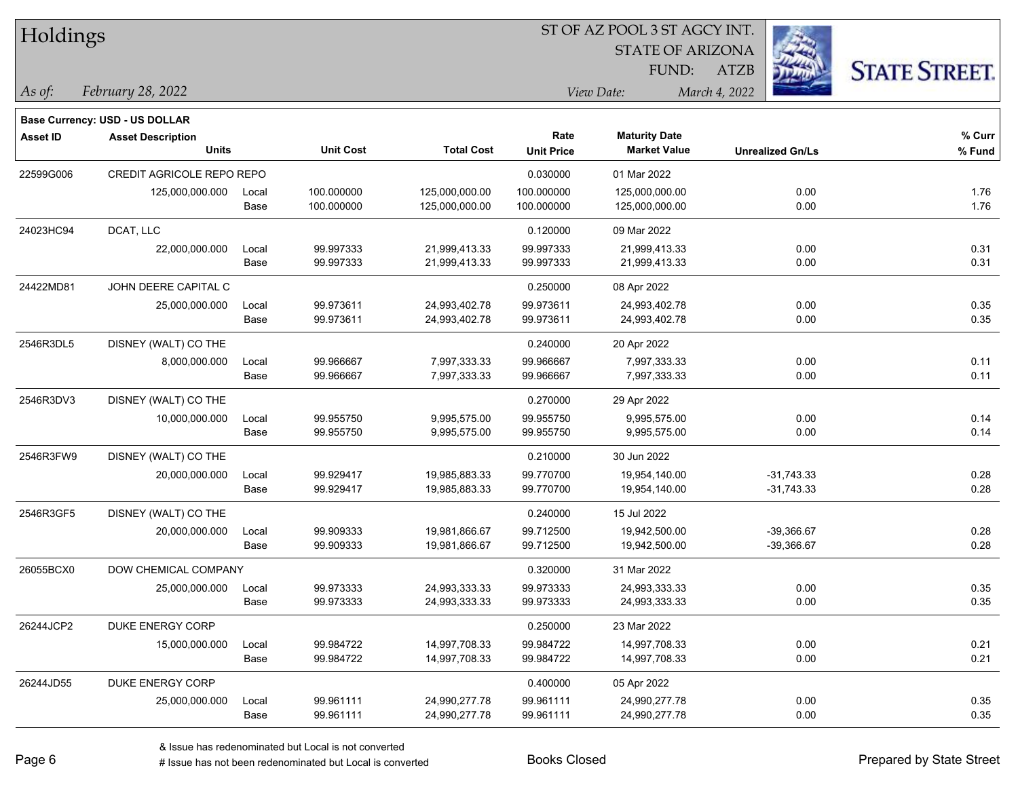| Holdings |  |
|----------|--|
|----------|--|

STATE OF ARIZONA FUND:

ATZB



*February 28, 2022 As of: View Date: March 4, 2022*

**Base Currency: USD - US DOLLAR**

| Asset ID  | <b>Asset Description</b>         |       |                  |                   | Rate              | <b>Maturity Date</b> |                         | % Curr |
|-----------|----------------------------------|-------|------------------|-------------------|-------------------|----------------------|-------------------------|--------|
|           | <b>Units</b>                     |       | <b>Unit Cost</b> | <b>Total Cost</b> | <b>Unit Price</b> | <b>Market Value</b>  | <b>Unrealized Gn/Ls</b> | % Fund |
| 22599G006 | <b>CREDIT AGRICOLE REPO REPO</b> |       |                  |                   | 0.030000          | 01 Mar 2022          |                         |        |
|           | 125,000,000.000                  | Local | 100.000000       | 125,000,000.00    | 100.000000        | 125,000,000.00       | 0.00                    | 1.76   |
|           |                                  | Base  | 100.000000       | 125,000,000.00    | 100.000000        | 125,000,000.00       | 0.00                    | 1.76   |
| 24023HC94 | DCAT, LLC                        |       |                  |                   | 0.120000          | 09 Mar 2022          |                         |        |
|           | 22,000,000.000                   | Local | 99.997333        | 21,999,413.33     | 99.997333         | 21,999,413.33        | 0.00                    | 0.31   |
|           |                                  | Base  | 99.997333        | 21,999,413.33     | 99.997333         | 21,999,413.33        | 0.00                    | 0.31   |
| 24422MD81 | JOHN DEERE CAPITAL C             |       |                  |                   | 0.250000          | 08 Apr 2022          |                         |        |
|           | 25,000,000.000                   | Local | 99.973611        | 24,993,402.78     | 99.973611         | 24,993,402.78        | 0.00                    | 0.35   |
|           |                                  | Base  | 99.973611        | 24,993,402.78     | 99.973611         | 24,993,402.78        | 0.00                    | 0.35   |
| 2546R3DL5 | DISNEY (WALT) CO THE             |       |                  |                   | 0.240000          | 20 Apr 2022          |                         |        |
|           | 8,000,000.000                    | Local | 99.966667        | 7,997,333.33      | 99.966667         | 7,997,333.33         | 0.00                    | 0.11   |
|           |                                  | Base  | 99.966667        | 7,997,333.33      | 99.966667         | 7,997,333.33         | 0.00                    | 0.11   |
| 2546R3DV3 | DISNEY (WALT) CO THE             |       |                  |                   | 0.270000          | 29 Apr 2022          |                         |        |
|           | 10,000,000.000                   | Local | 99.955750        | 9,995,575.00      | 99.955750         | 9,995,575.00         | 0.00                    | 0.14   |
|           |                                  | Base  | 99.955750        | 9,995,575.00      | 99.955750         | 9,995,575.00         | 0.00                    | 0.14   |
| 2546R3FW9 | DISNEY (WALT) CO THE             |       |                  |                   | 0.210000          | 30 Jun 2022          |                         |        |
|           | 20,000,000.000                   | Local | 99.929417        | 19,985,883.33     | 99.770700         | 19,954,140.00        | $-31,743.33$            | 0.28   |
|           |                                  | Base  | 99.929417        | 19,985,883.33     | 99.770700         | 19,954,140.00        | $-31,743.33$            | 0.28   |
| 2546R3GF5 | DISNEY (WALT) CO THE             |       |                  |                   | 0.240000          | 15 Jul 2022          |                         |        |
|           | 20,000,000.000                   | Local | 99.909333        | 19,981,866.67     | 99.712500         | 19,942,500.00        | $-39,366.67$            | 0.28   |
|           |                                  | Base  | 99.909333        | 19,981,866.67     | 99.712500         | 19,942,500.00        | -39,366.67              | 0.28   |
| 26055BCX0 | DOW CHEMICAL COMPANY             |       |                  |                   | 0.320000          | 31 Mar 2022          |                         |        |
|           | 25,000,000.000                   | Local | 99.973333        | 24,993,333.33     | 99.973333         | 24,993,333.33        | 0.00                    | 0.35   |
|           |                                  | Base  | 99.973333        | 24,993,333.33     | 99.973333         | 24,993,333.33        | 0.00                    | 0.35   |
| 26244JCP2 | <b>DUKE ENERGY CORP</b>          |       |                  |                   | 0.250000          | 23 Mar 2022          |                         |        |
|           | 15,000,000.000                   | Local | 99.984722        | 14,997,708.33     | 99.984722         | 14,997,708.33        | 0.00                    | 0.21   |
|           |                                  | Base  | 99.984722        | 14,997,708.33     | 99.984722         | 14,997,708.33        | 0.00                    | 0.21   |
| 26244JD55 | DUKE ENERGY CORP                 |       |                  |                   | 0.400000          | 05 Apr 2022          |                         |        |
|           | 25,000,000.000                   | Local | 99.961111        | 24,990,277.78     | 99.961111         | 24,990,277.78        | 0.00                    | 0.35   |
|           |                                  | Base  | 99.961111        | 24,990,277.78     | 99.961111         | 24,990,277.78        | 0.00                    | 0.35   |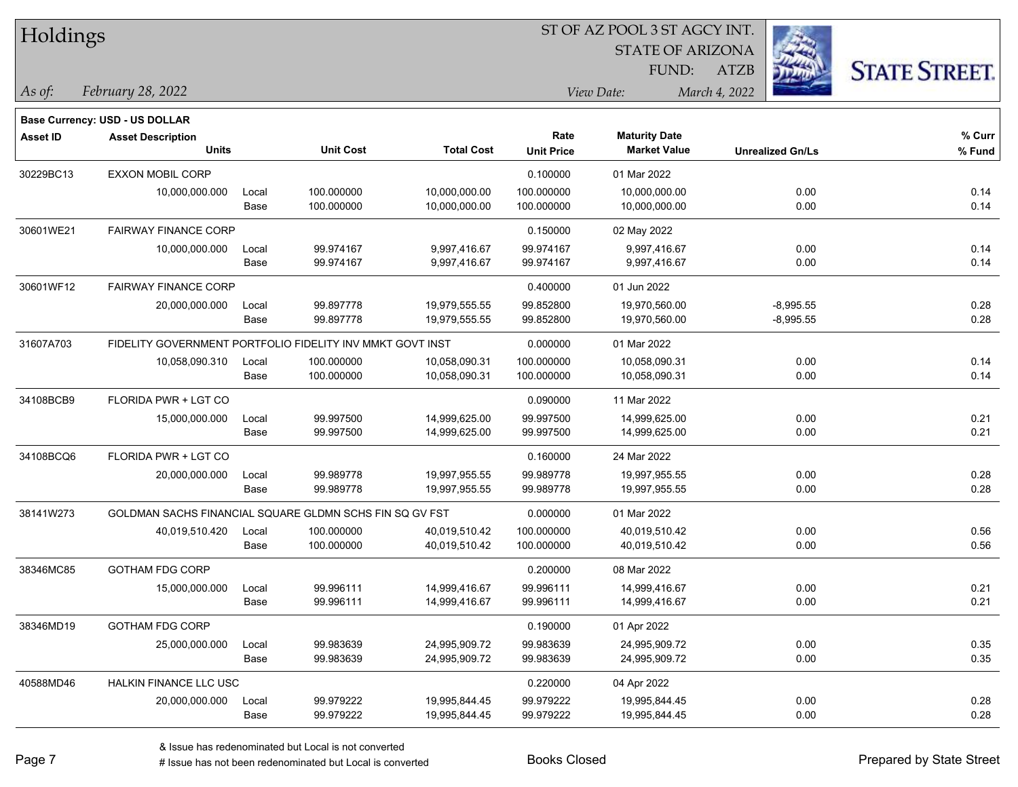| Holdings |
|----------|
|----------|

STATE OF ARIZONA FUND:

ATZB



*February 28, 2022 As of: View Date: March 4, 2022*

**Base Currency: USD - US DOLLAR**

| Asset ID  | <b>Asset Description</b><br><b>Units</b>                |                                                           | <b>Unit Cost</b> | <b>Total Cost</b> | Rate              | <b>Maturity Date</b> |                         | % Curr |
|-----------|---------------------------------------------------------|-----------------------------------------------------------|------------------|-------------------|-------------------|----------------------|-------------------------|--------|
|           |                                                         |                                                           |                  |                   | <b>Unit Price</b> | <b>Market Value</b>  | <b>Unrealized Gn/Ls</b> | % Fund |
| 30229BC13 | <b>EXXON MOBIL CORP</b>                                 |                                                           |                  |                   | 0.100000          | 01 Mar 2022          |                         |        |
|           | 10,000,000.000                                          | Local                                                     | 100.000000       | 10,000,000.00     | 100.000000        | 10,000,000.00        | 0.00                    | 0.14   |
|           |                                                         | Base                                                      | 100.000000       | 10,000,000.00     | 100.000000        | 10,000,000.00        | 0.00                    | 0.14   |
| 30601WE21 | <b>FAIRWAY FINANCE CORP</b>                             |                                                           |                  |                   | 0.150000          | 02 May 2022          |                         |        |
|           | 10,000,000.000                                          | Local                                                     | 99.974167        | 9,997,416.67      | 99.974167         | 9,997,416.67         | 0.00                    | 0.14   |
|           |                                                         | Base                                                      | 99.974167        | 9,997,416.67      | 99.974167         | 9,997,416.67         | 0.00                    | 0.14   |
| 30601WF12 | <b>FAIRWAY FINANCE CORP</b>                             |                                                           |                  |                   | 0.400000          | 01 Jun 2022          |                         |        |
|           | 20,000,000.000                                          | Local                                                     | 99.897778        | 19,979,555.55     | 99.852800         | 19,970,560.00        | $-8,995.55$             | 0.28   |
|           |                                                         | Base                                                      | 99.897778        | 19,979,555.55     | 99.852800         | 19,970,560.00        | $-8,995.55$             | 0.28   |
| 31607A703 |                                                         | FIDELITY GOVERNMENT PORTFOLIO FIDELITY INV MMKT GOVT INST |                  |                   |                   | 01 Mar 2022          |                         |        |
|           | 10,058,090.310                                          | Local                                                     | 100.000000       | 10,058,090.31     | 100.000000        | 10,058,090.31        | 0.00                    | 0.14   |
|           |                                                         | Base                                                      | 100.000000       | 10,058,090.31     | 100.000000        | 10,058,090.31        | 0.00                    | 0.14   |
| 34108BCB9 | <b>FLORIDA PWR + LGT CO</b>                             |                                                           |                  |                   | 0.090000          | 11 Mar 2022          |                         |        |
|           | 15,000,000.000                                          | Local                                                     | 99.997500        | 14,999,625.00     | 99.997500         | 14,999,625.00        | 0.00                    | 0.21   |
|           |                                                         | Base                                                      | 99.997500        | 14,999,625.00     | 99.997500         | 14,999,625.00        | 0.00                    | 0.21   |
| 34108BCQ6 | FLORIDA PWR + LGT CO                                    |                                                           |                  |                   | 0.160000          | 24 Mar 2022          |                         |        |
|           | 20,000,000.000                                          | Local                                                     | 99.989778        | 19,997,955.55     | 99.989778         | 19,997,955.55        | 0.00                    | 0.28   |
|           |                                                         | Base                                                      | 99.989778        | 19,997,955.55     | 99.989778         | 19,997,955.55        | 0.00                    | 0.28   |
| 38141W273 | GOLDMAN SACHS FINANCIAL SQUARE GLDMN SCHS FIN SQ GV FST |                                                           |                  |                   | 0.000000          | 01 Mar 2022          |                         |        |
|           | 40,019,510.420                                          | Local                                                     | 100.000000       | 40,019,510.42     | 100.000000        | 40,019,510.42        | 0.00                    | 0.56   |
|           |                                                         | Base                                                      | 100.000000       | 40,019,510.42     | 100.000000        | 40,019,510.42        | 0.00                    | 0.56   |
| 38346MC85 | <b>GOTHAM FDG CORP</b>                                  |                                                           |                  |                   | 0.200000          | 08 Mar 2022          |                         |        |
|           | 15,000,000.000                                          | Local                                                     | 99.996111        | 14,999,416.67     | 99.996111         | 14,999,416.67        | 0.00                    | 0.21   |
|           |                                                         | Base                                                      | 99.996111        | 14,999,416.67     | 99.996111         | 14,999,416.67        | 0.00                    | 0.21   |
| 38346MD19 | <b>GOTHAM FDG CORP</b>                                  |                                                           |                  |                   | 0.190000          | 01 Apr 2022          |                         |        |
|           | 25,000,000.000                                          | Local                                                     | 99.983639        | 24,995,909.72     | 99.983639         | 24,995,909.72        | 0.00                    | 0.35   |
|           |                                                         | Base                                                      | 99.983639        | 24,995,909.72     | 99.983639         | 24,995,909.72        | 0.00                    | 0.35   |
| 40588MD46 | HALKIN FINANCE LLC USC                                  |                                                           |                  |                   | 0.220000          | 04 Apr 2022          |                         |        |
|           | 20,000,000.000                                          | Local                                                     | 99.979222        | 19,995,844.45     | 99.979222         | 19,995,844.45        | 0.00                    | 0.28   |
|           |                                                         | Base                                                      | 99.979222        | 19,995,844.45     | 99.979222         | 19,995,844.45        | 0.00                    | 0.28   |

÷.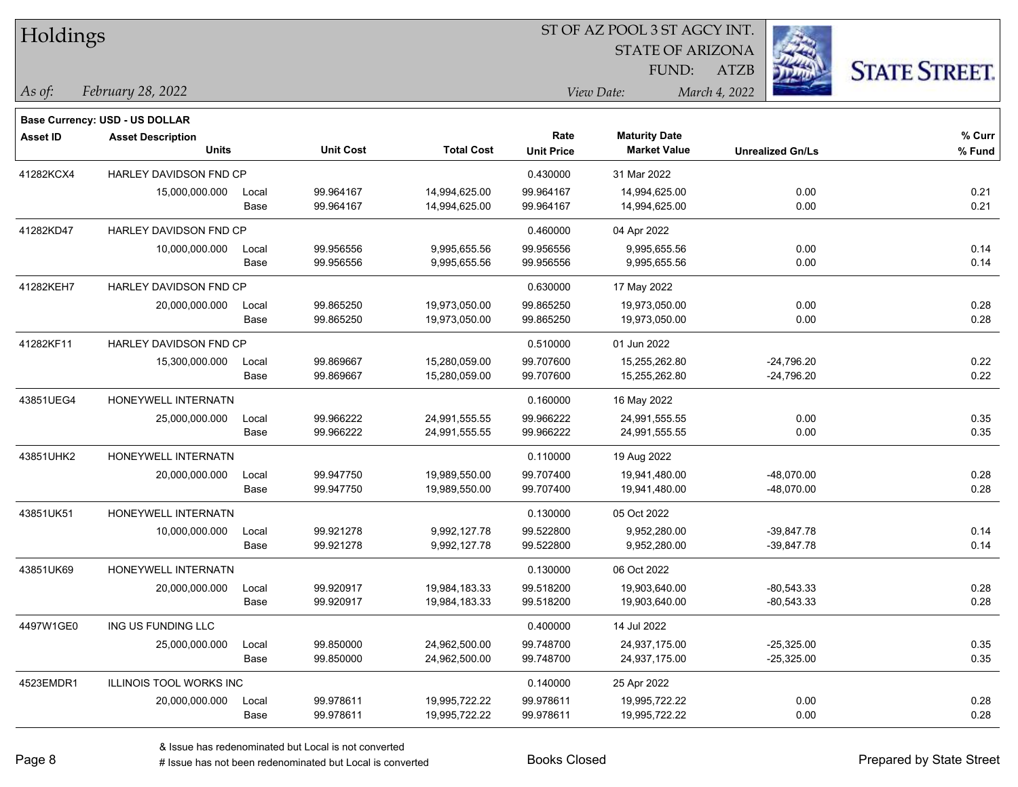| Holdings        |                                |       |                  |                   |                   | ST OF AZ POOL 3 ST AGCY INT. |                         |                      |
|-----------------|--------------------------------|-------|------------------|-------------------|-------------------|------------------------------|-------------------------|----------------------|
|                 |                                |       |                  |                   |                   | <b>STATE OF ARIZONA</b>      |                         |                      |
|                 |                                |       |                  |                   |                   | FUND:                        | ATZB                    | <b>STATE STREET.</b> |
| As of:          | February 28, 2022              |       |                  |                   |                   | View Date:                   | March 4, 2022           |                      |
|                 | Base Currency: USD - US DOLLAR |       |                  |                   |                   |                              |                         |                      |
| <b>Asset ID</b> | <b>Asset Description</b>       |       |                  |                   | Rate              | <b>Maturity Date</b>         |                         | % Curr               |
|                 | <b>Units</b>                   |       | <b>Unit Cost</b> | <b>Total Cost</b> | <b>Unit Price</b> | <b>Market Value</b>          | <b>Unrealized Gn/Ls</b> | % Fund               |
| 41282KCX4       | HARLEY DAVIDSON FND CP         |       |                  |                   | 0.430000          | 31 Mar 2022                  |                         |                      |
|                 | 15,000,000.000                 | Local | 99.964167        | 14,994,625.00     | 99.964167         | 14,994,625.00                | 0.00                    | 0.21                 |
|                 |                                | Base  | 99.964167        | 14,994,625.00     | 99.964167         | 14,994,625.00                | 0.00                    | 0.21                 |
| 41282KD47       | HARLEY DAVIDSON FND CP         |       |                  |                   | 0.460000          | 04 Apr 2022                  |                         |                      |
|                 | 10,000,000.000                 | Local | 99.956556        | 9,995,655.56      | 99.956556         | 9,995,655.56                 | 0.00                    | 0.14                 |
|                 |                                | Base  | 99.956556        | 9,995,655.56      | 99.956556         | 9,995,655.56                 | 0.00                    | 0.14                 |
| 41282KEH7       | HARLEY DAVIDSON FND CP         |       |                  |                   | 0.630000          | 17 May 2022                  |                         |                      |
|                 | 20,000,000.000                 | Local | 99.865250        | 19,973,050.00     | 99.865250         | 19,973,050.00                | 0.00                    | 0.28                 |
|                 |                                | Base  | 99.865250        | 19,973,050.00     | 99.865250         | 19,973,050.00                | 0.00                    | 0.28                 |
| 41282KF11       | <b>HARLEY DAVIDSON FND CP</b>  |       |                  |                   | 0.510000          | 01 Jun 2022                  |                         |                      |
|                 | 15,300,000.000                 | Local | 99.869667        | 15,280,059.00     | 99.707600         | 15,255,262.80                | $-24,796.20$            | 0.22                 |
|                 |                                | Base  | 99.869667        | 15,280,059.00     | 99.707600         | 15,255,262.80                | $-24,796.20$            | 0.22                 |
| 43851UEG4       | HONEYWELL INTERNATN            |       |                  |                   | 0.160000          | 16 May 2022                  |                         |                      |
|                 | 25,000,000.000                 | Local | 99.966222        | 24,991,555.55     | 99.966222         | 24,991,555.55                | 0.00                    | 0.35                 |
|                 |                                | Base  | 99.966222        | 24,991,555.55     | 99.966222         | 24,991,555.55                | 0.00                    | 0.35                 |
| 43851UHK2       | HONEYWELL INTERNATN            |       |                  |                   | 0.110000          | 19 Aug 2022                  |                         |                      |
|                 | 20,000,000.000                 | Local | 99.947750        | 19,989,550.00     | 99.707400         | 19,941,480.00                | $-48,070.00$            | 0.28                 |
|                 |                                | Base  | 99.947750        | 19,989,550.00     | 99.707400         | 19,941,480.00                | -48,070.00              | 0.28                 |
| 43851UK51       | HONEYWELL INTERNATN            |       |                  |                   | 0.130000          | 05 Oct 2022                  |                         |                      |
|                 | 10,000,000.000                 | Local | 99.921278        | 9,992,127.78      | 99.522800         | 9,952,280.00                 | $-39,847.78$            | 0.14                 |
|                 |                                | Base  | 99.921278        | 9,992,127.78      | 99.522800         | 9,952,280.00                 | $-39,847.78$            | 0.14                 |
| 43851UK69       | HONEYWELL INTERNATN            |       |                  |                   | 0.130000          | 06 Oct 2022                  |                         |                      |
|                 | 20,000,000.000                 | Local | 99.920917        | 19,984,183.33     | 99.518200         | 19,903,640.00                | $-80,543.33$            | 0.28                 |
|                 |                                | Base  | 99.920917        | 19,984,183.33     | 99.518200         | 19,903,640.00                | $-80,543.33$            | 0.28                 |
| 4497W1GE0       | ING US FUNDING LLC             |       |                  |                   | 0.400000          | 14 Jul 2022                  |                         |                      |
|                 | 25,000,000.000                 | Local | 99.850000        | 24,962,500.00     | 99.748700         | 24,937,175.00                | $-25,325.00$            | 0.35                 |
|                 |                                | Base  | 99.850000        | 24,962,500.00     | 99.748700         | 24,937,175.00                | $-25,325.00$            | 0.35                 |
| 4523EMDR1       | ILLINOIS TOOL WORKS INC        |       |                  |                   | 0.140000          | 25 Apr 2022                  |                         |                      |
|                 | 20,000,000.000                 | Local | 99.978611        | 19,995,722.22     | 99.978611         | 19,995,722.22                | 0.00                    | 0.28                 |
|                 |                                | Base  | 99.978611        | 19,995,722.22     | 99.978611         | 19,995,722.22                | 0.00                    | 0.28                 |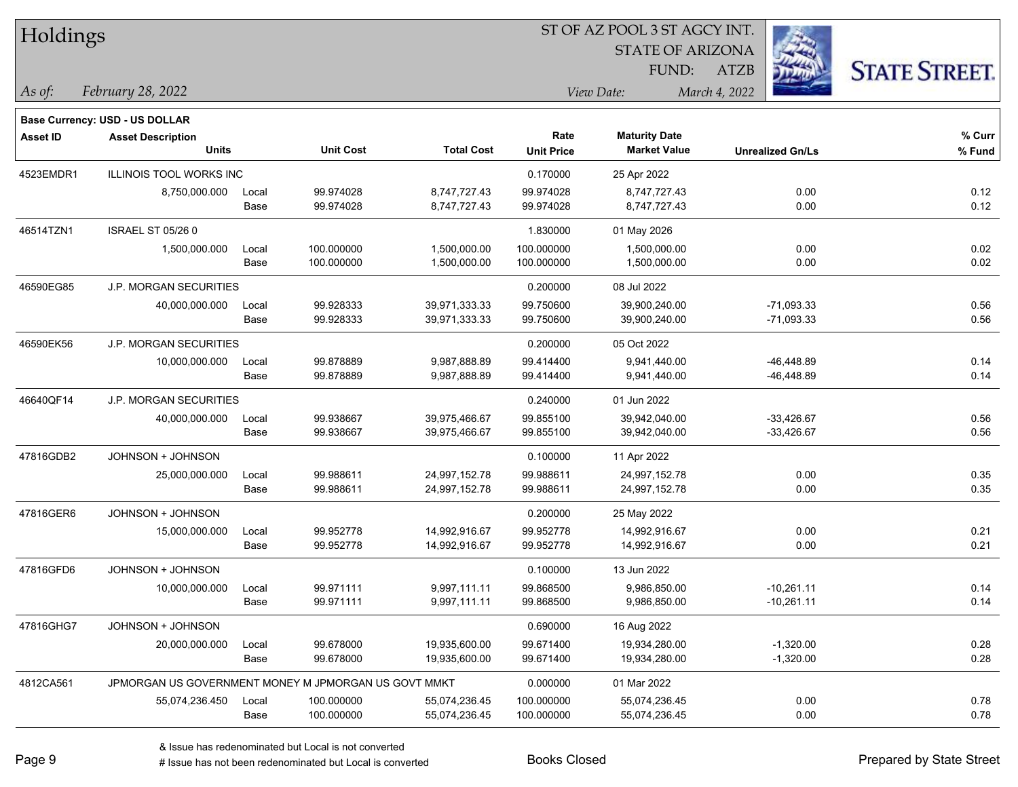| Holdings        |                                                      |       |                  |                   |                   | ST OF AZ POOL 3 ST AGCY INT. |                         |                      |
|-----------------|------------------------------------------------------|-------|------------------|-------------------|-------------------|------------------------------|-------------------------|----------------------|
|                 |                                                      |       |                  |                   |                   | <b>STATE OF ARIZONA</b>      |                         |                      |
|                 |                                                      |       |                  |                   |                   | FUND:                        | <b>ATZB</b>             | <b>STATE STREET.</b> |
| As of:          | February 28, 2022                                    |       |                  |                   |                   | View Date:                   | March 4, 2022           |                      |
|                 | Base Currency: USD - US DOLLAR                       |       |                  |                   |                   |                              |                         |                      |
| <b>Asset ID</b> | <b>Asset Description</b>                             |       |                  |                   | Rate              | <b>Maturity Date</b>         |                         | $%$ Curr             |
|                 | <b>Units</b>                                         |       | <b>Unit Cost</b> | <b>Total Cost</b> | <b>Unit Price</b> | <b>Market Value</b>          | <b>Unrealized Gn/Ls</b> | % Fund               |
| 4523EMDR1       | <b>ILLINOIS TOOL WORKS INC</b>                       |       |                  |                   | 0.170000          | 25 Apr 2022                  |                         |                      |
|                 | 8,750,000.000                                        | Local | 99.974028        | 8,747,727.43      | 99.974028         | 8,747,727.43                 | 0.00                    | 0.12                 |
|                 |                                                      | Base  | 99.974028        | 8,747,727.43      | 99.974028         | 8,747,727.43                 | 0.00                    | 0.12                 |
| 46514TZN1       | <b>ISRAEL ST 05/26 0</b>                             |       |                  |                   | 1.830000          | 01 May 2026                  |                         |                      |
|                 | 1,500,000.000                                        | Local | 100.000000       | 1,500,000.00      | 100.000000        | 1,500,000.00                 | 0.00                    | 0.02                 |
|                 |                                                      | Base  | 100.000000       | 1,500,000.00      | 100.000000        | 1,500,000.00                 | 0.00                    | 0.02                 |
| 46590EG85       | <b>J.P. MORGAN SECURITIES</b>                        |       |                  |                   | 0.200000          | 08 Jul 2022                  |                         |                      |
|                 | 40,000,000.000                                       | Local | 99.928333        | 39,971,333.33     | 99.750600         | 39,900,240.00                | $-71,093.33$            | 0.56                 |
|                 |                                                      | Base  | 99.928333        | 39,971,333.33     | 99.750600         | 39,900,240.00                | $-71,093.33$            | 0.56                 |
| 46590EK56       | <b>J.P. MORGAN SECURITIES</b>                        |       |                  |                   | 0.200000          | 05 Oct 2022                  |                         |                      |
|                 | 10,000,000.000                                       | Local | 99.878889        | 9,987,888.89      | 99.414400         | 9,941,440.00                 | $-46,448.89$            | 0.14                 |
|                 |                                                      | Base  | 99.878889        | 9,987,888.89      | 99.414400         | 9,941,440.00                 | $-46,448.89$            | 0.14                 |
| 46640QF14       | <b>J.P. MORGAN SECURITIES</b>                        |       |                  |                   | 0.240000          | 01 Jun 2022                  |                         |                      |
|                 | 40,000,000.000                                       | Local | 99.938667        | 39,975,466.67     | 99.855100         | 39,942,040.00                | $-33,426.67$            | 0.56                 |
|                 |                                                      | Base  | 99.938667        | 39,975,466.67     | 99.855100         | 39,942,040.00                | $-33,426.67$            | 0.56                 |
| 47816GDB2       | JOHNSON + JOHNSON                                    |       |                  |                   | 0.100000          | 11 Apr 2022                  |                         |                      |
|                 | 25,000,000.000                                       | Local | 99.988611        | 24,997,152.78     | 99.988611         | 24,997,152.78                | 0.00                    | 0.35                 |
|                 |                                                      | Base  | 99.988611        | 24,997,152.78     | 99.988611         | 24,997,152.78                | 0.00                    | 0.35                 |
| 47816GER6       | JOHNSON + JOHNSON                                    |       |                  |                   | 0.200000          | 25 May 2022                  |                         |                      |
|                 | 15,000,000.000                                       | Local | 99.952778        | 14,992,916.67     | 99.952778         | 14,992,916.67                | 0.00                    | 0.21                 |
|                 |                                                      | Base  | 99.952778        | 14,992,916.67     | 99.952778         | 14,992,916.67                | 0.00                    | 0.21                 |
| 47816GFD6       | JOHNSON + JOHNSON                                    |       |                  |                   | 0.100000          | 13 Jun 2022                  |                         |                      |
|                 | 10,000,000.000                                       | Local | 99.971111        | 9,997,111.11      | 99.868500         | 9,986,850.00                 | $-10,261.11$            | 0.14                 |
|                 |                                                      | Base  | 99.971111        | 9,997,111.11      | 99.868500         | 9,986,850.00                 | $-10,261.11$            | 0.14                 |
| 47816GHG7       | JOHNSON + JOHNSON                                    |       |                  |                   | 0.690000          | 16 Aug 2022                  |                         |                      |
|                 | 20,000,000.000                                       | Local | 99.678000        | 19,935,600.00     | 99.671400         | 19,934,280.00                | $-1,320.00$             | 0.28                 |
|                 |                                                      | Base  | 99.678000        | 19,935,600.00     | 99.671400         | 19,934,280.00                | $-1,320.00$             | 0.28                 |
| 4812CA561       | JPMORGAN US GOVERNMENT MONEY M JPMORGAN US GOVT MMKT |       |                  |                   | 0.000000          | 01 Mar 2022                  |                         |                      |
|                 | 55,074,236.450                                       | Local | 100.000000       | 55,074,236.45     | 100.000000        | 55,074,236.45                | 0.00                    | 0.78                 |
|                 |                                                      | Base  | 100.000000       | 55,074,236.45     | 100.000000        | 55,074,236.45                | 0.00                    | 0.78                 |

# Issue has not been redenominated but Local is converted Books Closed Prepared by State Street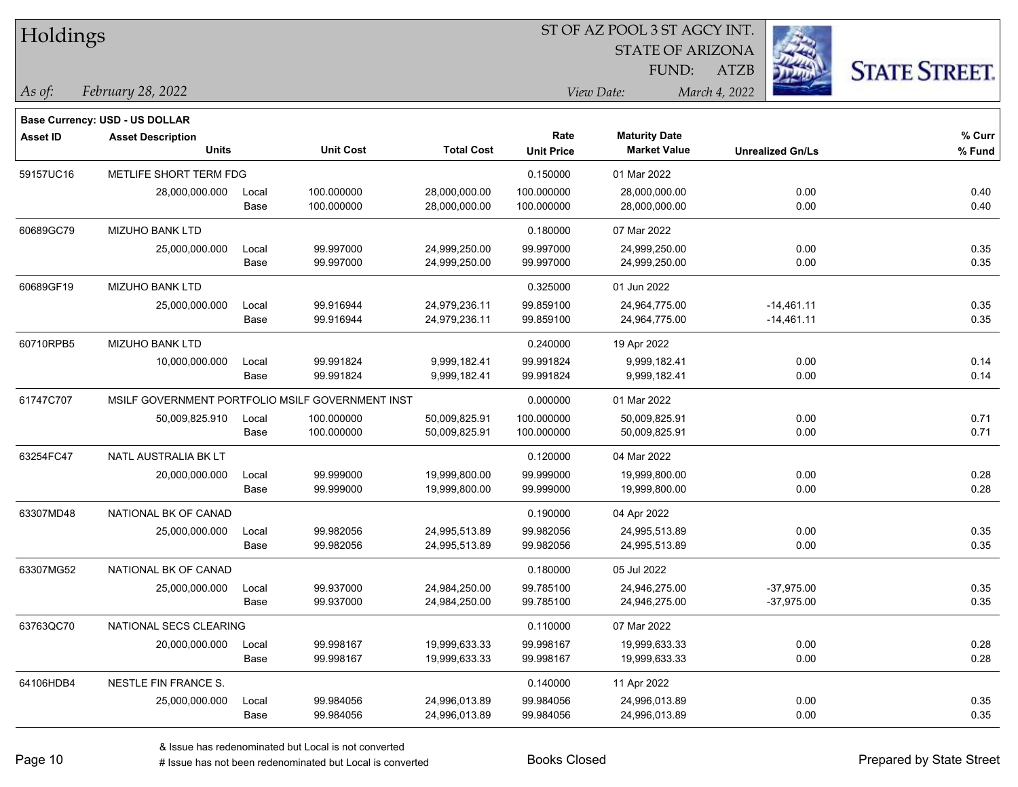| Holdings |
|----------|
|----------|

STATE OF ARIZONA FUND:

ATZB



*February 28, 2022 As of: View Date: March 4, 2022*

**Base Currency: USD - US DOLLAR**

| Asset ID  | <b>Asset Description</b>                         |       |                  |                   | Rate              |                     |                         | % Curr |
|-----------|--------------------------------------------------|-------|------------------|-------------------|-------------------|---------------------|-------------------------|--------|
|           | Units                                            |       | <b>Unit Cost</b> | <b>Total Cost</b> | <b>Unit Price</b> | <b>Market Value</b> | <b>Unrealized Gn/Ls</b> | % Fund |
| 59157UC16 | METLIFE SHORT TERM FDG                           |       |                  |                   | 0.150000          | 01 Mar 2022         |                         |        |
|           | 28,000,000.000                                   | Local | 100.000000       | 28,000,000.00     | 100.000000        | 28,000,000.00       | 0.00                    | 0.40   |
|           |                                                  | Base  | 100.000000       | 28,000,000.00     | 100.000000        | 28,000,000.00       | 0.00                    | 0.40   |
| 60689GC79 | <b>MIZUHO BANK LTD</b>                           |       |                  |                   | 0.180000          | 07 Mar 2022         |                         |        |
|           | 25,000,000.000                                   | Local | 99.997000        | 24,999,250.00     | 99.997000         | 24,999,250.00       | 0.00                    | 0.35   |
|           |                                                  | Base  | 99.997000        | 24,999,250.00     | 99.997000         | 24,999,250.00       | 0.00                    | 0.35   |
| 60689GF19 | <b>MIZUHO BANK LTD</b>                           |       |                  |                   | 0.325000          | 01 Jun 2022         |                         |        |
|           | 25,000,000.000                                   | Local | 99.916944        | 24,979,236.11     | 99.859100         | 24,964,775.00       | $-14,461.11$            | 0.35   |
|           |                                                  | Base  | 99.916944        | 24,979,236.11     | 99.859100         | 24,964,775.00       | $-14,461.11$            | 0.35   |
| 60710RPB5 | <b>MIZUHO BANK LTD</b>                           |       |                  |                   | 0.240000          | 19 Apr 2022         |                         |        |
|           | 10,000,000.000                                   | Local | 99.991824        | 9,999,182.41      | 99.991824         | 9,999,182.41        | 0.00                    | 0.14   |
|           |                                                  | Base  | 99.991824        | 9,999,182.41      | 99.991824         | 9,999,182.41        | 0.00                    | 0.14   |
| 61747C707 | MSILF GOVERNMENT PORTFOLIO MSILF GOVERNMENT INST |       |                  |                   | 0.000000          | 01 Mar 2022         |                         |        |
|           | 50,009,825.910                                   | Local | 100.000000       | 50,009,825.91     | 100.000000        | 50,009,825.91       | 0.00                    | 0.71   |
|           |                                                  | Base  | 100.000000       | 50,009,825.91     | 100.000000        | 50,009,825.91       | 0.00                    | 0.71   |
| 63254FC47 | NATL AUSTRALIA BK LT                             |       |                  |                   | 0.120000          | 04 Mar 2022         |                         |        |
|           | 20,000,000.000                                   | Local | 99.999000        | 19,999,800.00     | 99.999000         | 19,999,800.00       | 0.00                    | 0.28   |
|           |                                                  | Base  | 99.999000        | 19,999,800.00     | 99.999000         | 19,999,800.00       | 0.00                    | 0.28   |
| 63307MD48 | NATIONAL BK OF CANAD                             |       |                  |                   | 0.190000          | 04 Apr 2022         |                         |        |
|           | 25,000,000.000                                   | Local | 99.982056        | 24,995,513.89     | 99.982056         | 24,995,513.89       | 0.00                    | 0.35   |
|           |                                                  | Base  | 99.982056        | 24,995,513.89     | 99.982056         | 24,995,513.89       | 0.00                    | 0.35   |
| 63307MG52 | NATIONAL BK OF CANAD                             |       |                  |                   | 0.180000          | 05 Jul 2022         |                         |        |
|           | 25,000,000.000                                   | Local | 99.937000        | 24,984,250.00     | 99.785100         | 24,946,275.00       | $-37,975.00$            | 0.35   |
|           |                                                  | Base  | 99.937000        | 24,984,250.00     | 99.785100         | 24,946,275.00       | $-37,975.00$            | 0.35   |
| 63763QC70 | NATIONAL SECS CLEARING                           |       |                  |                   | 0.110000          | 07 Mar 2022         |                         |        |
|           | 20,000,000.000                                   | Local | 99.998167        | 19,999,633.33     | 99.998167         | 19,999,633.33       | 0.00                    | 0.28   |
|           |                                                  | Base  | 99.998167        | 19,999,633.33     | 99.998167         | 19,999,633.33       | 0.00                    | 0.28   |
| 64106HDB4 | NESTLE FIN FRANCE S.                             |       |                  |                   | 0.140000          | 11 Apr 2022         |                         |        |
|           | 25,000,000.000                                   | Local | 99.984056        | 24,996,013.89     | 99.984056         | 24,996,013.89       | 0.00                    | 0.35   |
|           |                                                  | Base  | 99.984056        | 24,996,013.89     | 99.984056         | 24,996,013.89       | 0.00                    | 0.35   |

# Issue has not been redenominated but Local is converted Books Closed Prepared by State Street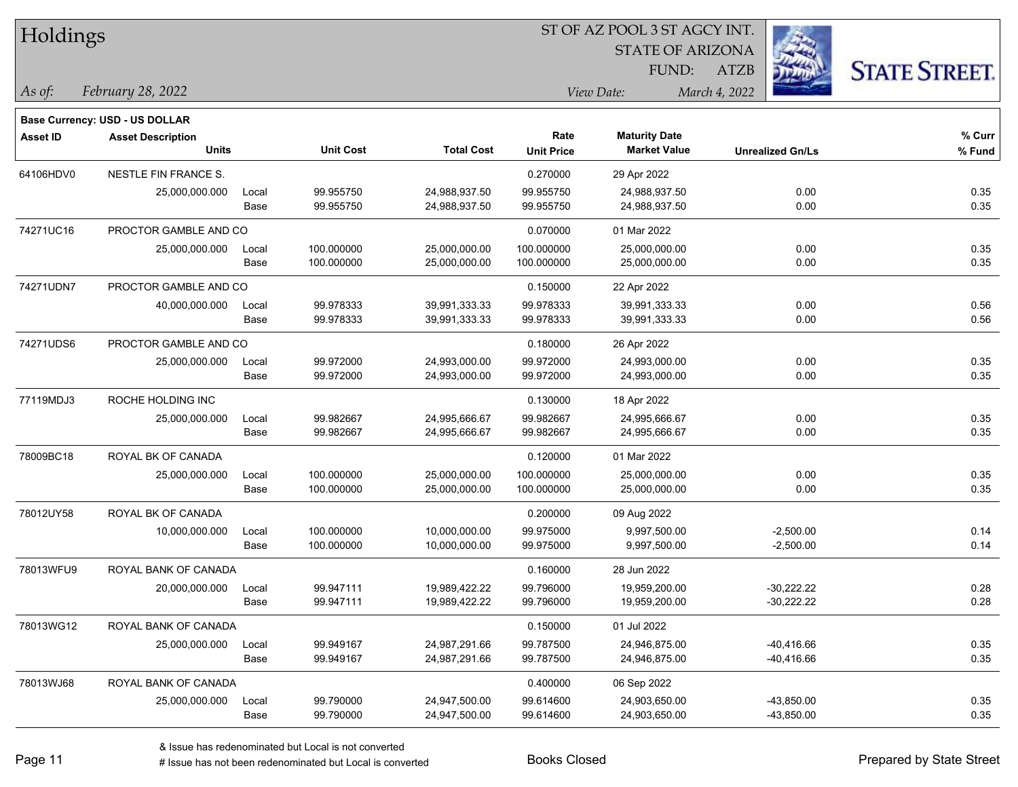| Holdings        |                                       |       |                  | ST OF AZ POOL 3 ST AGCY INT. |                   |                         |               |                         |                      |  |
|-----------------|---------------------------------------|-------|------------------|------------------------------|-------------------|-------------------------|---------------|-------------------------|----------------------|--|
|                 |                                       |       |                  |                              |                   | <b>STATE OF ARIZONA</b> |               |                         |                      |  |
|                 |                                       |       |                  |                              |                   | FUND:                   | <b>ATZB</b>   |                         | <b>STATE STREET.</b> |  |
| $ $ As of:      | February 28, 2022                     |       |                  |                              |                   | View Date:              | March 4, 2022 |                         |                      |  |
|                 | <b>Base Currency: USD - US DOLLAR</b> |       |                  |                              |                   |                         |               |                         |                      |  |
| <b>Asset ID</b> | <b>Asset Description</b>              |       |                  |                              | Rate              | <b>Maturity Date</b>    |               |                         | % Curr               |  |
|                 | <b>Units</b>                          |       | <b>Unit Cost</b> | <b>Total Cost</b>            | <b>Unit Price</b> | <b>Market Value</b>     |               | <b>Unrealized Gn/Ls</b> | % Fund               |  |
| 64106HDV0       | <b>NESTLE FIN FRANCE S.</b>           |       |                  |                              | 0.270000          | 29 Apr 2022             |               |                         |                      |  |
|                 | 25,000,000.000                        | Local | 99.955750        | 24,988,937.50                | 99.955750         | 24,988,937.50           |               | 0.00                    | 0.35                 |  |
|                 |                                       | Base  | 99.955750        | 24,988,937.50                | 99.955750         | 24,988,937.50           |               | 0.00                    | 0.35                 |  |
| 74271UC16       | PROCTOR GAMBLE AND CO                 |       |                  |                              | 0.070000          | 01 Mar 2022             |               |                         |                      |  |
|                 | 25,000,000.000                        | Local | 100.000000       | 25,000,000.00                | 100.000000        | 25,000,000.00           |               | 0.00                    | 0.35                 |  |
|                 |                                       | Base  | 100.000000       | 25,000,000.00                | 100.000000        | 25,000,000.00           |               | 0.00                    | 0.35                 |  |
| 74271UDN7       | PROCTOR GAMBLE AND CO                 |       |                  |                              | 0.150000          | 22 Apr 2022             |               |                         |                      |  |
|                 | 40,000,000.000                        | Local | 99.978333        | 39,991,333.33                | 99.978333         | 39,991,333.33           |               | 0.00                    | 0.56                 |  |
|                 |                                       | Base  | 99.978333        | 39,991,333.33                | 99.978333         | 39,991,333.33           |               | 0.00                    | 0.56                 |  |
| 74271UDS6       | PROCTOR GAMBLE AND CO                 |       |                  |                              | 0.180000          | 26 Apr 2022             |               |                         |                      |  |
|                 | 25,000,000.000                        | Local | 99.972000        | 24,993,000.00                | 99.972000         | 24,993,000.00           |               | 0.00                    | 0.35                 |  |
|                 |                                       | Base  | 99.972000        | 24,993,000.00                | 99.972000         | 24,993,000.00           |               | 0.00                    | 0.35                 |  |
| 77119MDJ3       | ROCHE HOLDING INC                     |       |                  |                              | 0.130000          | 18 Apr 2022             |               |                         |                      |  |
|                 | 25,000,000.000                        | Local | 99.982667        | 24,995,666.67                | 99.982667         | 24,995,666.67           |               | 0.00                    | 0.35                 |  |
|                 |                                       | Base  | 99.982667        | 24,995,666.67                | 99.982667         | 24,995,666.67           |               | 0.00                    | 0.35                 |  |
| 78009BC18       | ROYAL BK OF CANADA                    |       |                  |                              | 0.120000          | 01 Mar 2022             |               |                         |                      |  |
|                 | 25,000,000.000                        | Local | 100.000000       | 25,000,000.00                | 100.000000        | 25,000,000.00           |               | 0.00                    | 0.35                 |  |
|                 |                                       | Base  | 100.000000       | 25,000,000.00                | 100.000000        | 25,000,000.00           |               | 0.00                    | 0.35                 |  |
| 78012UY58       | ROYAL BK OF CANADA                    |       |                  |                              | 0.200000          | 09 Aug 2022             |               |                         |                      |  |
|                 | 10,000,000.000                        | Local | 100.000000       | 10,000,000.00                | 99.975000         | 9,997,500.00            |               | $-2,500.00$             | 0.14                 |  |
|                 |                                       | Base  | 100.000000       | 10,000,000.00                | 99.975000         | 9,997,500.00            |               | $-2,500.00$             | 0.14                 |  |
| 78013WFU9       | ROYAL BANK OF CANADA                  |       |                  |                              | 0.160000          | 28 Jun 2022             |               |                         |                      |  |
|                 | 20,000,000.000                        | Local | 99.947111        | 19,989,422.22                | 99.796000         | 19,959,200.00           |               | $-30,222.22$            | 0.28                 |  |
|                 |                                       | Base  | 99.947111        | 19,989,422.22                | 99.796000         | 19,959,200.00           |               | $-30,222.22$            | 0.28                 |  |
| 78013WG12       | ROYAL BANK OF CANADA                  |       |                  |                              | 0.150000          | 01 Jul 2022             |               |                         |                      |  |
|                 | 25,000,000.000                        | Local | 99.949167        | 24,987,291.66                | 99.787500         | 24,946,875.00           |               | $-40,416.66$            | 0.35                 |  |
|                 |                                       | Base  | 99.949167        | 24,987,291.66                | 99.787500         | 24,946,875.00           |               | $-40,416.66$            | 0.35                 |  |
| 78013WJ68       | ROYAL BANK OF CANADA                  |       |                  |                              | 0.400000          | 06 Sep 2022             |               |                         |                      |  |
|                 | 25,000,000.000                        | Local | 99.790000        | 24,947,500.00                | 99.614600         | 24,903,650.00           |               | $-43,850.00$            | 0.35                 |  |
|                 |                                       | Base  | 99.790000        | 24,947,500.00                | 99.614600         | 24,903,650.00           |               | $-43,850.00$            | 0.35                 |  |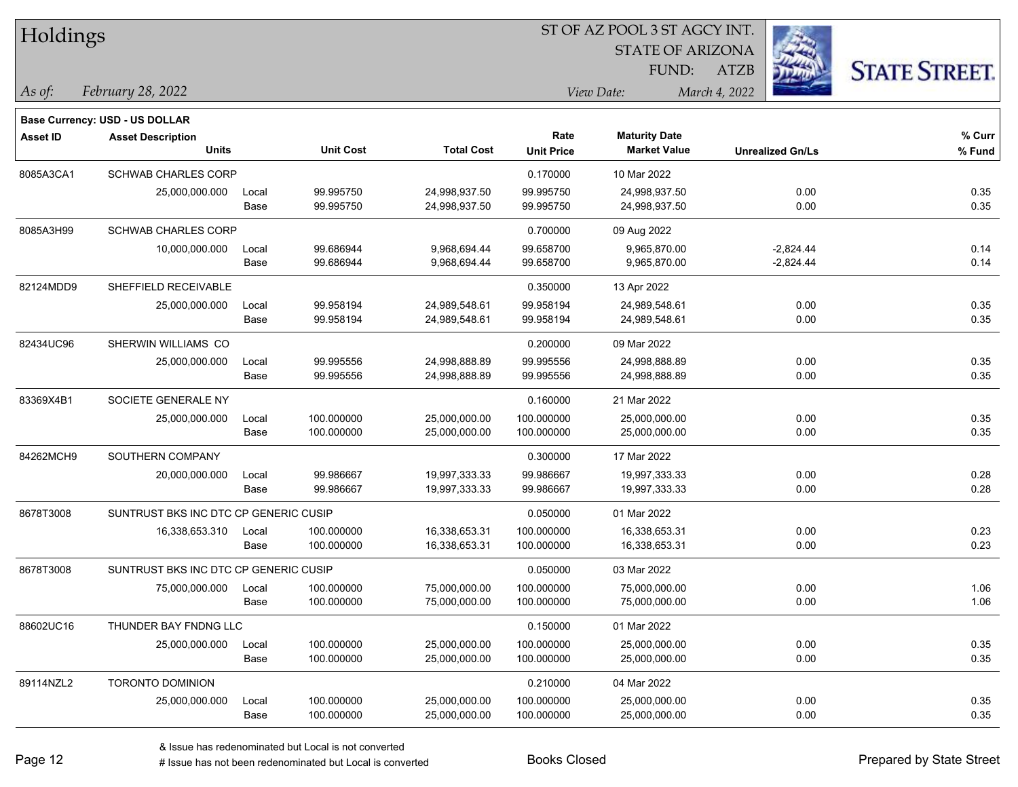| Holdings        |                                       |       |                  | ST OF AZ POOL 3 ST AGCY INT. |                   |                         |                         |                      |  |  |
|-----------------|---------------------------------------|-------|------------------|------------------------------|-------------------|-------------------------|-------------------------|----------------------|--|--|
|                 |                                       |       |                  |                              |                   | <b>STATE OF ARIZONA</b> |                         |                      |  |  |
|                 |                                       |       |                  |                              | FUND:             |                         | <b>ATZB</b>             | <b>STATE STREET.</b> |  |  |
| As of:          | February 28, 2022                     |       |                  |                              |                   | View Date:              | March 4, 2022           |                      |  |  |
|                 | Base Currency: USD - US DOLLAR        |       |                  |                              |                   |                         |                         |                      |  |  |
| <b>Asset ID</b> | <b>Asset Description</b>              |       |                  |                              | Rate              | <b>Maturity Date</b>    |                         | % Curr               |  |  |
|                 | <b>Units</b>                          |       | <b>Unit Cost</b> | <b>Total Cost</b>            | <b>Unit Price</b> | <b>Market Value</b>     | <b>Unrealized Gn/Ls</b> | % Fund               |  |  |
| 8085A3CA1       | SCHWAB CHARLES CORP                   |       |                  |                              | 0.170000          | 10 Mar 2022             |                         |                      |  |  |
|                 | 25,000,000.000                        | Local | 99.995750        | 24,998,937.50                | 99.995750         | 24,998,937.50           | 0.00                    | 0.35                 |  |  |
|                 |                                       | Base  | 99.995750        | 24,998,937.50                | 99.995750         | 24,998,937.50           | 0.00                    | 0.35                 |  |  |
| 8085A3H99       | SCHWAB CHARLES CORP                   |       |                  |                              | 0.700000          | 09 Aug 2022             |                         |                      |  |  |
|                 | 10,000,000.000                        | Local | 99.686944        | 9,968,694.44                 | 99.658700         | 9,965,870.00            | $-2,824.44$             | 0.14                 |  |  |
|                 |                                       | Base  | 99.686944        | 9,968,694.44                 | 99.658700         | 9,965,870.00            | $-2,824.44$             | 0.14                 |  |  |
| 82124MDD9       | SHEFFIELD RECEIVABLE                  |       |                  |                              | 0.350000          | 13 Apr 2022             |                         |                      |  |  |
|                 | 25,000,000.000                        | Local | 99.958194        | 24,989,548.61                | 99.958194         | 24,989,548.61           | 0.00                    | 0.35                 |  |  |
|                 |                                       | Base  | 99.958194        | 24,989,548.61                | 99.958194         | 24,989,548.61           | 0.00                    | 0.35                 |  |  |
| 82434UC96       | SHERWIN WILLIAMS CO                   |       |                  |                              | 0.200000          | 09 Mar 2022             |                         |                      |  |  |
|                 | 25,000,000.000                        | Local | 99.995556        | 24,998,888.89                | 99.995556         | 24,998,888.89           | 0.00                    | 0.35                 |  |  |
|                 |                                       | Base  | 99.995556        | 24,998,888.89                | 99.995556         | 24,998,888.89           | 0.00                    | 0.35                 |  |  |
| 83369X4B1       | SOCIETE GENERALE NY                   |       |                  |                              | 0.160000          | 21 Mar 2022             |                         |                      |  |  |
|                 | 25,000,000.000                        | Local | 100.000000       | 25,000,000.00                | 100.000000        | 25,000,000.00           | 0.00                    | 0.35                 |  |  |
|                 |                                       | Base  | 100.000000       | 25,000,000.00                | 100.000000        | 25,000,000.00           | 0.00                    | 0.35                 |  |  |
| 84262MCH9       | SOUTHERN COMPANY                      |       |                  |                              | 0.300000          | 17 Mar 2022             |                         |                      |  |  |
|                 | 20,000,000.000                        | Local | 99.986667        | 19,997,333.33                | 99.986667         | 19,997,333.33           | 0.00                    | 0.28                 |  |  |
|                 |                                       | Base  | 99.986667        | 19,997,333.33                | 99.986667         | 19,997,333.33           | 0.00                    | 0.28                 |  |  |
| 8678T3008       | SUNTRUST BKS INC DTC CP GENERIC CUSIP |       |                  |                              | 0.050000          | 01 Mar 2022             |                         |                      |  |  |
|                 | 16,338,653.310                        | Local | 100.000000       | 16,338,653.31                | 100.000000        | 16,338,653.31           | 0.00                    | 0.23                 |  |  |
|                 |                                       | Base  | 100.000000       | 16,338,653.31                | 100.000000        | 16,338,653.31           | 0.00                    | 0.23                 |  |  |
| 8678T3008       | SUNTRUST BKS INC DTC CP GENERIC CUSIP |       |                  |                              | 0.050000          | 03 Mar 2022             |                         |                      |  |  |
|                 | 75,000,000.000                        | Local | 100.000000       | 75,000,000.00                | 100.000000        | 75,000,000.00           | 0.00                    | 1.06                 |  |  |
|                 |                                       | Base  | 100.000000       | 75,000,000.00                | 100.000000        | 75,000,000.00           | 0.00                    | 1.06                 |  |  |
| 88602UC16       | THUNDER BAY FNDNG LLC                 |       |                  |                              | 0.150000          | 01 Mar 2022             |                         |                      |  |  |
|                 | 25,000,000.000                        | Local | 100.000000       | 25,000,000.00                | 100.000000        | 25,000,000.00           | 0.00                    | 0.35                 |  |  |
|                 |                                       | Base  | 100.000000       | 25,000,000.00                | 100.000000        | 25,000,000.00           | 0.00                    | 0.35                 |  |  |
| 89114NZL2       | <b>TORONTO DOMINION</b>               |       |                  |                              | 0.210000          | 04 Mar 2022             |                         |                      |  |  |
|                 | 25,000,000.000                        | Local | 100.000000       | 25,000,000.00                | 100.000000        | 25,000,000.00           | 0.00                    | 0.35                 |  |  |
|                 |                                       | Base  | 100.000000       | 25,000,000.00                | 100.000000        | 25,000,000.00           | 0.00                    | 0.35                 |  |  |

 $\overline{\phantom{0}}$ 

 $\overline{\phantom{a}}$ 

 $\overline{\phantom{0}}$ 

 $\overline{\phantom{0}}$ 

 $\overline{\phantom{0}}$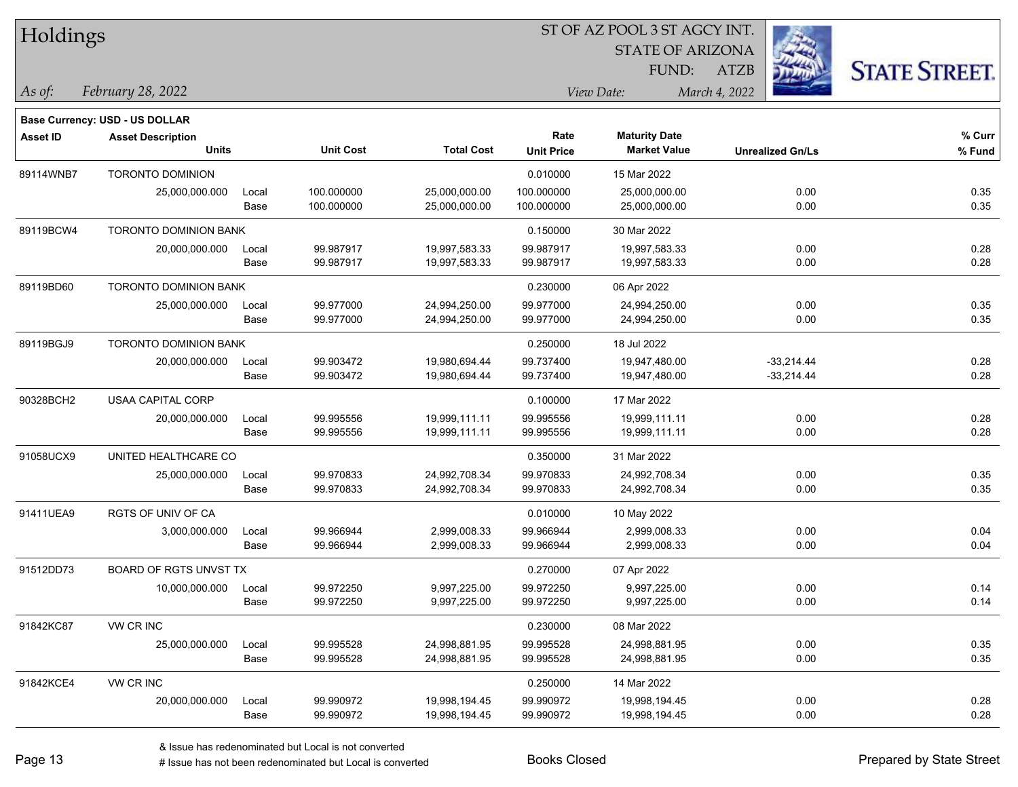| Holdings        |                                          |               |                          |                                | ST OF AZ POOL 3 ST AGCY INT. |                                             |                            |                              |  |
|-----------------|------------------------------------------|---------------|--------------------------|--------------------------------|------------------------------|---------------------------------------------|----------------------------|------------------------------|--|
|                 |                                          |               |                          |                                |                              | <b>STATE OF ARIZONA</b>                     |                            |                              |  |
|                 |                                          |               |                          |                                |                              | FUND:                                       | <b>ATZB</b>                | <b>STATE STREET.</b>         |  |
| As of:          | February 28, 2022                        |               |                          |                                |                              | View Date:                                  | March 4, 2022              |                              |  |
|                 | <b>Base Currency: USD - US DOLLAR</b>    |               |                          |                                |                              |                                             |                            |                              |  |
| <b>Asset ID</b> | <b>Asset Description</b><br><b>Units</b> |               | <b>Unit Cost</b>         | <b>Total Cost</b>              | Rate<br><b>Unit Price</b>    | <b>Maturity Date</b><br><b>Market Value</b> | <b>Unrealized Gn/Ls</b>    | % Curr<br>% Fund             |  |
| 89114WNB7       | <b>TORONTO DOMINION</b>                  |               |                          |                                | 0.010000                     | 15 Mar 2022                                 |                            |                              |  |
|                 | 25,000,000.000                           | Local<br>Base | 100.000000<br>100.000000 | 25,000,000.00<br>25,000,000.00 | 100.000000<br>100.000000     | 25,000,000.00<br>25,000,000.00              |                            | 0.00<br>0.35<br>0.00<br>0.35 |  |
| 89119BCW4       | <b>TORONTO DOMINION BANK</b>             |               |                          |                                | 0.150000                     | 30 Mar 2022                                 |                            |                              |  |
|                 | 20,000,000.000                           | Local<br>Base | 99.987917<br>99.987917   | 19,997,583.33<br>19,997,583.33 | 99.987917<br>99.987917       | 19,997,583.33<br>19,997,583.33              |                            | 0.28<br>0.00<br>0.28<br>0.00 |  |
| 89119BD60       | TORONTO DOMINION BANK                    |               |                          |                                | 0.230000                     | 06 Apr 2022                                 |                            |                              |  |
|                 | 25,000,000.000                           | Local<br>Base | 99.977000<br>99.977000   | 24,994,250.00<br>24,994,250.00 | 99.977000<br>99.977000       | 24,994,250.00<br>24,994,250.00              |                            | 0.35<br>0.00<br>0.35<br>0.00 |  |
| 89119BGJ9       | TORONTO DOMINION BANK                    |               |                          |                                | 0.250000                     | 18 Jul 2022                                 |                            |                              |  |
|                 | 20,000,000.000                           | Local<br>Base | 99.903472<br>99.903472   | 19,980,694.44<br>19,980,694.44 | 99.737400<br>99.737400       | 19,947,480.00<br>19,947,480.00              | $-33,214.44$<br>-33,214.44 | 0.28<br>0.28                 |  |
| 90328BCH2       | USAA CAPITAL CORP                        |               |                          |                                | 0.100000                     | 17 Mar 2022                                 |                            |                              |  |
|                 | 20,000,000.000                           | Local<br>Base | 99.995556<br>99.995556   | 19,999,111.11<br>19,999,111.11 | 99.995556<br>99.995556       | 19,999,111.11<br>19,999,111.11              |                            | 0.28<br>0.00<br>0.28<br>0.00 |  |
| 91058UCX9       | UNITED HEALTHCARE CO                     |               |                          |                                | 0.350000                     | 31 Mar 2022                                 |                            |                              |  |
|                 | 25,000,000.000                           | Local<br>Base | 99.970833<br>99.970833   | 24,992,708.34<br>24,992,708.34 | 99.970833<br>99.970833       | 24,992,708.34<br>24,992,708.34              | 0.00                       | 0.35<br>0.35<br>0.00         |  |
| 91411UEA9       | RGTS OF UNIV OF CA                       |               |                          |                                | 0.010000                     | 10 May 2022                                 |                            |                              |  |
|                 | 3,000,000.000                            | Local<br>Base | 99.966944<br>99.966944   | 2,999,008.33<br>2,999,008.33   | 99.966944<br>99.966944       | 2,999,008.33<br>2,999,008.33                | 0.00<br>0.00               | 0.04<br>0.04                 |  |
| 91512DD73       | BOARD OF RGTS UNVST TX                   |               |                          |                                | 0.270000                     | 07 Apr 2022                                 |                            |                              |  |
|                 | 10,000,000.000                           | Local<br>Base | 99.972250<br>99.972250   | 9,997,225.00<br>9,997,225.00   | 99.972250<br>99.972250       | 9,997,225.00<br>9,997,225.00                |                            | 0.14<br>0.00<br>0.14<br>0.00 |  |
| 91842KC87       | VW CR INC                                |               |                          |                                | 0.230000                     | 08 Mar 2022                                 |                            |                              |  |
|                 | 25,000,000.000                           | Local<br>Base | 99.995528<br>99.995528   | 24,998,881.95<br>24,998,881.95 | 99.995528<br>99.995528       | 24,998,881.95<br>24,998,881.95              |                            | 0.00<br>0.35<br>0.00<br>0.35 |  |
| 91842KCE4       | VW CR INC                                |               |                          |                                | 0.250000                     | 14 Mar 2022                                 |                            |                              |  |

20,000,000.000 Local 99.990972 19,998,194.45 99.990972 19,998,194.45 0.00 0.28

Base 99.990972 19,998,194.45 99.990972 19,998,194.45 0.00 0.28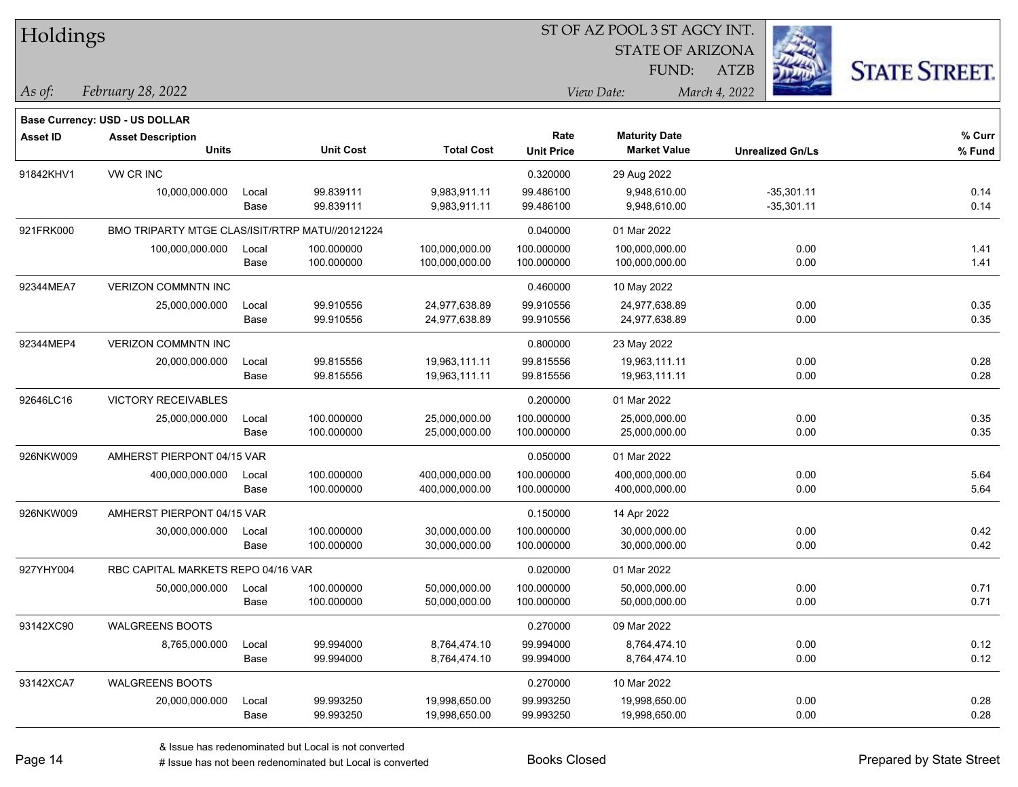| Holdings        |                                                 |       |                  |                   | 51 OF AZ POOL 3 51 AGCY INT. |                             |                         |                      |  |  |
|-----------------|-------------------------------------------------|-------|------------------|-------------------|------------------------------|-----------------------------|-------------------------|----------------------|--|--|
|                 |                                                 |       |                  |                   |                              | <b>STATE OF ARIZONA</b>     |                         |                      |  |  |
|                 |                                                 |       |                  |                   |                              | FUND:                       | <b>ATZB</b>             | <b>STATE STREET.</b> |  |  |
| $ $ As of:      | February 28, 2022                               |       |                  |                   |                              | March 4, 2022<br>View Date: |                         |                      |  |  |
|                 | <b>Base Currency: USD - US DOLLAR</b>           |       |                  |                   |                              |                             |                         |                      |  |  |
| <b>Asset ID</b> | <b>Asset Description</b>                        |       |                  |                   | Rate                         | <b>Maturity Date</b>        |                         | % Curr               |  |  |
|                 | <b>Units</b>                                    |       | <b>Unit Cost</b> | <b>Total Cost</b> | <b>Unit Price</b>            | <b>Market Value</b>         | <b>Unrealized Gn/Ls</b> | % Fund               |  |  |
| 91842KHV1       | VW CR INC                                       |       |                  |                   | 0.320000                     | 29 Aug 2022                 |                         |                      |  |  |
|                 | 10,000,000.000                                  | Local | 99.839111        | 9,983,911.11      | 99.486100                    | 9,948,610.00                | $-35,301.11$            | 0.14                 |  |  |
|                 |                                                 | Base  | 99.839111        | 9,983,911.11      | 99.486100                    | 9,948,610.00                | $-35,301.11$            | 0.14                 |  |  |
| 921FRK000       | BMO TRIPARTY MTGE CLAS/ISIT/RTRP MATU//20121224 |       |                  |                   | 0.040000                     | 01 Mar 2022                 |                         |                      |  |  |
|                 | 100,000,000.000                                 | Local | 100.000000       | 100,000,000.00    | 100.000000                   | 100,000,000.00              | 0.00                    | 1.41                 |  |  |
|                 |                                                 | Base  | 100.000000       | 100,000,000.00    | 100.000000                   | 100,000,000.00              | 0.00                    | 1.41                 |  |  |
| 92344MEA7       | VERIZON COMMNTN INC                             |       |                  |                   | 0.460000                     | 10 May 2022                 |                         |                      |  |  |
|                 | 25,000,000.000                                  | Local | 99.910556        | 24,977,638.89     | 99.910556                    | 24,977,638.89               | 0.00                    | 0.35                 |  |  |
|                 |                                                 | Base  | 99.910556        | 24,977,638.89     | 99.910556                    | 24,977,638.89               | 0.00                    | 0.35                 |  |  |
| 92344MEP4       | <b>VERIZON COMMNTN INC</b>                      |       |                  |                   | 0.800000                     | 23 May 2022                 |                         |                      |  |  |
|                 | 20,000,000.000                                  | Local | 99.815556        | 19,963,111.11     | 99.815556                    | 19,963,111.11               | 0.00                    | 0.28                 |  |  |
|                 |                                                 | Base  | 99.815556        | 19,963,111.11     | 99.815556                    | 19,963,111.11               | 0.00                    | 0.28                 |  |  |
| 92646LC16       | <b>VICTORY RECEIVABLES</b>                      |       |                  |                   | 0.200000                     | 01 Mar 2022                 |                         |                      |  |  |
|                 | 25,000,000.000                                  | Local | 100.000000       | 25,000,000.00     | 100.000000                   | 25,000,000.00               | 0.00                    | 0.35                 |  |  |
|                 |                                                 | Base  | 100.000000       | 25,000,000.00     | 100.000000                   | 25,000,000.00               | 0.00                    | 0.35                 |  |  |
| 926NKW009       | AMHERST PIERPONT 04/15 VAR                      |       |                  |                   | 0.050000                     | 01 Mar 2022                 |                         |                      |  |  |
|                 | 400,000,000.000                                 | Local | 100.000000       | 400,000,000.00    | 100.000000                   | 400,000,000.00              | 0.00                    | 5.64                 |  |  |
|                 |                                                 | Base  | 100.000000       | 400,000,000.00    | 100.000000                   | 400,000,000.00              | 0.00                    | 5.64                 |  |  |
| 926NKW009       | AMHERST PIERPONT 04/15 VAR                      |       |                  |                   | 0.150000                     | 14 Apr 2022                 |                         |                      |  |  |
|                 | 30,000,000.000                                  | Local | 100.000000       | 30,000,000.00     | 100.000000                   | 30,000,000.00               | 0.00                    | 0.42                 |  |  |
|                 |                                                 | Base  | 100.000000       | 30,000,000.00     | 100.000000                   | 30,000,000.00               | 0.00                    | 0.42                 |  |  |
| 927YHY004       | RBC CAPITAL MARKETS REPO 04/16 VAR              |       |                  |                   | 0.020000                     | 01 Mar 2022                 |                         |                      |  |  |
|                 | 50,000,000.000                                  | Local | 100.000000       | 50,000,000.00     | 100.000000                   | 50,000,000.00               | 0.00                    | 0.71                 |  |  |
|                 |                                                 | Base  | 100.000000       | 50,000,000.00     | 100.000000                   | 50,000,000.00               | 0.00                    | 0.71                 |  |  |
| 93142XC90       | <b>WALGREENS BOOTS</b>                          |       |                  |                   | 0.270000                     | 09 Mar 2022                 |                         |                      |  |  |
|                 | 8,765,000.000                                   | Local | 99.994000        | 8,764,474.10      | 99.994000                    | 8,764,474.10                | 0.00                    | 0.12                 |  |  |
|                 |                                                 | Base  | 99.994000        | 8,764,474.10      | 99.994000                    | 8,764,474.10                | 0.00                    | 0.12                 |  |  |
| 93142XCA7       | <b>WALGREENS BOOTS</b>                          |       |                  |                   | 0.270000                     | 10 Mar 2022                 |                         |                      |  |  |
|                 | 20,000,000.000                                  | Local | 99.993250        | 19,998,650.00     | 99.993250                    | 19,998,650.00               | 0.00                    | 0.28                 |  |  |
|                 |                                                 | Base  | 99.993250        | 19,998,650.00     | 99.993250                    | 19,998,650.00               | 0.00                    | 0.28                 |  |  |

ST OF A Z POOL 2 ST ACCV INT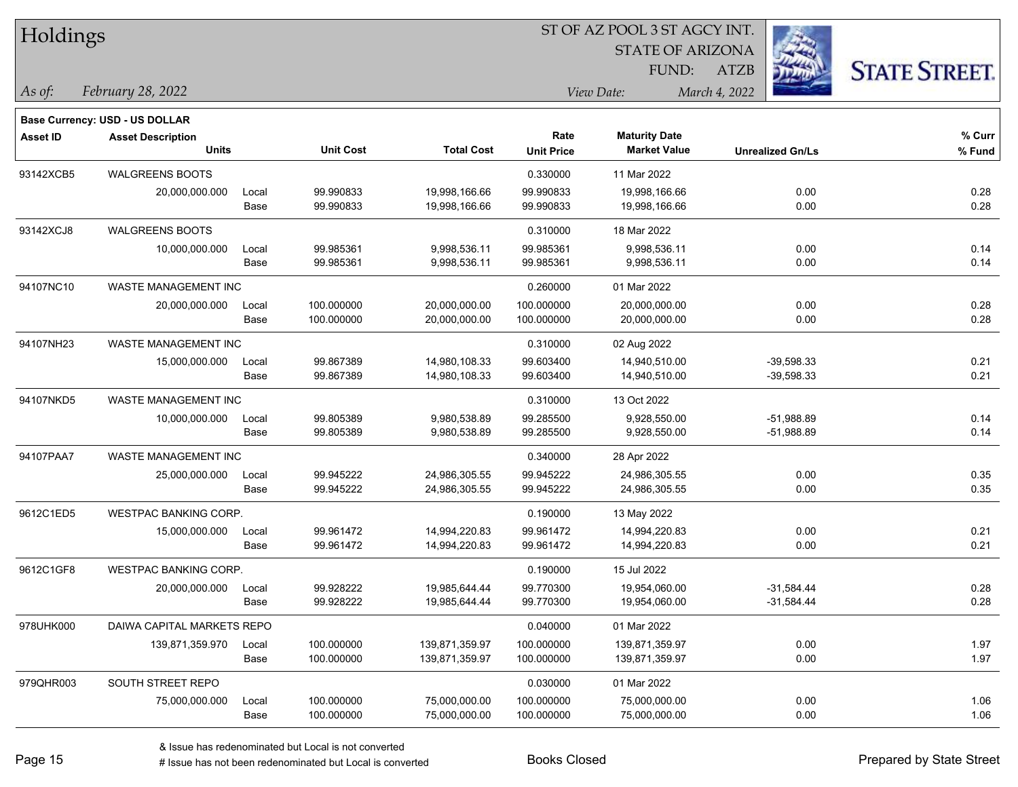| Holdings        |                                       |       |                  | ST OF AZ POOL 3 ST AGCY INT. |                   |                         |                         |                      |  |  |
|-----------------|---------------------------------------|-------|------------------|------------------------------|-------------------|-------------------------|-------------------------|----------------------|--|--|
|                 |                                       |       |                  |                              |                   | <b>STATE OF ARIZONA</b> | 23                      |                      |  |  |
|                 |                                       |       |                  |                              |                   | FUND:                   | <b>ATZB</b>             | <b>STATE STREET.</b> |  |  |
| As of:          | February 28, 2022                     |       |                  |                              |                   | View Date:              | March 4, 2022           |                      |  |  |
|                 | <b>Base Currency: USD - US DOLLAR</b> |       |                  |                              |                   |                         |                         |                      |  |  |
| <b>Asset ID</b> | <b>Asset Description</b>              |       |                  |                              | Rate              | <b>Maturity Date</b>    |                         | % Curr               |  |  |
|                 | <b>Units</b>                          |       | <b>Unit Cost</b> | <b>Total Cost</b>            | <b>Unit Price</b> | <b>Market Value</b>     | <b>Unrealized Gn/Ls</b> | % Fund               |  |  |
| 93142XCB5       | <b>WALGREENS BOOTS</b>                |       |                  |                              | 0.330000          | 11 Mar 2022             |                         |                      |  |  |
|                 | 20,000,000.000                        | Local | 99.990833        | 19,998,166.66                | 99.990833         | 19,998,166.66           | 0.00                    | 0.28                 |  |  |
|                 |                                       | Base  | 99.990833        | 19,998,166.66                | 99.990833         | 19,998,166.66           | 0.00                    | 0.28                 |  |  |
| 93142XCJ8       | <b>WALGREENS BOOTS</b>                |       |                  |                              | 0.310000          | 18 Mar 2022             |                         |                      |  |  |
|                 | 10,000,000.000                        | Local | 99.985361        | 9,998,536.11                 | 99.985361         | 9,998,536.11            | 0.00                    | 0.14                 |  |  |
|                 |                                       | Base  | 99.985361        | 9,998,536.11                 | 99.985361         | 9,998,536.11            | 0.00                    | 0.14                 |  |  |
| 94107NC10       | WASTE MANAGEMENT INC                  |       |                  |                              | 0.260000          | 01 Mar 2022             |                         |                      |  |  |
|                 | 20,000,000.000                        | Local | 100.000000       | 20,000,000.00                | 100.000000        | 20,000,000.00           | 0.00                    | 0.28                 |  |  |
|                 |                                       | Base  | 100.000000       | 20,000,000.00                | 100.000000        | 20,000,000.00           | 0.00                    | 0.28                 |  |  |
| 94107NH23       | WASTE MANAGEMENT INC                  |       |                  |                              | 0.310000          | 02 Aug 2022             |                         |                      |  |  |
|                 | 15,000,000.000                        | Local | 99.867389        | 14,980,108.33                | 99.603400         | 14,940,510.00           | $-39,598.33$            | 0.21                 |  |  |
|                 |                                       | Base  | 99.867389        | 14,980,108.33                | 99.603400         | 14,940,510.00           | $-39,598.33$            | 0.21                 |  |  |
| 94107NKD5       | WASTE MANAGEMENT INC                  |       |                  |                              | 0.310000          | 13 Oct 2022             |                         |                      |  |  |
|                 | 10,000,000.000                        | Local | 99.805389        | 9,980,538.89                 | 99.285500         | 9,928,550.00            | $-51,988.89$            | 0.14                 |  |  |
|                 |                                       | Base  | 99.805389        | 9,980,538.89                 | 99.285500         | 9,928,550.00            | $-51,988.89$            | 0.14                 |  |  |
| 94107PAA7       | WASTE MANAGEMENT INC                  |       |                  |                              | 0.340000          | 28 Apr 2022             |                         |                      |  |  |
|                 | 25,000,000.000                        | Local | 99.945222        | 24,986,305.55                | 99.945222         | 24,986,305.55           | 0.00                    | 0.35                 |  |  |
|                 |                                       | Base  | 99.945222        | 24,986,305.55                | 99.945222         | 24,986,305.55           | 0.00                    | 0.35                 |  |  |
| 9612C1ED5       | WESTPAC BANKING CORP.                 |       |                  |                              | 0.190000          | 13 May 2022             |                         |                      |  |  |
|                 | 15,000,000.000                        | Local | 99.961472        | 14,994,220.83                | 99.961472         | 14,994,220.83           | 0.00                    | 0.21                 |  |  |
|                 |                                       | Base  | 99.961472        | 14,994,220.83                | 99.961472         | 14,994,220.83           | 0.00                    | 0.21                 |  |  |
| 9612C1GF8       | <b>WESTPAC BANKING CORP.</b>          |       |                  |                              | 0.190000          | 15 Jul 2022             |                         |                      |  |  |
|                 | 20,000,000.000                        | Local | 99.928222        | 19,985,644.44                | 99.770300         | 19,954,060.00           | $-31,584.44$            | 0.28                 |  |  |
|                 |                                       | Base  | 99.928222        | 19,985,644.44                | 99.770300         | 19,954,060.00           | $-31,584.44$            | 0.28                 |  |  |
| 978UHK000       | DAIWA CAPITAL MARKETS REPO            |       |                  |                              | 0.040000          | 01 Mar 2022             |                         |                      |  |  |
|                 | 139,871,359.970                       | Local | 100.000000       | 139,871,359.97               | 100.000000        | 139,871,359.97          | 0.00                    | 1.97                 |  |  |
|                 |                                       | Base  | 100.000000       | 139,871,359.97               | 100.000000        | 139,871,359.97          | 0.00                    | 1.97                 |  |  |
| 979QHR003       | SOUTH STREET REPO                     |       |                  |                              | 0.030000          | 01 Mar 2022             |                         |                      |  |  |
|                 | 75,000,000.000                        | Local | 100.000000       | 75,000,000.00                | 100.000000        | 75,000,000.00           | 0.00                    | 1.06                 |  |  |
|                 |                                       | Base  | 100.000000       | 75,000,000.00                | 100.000000        | 75,000,000.00           | 0.00                    | 1.06                 |  |  |

 $\overline{\phantom{0}}$ 

 $\overline{\phantom{0}}$ 

 $\overline{\phantom{a}}$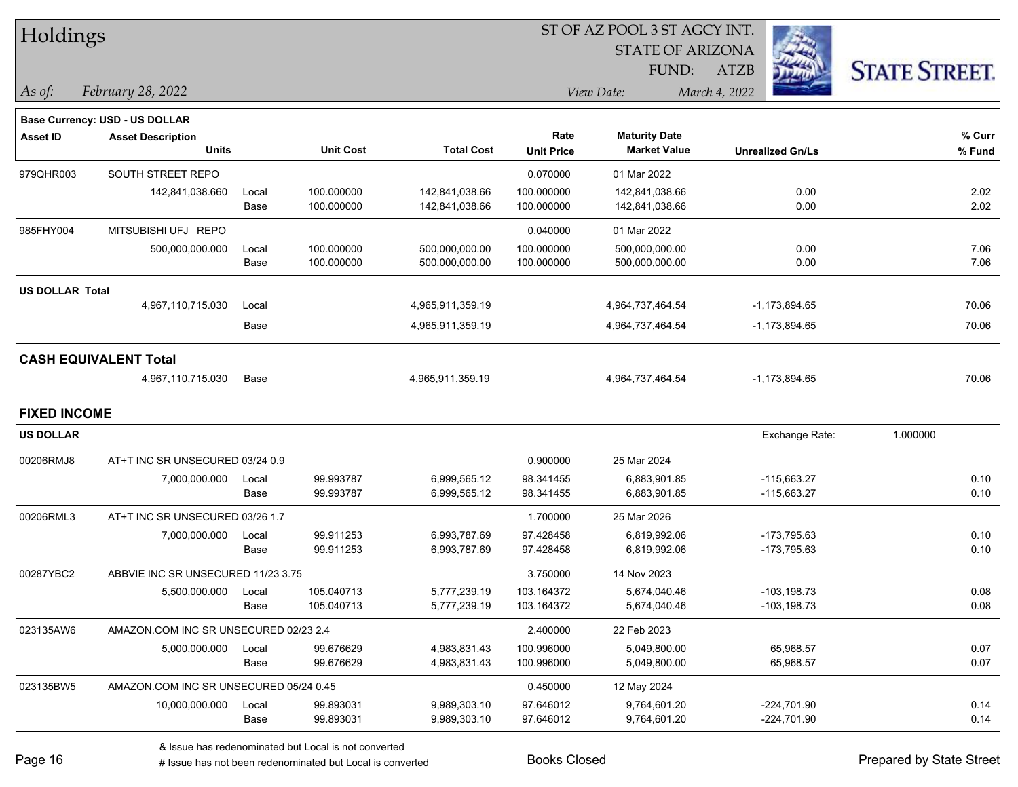| Holdings               |                                        |       |                  |                   | ST OF AZ POOL 3 ST AGCY INT.<br><b>STATE OF ARIZONA</b> |                      |                         |                      |  |  |
|------------------------|----------------------------------------|-------|------------------|-------------------|---------------------------------------------------------|----------------------|-------------------------|----------------------|--|--|
|                        |                                        |       |                  |                   |                                                         |                      |                         |                      |  |  |
|                        |                                        |       |                  |                   | FUND:                                                   |                      | <b>ATZB</b>             | <b>STATE STREET.</b> |  |  |
| $ $ As of:             | February 28, 2022                      |       |                  |                   |                                                         | View Date:           | March 4, 2022           |                      |  |  |
|                        | <b>Base Currency: USD - US DOLLAR</b>  |       |                  |                   |                                                         |                      |                         |                      |  |  |
| <b>Asset ID</b>        | <b>Asset Description</b>               |       |                  |                   | Rate                                                    | <b>Maturity Date</b> |                         | % Curr               |  |  |
|                        | <b>Units</b>                           |       | <b>Unit Cost</b> | <b>Total Cost</b> | <b>Unit Price</b>                                       | <b>Market Value</b>  | <b>Unrealized Gn/Ls</b> | % Fund               |  |  |
| 979QHR003              | SOUTH STREET REPO                      |       |                  |                   | 0.070000                                                | 01 Mar 2022          |                         |                      |  |  |
|                        | 142,841,038.660                        | Local | 100.000000       | 142,841,038.66    | 100.000000                                              | 142,841,038.66       | 0.00                    | 2.02                 |  |  |
|                        |                                        | Base  | 100.000000       | 142,841,038.66    | 100.000000                                              | 142,841,038.66       | 0.00                    | 2.02                 |  |  |
| 985FHY004              | MITSUBISHI UFJ REPO                    |       |                  |                   | 0.040000                                                | 01 Mar 2022          |                         |                      |  |  |
|                        | 500,000,000.000                        | Local | 100.000000       | 500,000,000.00    | 100.000000                                              | 500,000,000.00       | 0.00                    | 7.06                 |  |  |
|                        |                                        | Base  | 100.000000       | 500,000,000.00    | 100.000000                                              | 500,000,000.00       | 0.00                    | 7.06                 |  |  |
| <b>US DOLLAR Total</b> |                                        |       |                  |                   |                                                         |                      |                         |                      |  |  |
|                        | 4,967,110,715.030                      | Local |                  | 4,965,911,359.19  |                                                         | 4,964,737,464.54     | $-1, 173, 894.65$       | 70.06                |  |  |
|                        |                                        | Base  |                  | 4,965,911,359.19  |                                                         | 4,964,737,464.54     | -1,173,894.65           | 70.06                |  |  |
|                        | <b>CASH EQUIVALENT Total</b>           |       |                  |                   |                                                         |                      |                         |                      |  |  |
|                        | 4,967,110,715.030                      | Base  |                  | 4,965,911,359.19  |                                                         | 4,964,737,464.54     | $-1, 173, 894.65$       | 70.06                |  |  |
| <b>FIXED INCOME</b>    |                                        |       |                  |                   |                                                         |                      |                         |                      |  |  |
| <b>US DOLLAR</b>       |                                        |       |                  |                   |                                                         |                      | Exchange Rate:          | 1.000000             |  |  |
| 00206RMJ8              | AT+T INC SR UNSECURED 03/24 0.9        |       |                  |                   | 0.900000                                                | 25 Mar 2024          |                         |                      |  |  |
|                        | 7,000,000.000                          | Local | 99.993787        | 6,999,565.12      | 98.341455                                               | 6,883,901.85         | $-115,663.27$           | 0.10                 |  |  |
|                        |                                        | Base  | 99.993787        | 6,999,565.12      | 98.341455                                               | 6,883,901.85         | $-115,663.27$           | 0.10                 |  |  |
| 00206RML3              | AT+T INC SR UNSECURED 03/26 1.7        |       |                  |                   | 1.700000                                                | 25 Mar 2026          |                         |                      |  |  |
|                        | 7,000,000.000                          | Local | 99.911253        | 6,993,787.69      | 97.428458                                               | 6,819,992.06         | -173,795.63             | 0.10                 |  |  |
|                        |                                        | Base  | 99.911253        | 6,993,787.69      | 97.428458                                               | 6,819,992.06         | -173,795.63             | 0.10                 |  |  |
| 00287YBC2              | ABBVIE INC SR UNSECURED 11/23 3.75     |       |                  |                   | 3.750000                                                | 14 Nov 2023          |                         |                      |  |  |
|                        | 5,500,000.000 Local                    |       | 105.040713       | 5,777,239.19      | 103.164372                                              | 5,674,040.46         | $-103, 198.73$          | 0.08                 |  |  |
|                        |                                        | Base  | 105.040713       | 5,777,239.19      | 103.164372                                              | 5,674,040.46         | $-103, 198.73$          | 0.08                 |  |  |
| 023135AW6              | AMAZON.COM INC SR UNSECURED 02/23 2.4  |       |                  |                   | 2.400000                                                | 22 Feb 2023          |                         |                      |  |  |
|                        | 5,000,000.000                          | Local | 99.676629        | 4,983,831.43      | 100.996000                                              | 5,049,800.00         | 65,968.57               | 0.07                 |  |  |
|                        |                                        | Base  | 99.676629        | 4,983,831.43      | 100.996000                                              | 5,049,800.00         | 65,968.57               | 0.07                 |  |  |
| 023135BW5              | AMAZON.COM INC SR UNSECURED 05/24 0.45 |       |                  |                   | 0.450000                                                | 12 May 2024          |                         |                      |  |  |
|                        | 10,000,000.000                         | Local | 99.893031        | 9,989,303.10      | 97.646012                                               | 9,764,601.20         | $-224,701.90$           | 0.14                 |  |  |
|                        |                                        | Base  | 99.893031        | 9,989,303.10      | 97.646012                                               | 9,764,601.20         | $-224,701.90$           | 0.14                 |  |  |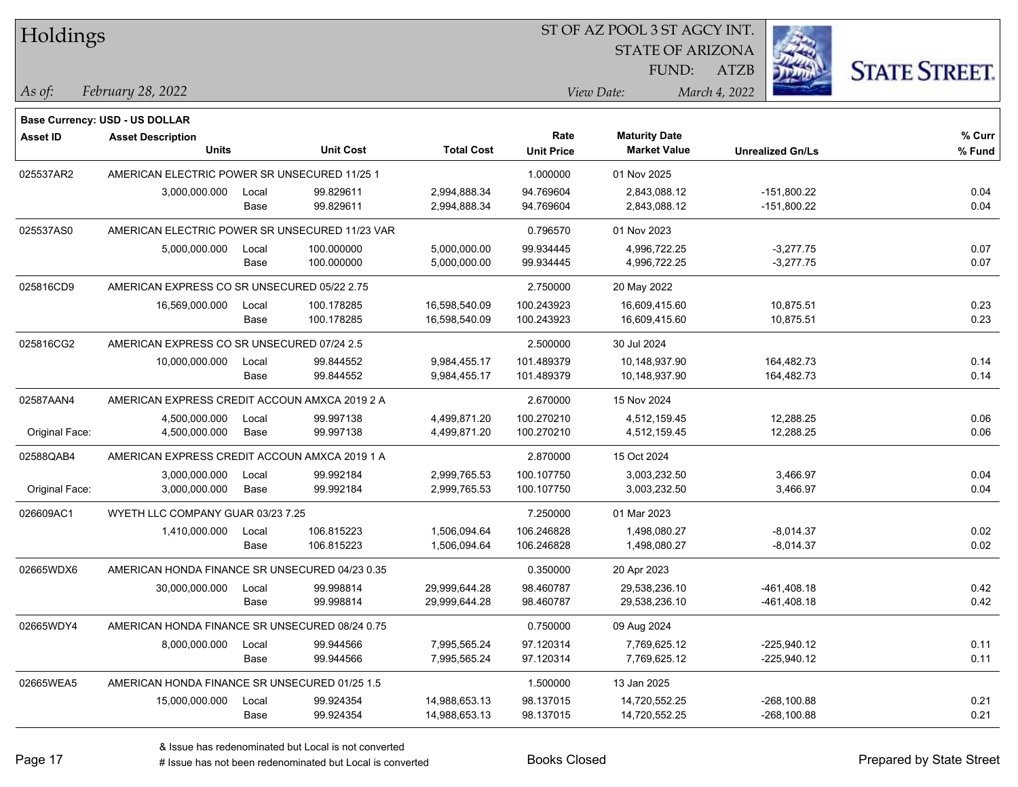| Holdings        |                                                |       |                  |                   | 51 OF AZ POOL 3 51 AGCY INT. |                         |                         |                      |  |  |
|-----------------|------------------------------------------------|-------|------------------|-------------------|------------------------------|-------------------------|-------------------------|----------------------|--|--|
|                 |                                                |       |                  |                   |                              | <b>STATE OF ARIZONA</b> |                         |                      |  |  |
|                 |                                                |       |                  |                   |                              | FUND:                   | <b>ATZB</b>             | <b>STATE STREET.</b> |  |  |
| $ $ As of:      | February 28, 2022                              |       |                  |                   |                              | View Date:              | March 4, 2022           |                      |  |  |
|                 |                                                |       |                  |                   |                              |                         |                         |                      |  |  |
|                 | <b>Base Currency: USD - US DOLLAR</b>          |       |                  |                   |                              |                         |                         |                      |  |  |
| <b>Asset ID</b> | <b>Asset Description</b>                       |       |                  |                   | Rate                         | <b>Maturity Date</b>    |                         | % Curr               |  |  |
|                 | <b>Units</b>                                   |       | <b>Unit Cost</b> | <b>Total Cost</b> | <b>Unit Price</b>            | <b>Market Value</b>     | <b>Unrealized Gn/Ls</b> | % Fund               |  |  |
| 025537AR2       | AMERICAN ELECTRIC POWER SR UNSECURED 11/25 1   |       |                  |                   | 1.000000                     | 01 Nov 2025             |                         |                      |  |  |
|                 | 3,000,000.000                                  | Local | 99.829611        | 2,994,888.34      | 94.769604                    | 2,843,088.12            | $-151,800.22$           | 0.04                 |  |  |
|                 |                                                | Base  | 99.829611        | 2,994,888.34      | 94.769604                    | 2,843,088.12            | $-151,800.22$           | 0.04                 |  |  |
| 025537AS0       | AMERICAN ELECTRIC POWER SR UNSECURED 11/23 VAR |       |                  |                   | 0.796570                     | 01 Nov 2023             |                         |                      |  |  |
|                 | 5,000,000.000                                  | Local | 100.000000       | 5,000,000.00      | 99.934445                    | 4,996,722.25            | $-3,277.75$             | 0.07                 |  |  |
|                 |                                                | Base  | 100.000000       | 5,000,000.00      | 99.934445                    | 4,996,722.25            | $-3,277.75$             | 0.07                 |  |  |
| 025816CD9       | AMERICAN EXPRESS CO SR UNSECURED 05/22 2.75    |       |                  |                   | 2.750000                     | 20 May 2022             |                         |                      |  |  |
|                 | 16,569,000.000                                 | Local | 100.178285       | 16,598,540.09     | 100.243923                   | 16,609,415.60           | 10,875.51               | 0.23                 |  |  |
|                 |                                                | Base  | 100.178285       | 16,598,540.09     | 100.243923                   | 16,609,415.60           | 10,875.51               | 0.23                 |  |  |
| 025816CG2       | AMERICAN EXPRESS CO SR UNSECURED 07/24 2.5     |       |                  |                   | 2.500000                     | 30 Jul 2024             |                         |                      |  |  |
|                 | 10,000,000.000                                 | Local | 99.844552        | 9,984,455.17      | 101.489379                   | 10,148,937.90           | 164,482.73              | 0.14                 |  |  |
|                 |                                                | Base  | 99.844552        | 9,984,455.17      | 101.489379                   | 10,148,937.90           | 164,482.73              | 0.14                 |  |  |
| 02587AAN4       | AMERICAN EXPRESS CREDIT ACCOUN AMXCA 2019 2 A  |       |                  |                   | 2.670000                     | 15 Nov 2024             |                         |                      |  |  |
|                 | 4,500,000.000                                  | Local | 99.997138        | 4,499,871.20      | 100.270210                   | 4,512,159.45            | 12,288.25               | 0.06                 |  |  |
| Original Face:  | 4,500,000.000                                  | Base  | 99.997138        | 4,499,871.20      | 100.270210                   | 4,512,159.45            | 12,288.25               | 0.06                 |  |  |
| 02588QAB4       | AMERICAN EXPRESS CREDIT ACCOUN AMXCA 2019 1 A  |       |                  |                   | 2.870000                     | 15 Oct 2024             |                         |                      |  |  |
|                 | 3,000,000.000                                  | Local | 99.992184        | 2,999,765.53      | 100.107750                   | 3,003,232.50            | 3,466.97                | 0.04                 |  |  |
| Original Face:  | 3,000,000.000                                  | Base  | 99.992184        | 2,999,765.53      | 100.107750                   | 3,003,232.50            | 3,466.97                | 0.04                 |  |  |
| 026609AC1       | WYETH LLC COMPANY GUAR 03/23 7.25              |       |                  |                   | 7.250000                     | 01 Mar 2023             |                         |                      |  |  |
|                 | 1,410,000.000                                  | Local | 106.815223       | 1,506,094.64      | 106.246828                   | 1,498,080.27            | $-8,014.37$             | 0.02                 |  |  |
|                 |                                                | Base  | 106.815223       | 1,506,094.64      | 106.246828                   | 1,498,080.27            | $-8,014.37$             | 0.02                 |  |  |
| 02665WDX6       | AMERICAN HONDA FINANCE SR UNSECURED 04/23 0.35 |       |                  |                   | 0.350000                     | 20 Apr 2023             |                         |                      |  |  |
|                 | 30,000,000.000                                 | Local | 99.998814        | 29,999,644.28     | 98.460787                    | 29,538,236.10           | $-461,408.18$           | 0.42                 |  |  |
|                 |                                                | Base  | 99.998814        | 29,999,644.28     | 98.460787                    | 29,538,236.10           | -461,408.18             | 0.42                 |  |  |
| 02665WDY4       | AMERICAN HONDA FINANCE SR UNSECURED 08/24 0.75 |       |                  |                   | 0.750000                     | 09 Aug 2024             |                         |                      |  |  |
|                 | 8,000,000.000                                  | Local | 99.944566        | 7,995,565.24      | 97.120314                    | 7,769,625.12            | $-225,940.12$           | 0.11                 |  |  |
|                 |                                                | Base  | 99.944566        | 7,995,565.24      | 97.120314                    | 7,769,625.12            | $-225,940.12$           | 0.11                 |  |  |
| 02665WEA5       | AMERICAN HONDA FINANCE SR UNSECURED 01/25 1.5  |       |                  |                   | 1.500000                     | 13 Jan 2025             |                         |                      |  |  |
|                 | 15,000,000.000                                 | Local | 99.924354        | 14,988,653.13     | 98.137015                    | 14,720,552.25           | $-268,100.88$           | 0.21                 |  |  |
|                 |                                                | Base  | 99.924354        | 14,988,653.13     | 98.137015                    | 14,720,552.25           | $-268,100.88$           | 0.21                 |  |  |

ST OF A Z POOL 2 ST ACCV INT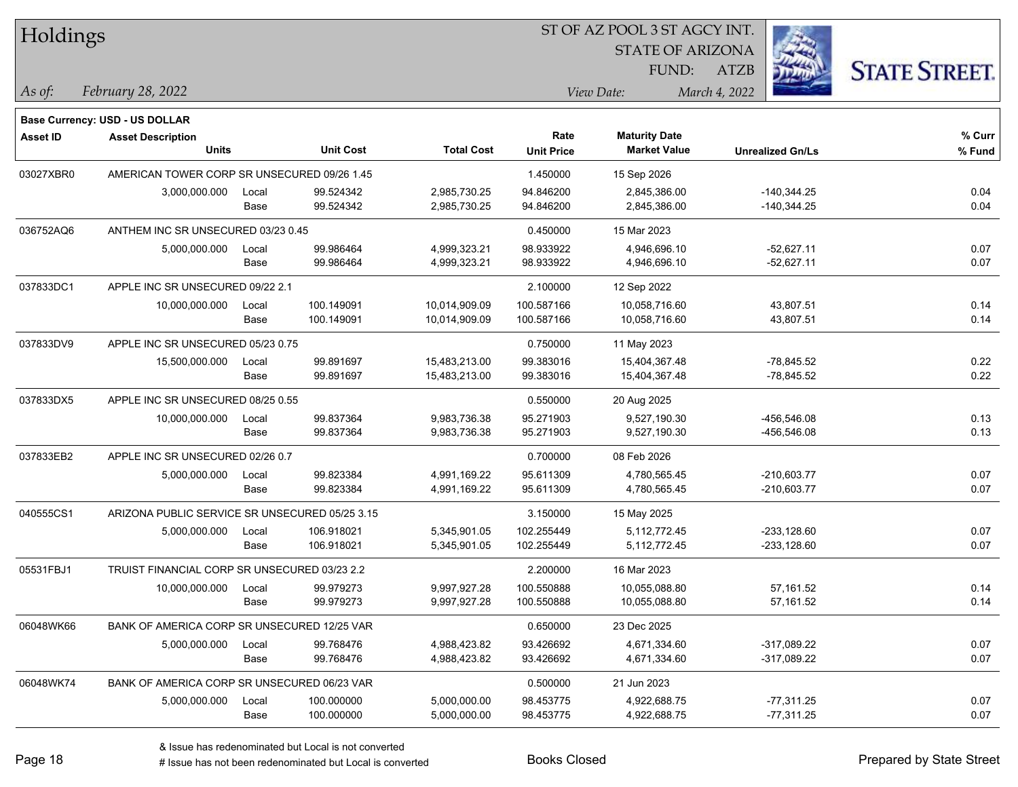| Holdings        |                                                |       |                  |                   |                   |                         |                         |                      |
|-----------------|------------------------------------------------|-------|------------------|-------------------|-------------------|-------------------------|-------------------------|----------------------|
|                 |                                                |       |                  |                   |                   | <b>STATE OF ARIZONA</b> |                         |                      |
|                 |                                                |       |                  |                   |                   | FUND:                   | <b>ATZB</b>             | <b>STATE STREET.</b> |
| As of:          | February 28, 2022                              |       |                  |                   |                   | View Date:              | March 4, 2022           |                      |
|                 | Base Currency: USD - US DOLLAR                 |       |                  |                   |                   |                         |                         |                      |
| <b>Asset ID</b> | <b>Asset Description</b>                       |       |                  |                   | Rate              | <b>Maturity Date</b>    |                         | $%$ Curr             |
|                 | <b>Units</b>                                   |       | <b>Unit Cost</b> | <b>Total Cost</b> | <b>Unit Price</b> | <b>Market Value</b>     | <b>Unrealized Gn/Ls</b> | % Fund               |
| 03027XBR0       | AMERICAN TOWER CORP SR UNSECURED 09/26 1.45    |       |                  |                   | 1.450000          | 15 Sep 2026             |                         |                      |
|                 | 3,000,000.000                                  | Local | 99.524342        | 2,985,730.25      | 94.846200         | 2,845,386.00            | $-140,344.25$           | 0.04                 |
|                 |                                                | Base  | 99.524342        | 2,985,730.25      | 94.846200         | 2,845,386.00            | $-140,344.25$           | 0.04                 |
| 036752AQ6       | ANTHEM INC SR UNSECURED 03/23 0.45             |       |                  |                   | 0.450000          | 15 Mar 2023             |                         |                      |
|                 | 5,000,000.000                                  | Local | 99.986464        | 4,999,323.21      | 98.933922         | 4,946,696.10            | $-52,627.11$            | 0.07                 |
|                 |                                                | Base  | 99.986464        | 4,999,323.21      | 98.933922         | 4,946,696.10            | $-52,627.11$            | 0.07                 |
| 037833DC1       | APPLE INC SR UNSECURED 09/22 2.1               |       |                  |                   | 2.100000          | 12 Sep 2022             |                         |                      |
|                 | 10,000,000.000                                 | Local | 100.149091       | 10,014,909.09     | 100.587166        | 10,058,716.60           | 43,807.51               | 0.14                 |
|                 |                                                | Base  | 100.149091       | 10,014,909.09     | 100.587166        | 10,058,716.60           | 43,807.51               | 0.14                 |
| 037833DV9       | APPLE INC SR UNSECURED 05/23 0.75              |       |                  |                   | 0.750000          | 11 May 2023             |                         |                      |
|                 | 15,500,000.000                                 | Local | 99.891697        | 15,483,213.00     | 99.383016         | 15,404,367.48           | $-78,845.52$            | 0.22                 |
|                 |                                                | Base  | 99.891697        | 15,483,213.00     | 99.383016         | 15,404,367.48           | $-78,845.52$            | 0.22                 |
| 037833DX5       | APPLE INC SR UNSECURED 08/25 0.55              |       |                  |                   | 0.550000          | 20 Aug 2025             |                         |                      |
|                 | 10,000,000.000                                 | Local | 99.837364        | 9,983,736.38      | 95.271903         | 9,527,190.30            | -456,546.08             | 0.13                 |
|                 |                                                | Base  | 99.837364        | 9,983,736.38      | 95.271903         | 9,527,190.30            | -456,546.08             | 0.13                 |
| 037833EB2       | APPLE INC SR UNSECURED 02/26 0.7               |       |                  |                   | 0.700000          | 08 Feb 2026             |                         |                      |
|                 | 5,000,000.000                                  | Local | 99.823384        | 4,991,169.22      | 95.611309         | 4,780,565.45            | $-210,603.77$           | 0.07                 |
|                 |                                                | Base  | 99.823384        | 4,991,169.22      | 95.611309         | 4,780,565.45            | $-210,603.77$           | 0.07                 |
| 040555CS1       | ARIZONA PUBLIC SERVICE SR UNSECURED 05/25 3.15 |       |                  |                   | 3.150000          | 15 May 2025             |                         |                      |
|                 | 5,000,000.000                                  | Local | 106.918021       | 5,345,901.05      | 102.255449        | 5,112,772.45            | $-233,128.60$           | 0.07                 |
|                 |                                                | Base  | 106.918021       | 5,345,901.05      | 102.255449        | 5,112,772.45            | $-233,128.60$           | 0.07                 |
| 05531FBJ1       | TRUIST FINANCIAL CORP SR UNSECURED 03/23 2.2   |       |                  |                   | 2.200000          | 16 Mar 2023             |                         |                      |
|                 | 10,000,000.000                                 | Local | 99.979273        | 9,997,927.28      | 100.550888        | 10,055,088.80           | 57.161.52               | 0.14                 |
|                 |                                                | Base  | 99.979273        | 9,997,927.28      | 100.550888        | 10,055,088.80           | 57,161.52               | 0.14                 |
| 06048WK66       | BANK OF AMERICA CORP SR UNSECURED 12/25 VAR    |       |                  |                   | 0.650000          | 23 Dec 2025             |                         |                      |
|                 | 5,000,000.000                                  | Local | 99.768476        | 4,988,423.82      | 93.426692         | 4,671,334.60            | -317,089.22             | 0.07                 |
|                 |                                                | Base  | 99.768476        | 4,988,423.82      | 93.426692         | 4,671,334.60            | -317,089.22             | 0.07                 |
| 06048WK74       | BANK OF AMERICA CORP SR UNSECURED 06/23 VAR    |       |                  |                   | 0.500000          | 21 Jun 2023             |                         |                      |
|                 | 5,000,000.000                                  | Local | 100.000000       | 5,000,000.00      | 98.453775         | 4,922,688.75            | $-77,311.25$            | 0.07                 |
|                 |                                                | Base  | 100.000000       | 5,000,000.00      | 98.453775         | 4,922,688.75            | $-77,311.25$            | 0.07                 |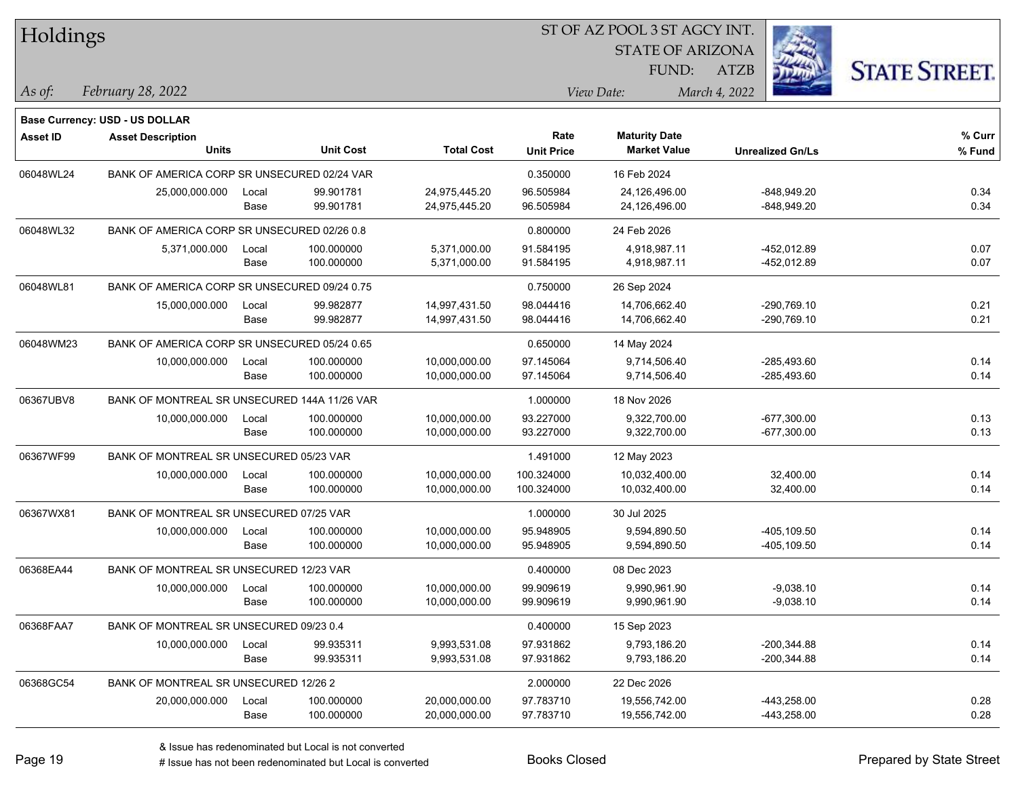| Holdings        |                                                            |       |                  |                   | ST OF AZ POOL 3 ST AGCY INT. |                         |                         |                      |
|-----------------|------------------------------------------------------------|-------|------------------|-------------------|------------------------------|-------------------------|-------------------------|----------------------|
|                 |                                                            |       |                  |                   |                              | <b>STATE OF ARIZONA</b> |                         |                      |
|                 |                                                            |       |                  |                   |                              | FUND:                   | <b>ATZB</b>             | <b>STATE STREET.</b> |
| As of:          | February 28, 2022                                          |       |                  |                   |                              | View Date:              | March 4, 2022           |                      |
|                 |                                                            |       |                  |                   |                              |                         |                         |                      |
| <b>Asset ID</b> | Base Currency: USD - US DOLLAR<br><b>Asset Description</b> |       |                  |                   | Rate                         | <b>Maturity Date</b>    |                         | % Curr               |
|                 | <b>Units</b>                                               |       | <b>Unit Cost</b> | <b>Total Cost</b> | <b>Unit Price</b>            | <b>Market Value</b>     | <b>Unrealized Gn/Ls</b> | % Fund               |
| 06048WL24       | BANK OF AMERICA CORP SR UNSECURED 02/24 VAR                |       |                  |                   | 0.350000                     | 16 Feb 2024             |                         |                      |
|                 | 25,000,000.000                                             | Local | 99.901781        | 24,975,445.20     | 96.505984                    | 24,126,496.00           | -848,949.20             | 0.34                 |
|                 |                                                            | Base  | 99.901781        | 24,975,445.20     | 96.505984                    | 24,126,496.00           | -848,949.20             | 0.34                 |
| 06048WL32       | BANK OF AMERICA CORP SR UNSECURED 02/26 0.8                |       |                  |                   | 0.800000                     | 24 Feb 2026             |                         |                      |
|                 | 5,371,000.000                                              | Local | 100.000000       | 5,371,000.00      | 91.584195                    | 4,918,987.11            | -452,012.89             | 0.07                 |
|                 |                                                            | Base  | 100.000000       | 5,371,000.00      | 91.584195                    | 4,918,987.11            | -452,012.89             | 0.07                 |
| 06048WL81       | BANK OF AMERICA CORP SR UNSECURED 09/24 0.75               |       |                  |                   | 0.750000                     | 26 Sep 2024             |                         |                      |
|                 | 15,000,000.000                                             | Local | 99.982877        | 14,997,431.50     | 98.044416                    | 14,706,662.40           | -290,769.10             | 0.21                 |
|                 |                                                            | Base  | 99.982877        | 14,997,431.50     | 98.044416                    | 14,706,662.40           | -290,769.10             | 0.21                 |
| 06048WM23       | BANK OF AMERICA CORP SR UNSECURED 05/24 0.65               |       |                  |                   | 0.650000                     | 14 May 2024             |                         |                      |
|                 | 10,000,000.000                                             | Local | 100.000000       | 10,000,000.00     | 97.145064                    | 9,714,506.40            | $-285.493.60$           | 0.14                 |
|                 |                                                            | Base  | 100.000000       | 10,000,000.00     | 97.145064                    | 9,714,506.40            | $-285,493.60$           | 0.14                 |
| 06367UBV8       | BANK OF MONTREAL SR UNSECURED 144A 11/26 VAR               |       |                  |                   | 1.000000                     | 18 Nov 2026             |                         |                      |
|                 | 10,000,000.000                                             | Local | 100.000000       | 10,000,000.00     | 93.227000                    | 9,322,700.00            | $-677,300.00$           | 0.13                 |
|                 |                                                            | Base  | 100.000000       | 10,000,000.00     | 93.227000                    | 9,322,700.00            | $-677,300.00$           | 0.13                 |
| 06367WF99       | BANK OF MONTREAL SR UNSECURED 05/23 VAR                    |       |                  |                   | 1.491000                     | 12 May 2023             |                         |                      |
|                 | 10,000,000.000                                             | Local | 100.000000       | 10,000,000.00     | 100.324000                   | 10,032,400.00           | 32,400.00               | 0.14                 |
|                 |                                                            | Base  | 100.000000       | 10,000,000.00     | 100.324000                   | 10,032,400.00           | 32,400.00               | 0.14                 |
| 06367WX81       | BANK OF MONTREAL SR UNSECURED 07/25 VAR                    |       |                  |                   | 1.000000                     | 30 Jul 2025             |                         |                      |
|                 | 10,000,000.000                                             | Local | 100.000000       | 10,000,000.00     | 95.948905                    | 9,594,890.50            | -405,109.50             | 0.14                 |
|                 |                                                            | Base  | 100.000000       | 10,000,000.00     | 95.948905                    | 9,594,890.50            | -405,109.50             | 0.14                 |
| 06368EA44       | BANK OF MONTREAL SR UNSECURED 12/23 VAR                    |       |                  |                   | 0.400000                     | 08 Dec 2023             |                         |                      |
|                 | 10,000,000.000                                             | Local | 100.000000       | 10,000,000.00     | 99.909619                    | 9.990.961.90            | $-9,038.10$             | 0.14                 |
|                 |                                                            | Base  | 100.000000       | 10,000,000.00     | 99.909619                    | 9,990,961.90            | $-9,038.10$             | 0.14                 |
| 06368FAA7       | BANK OF MONTREAL SR UNSECURED 09/23 0.4                    |       |                  |                   | 0.400000                     | 15 Sep 2023             |                         |                      |
|                 | 10,000,000.000                                             | Local | 99.935311        | 9,993,531.08      | 97.931862                    | 9,793,186.20            | $-200,344.88$           | 0.14                 |
|                 |                                                            | Base  | 99.935311        | 9,993,531.08      | 97.931862                    | 9,793,186.20            | $-200,344.88$           | 0.14                 |
| 06368GC54       | BANK OF MONTREAL SR UNSECURED 12/26 2                      |       |                  |                   | 2.000000                     | 22 Dec 2026             |                         |                      |
|                 | 20,000,000.000                                             | Local | 100.000000       | 20,000,000.00     | 97.783710                    | 19,556,742.00           | -443,258.00             | 0.28                 |
|                 |                                                            | Base  | 100.000000       | 20,000,000.00     | 97.783710                    | 19,556,742.00           | -443,258.00             | 0.28                 |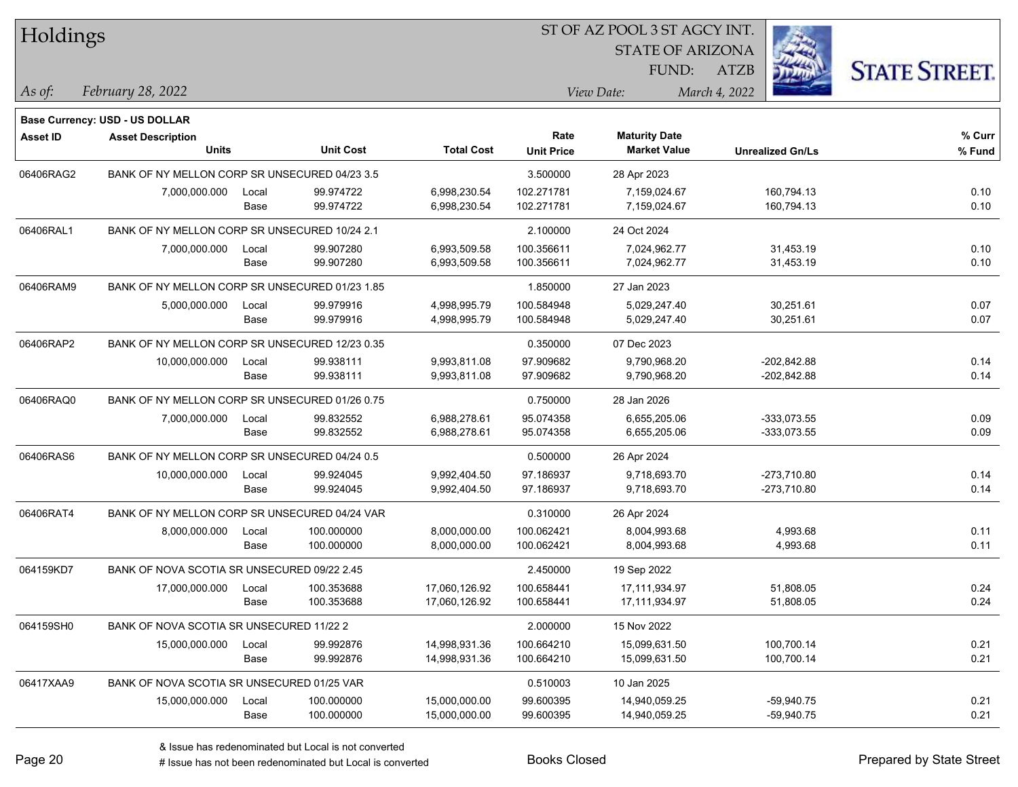| Holdings        |                                                |       |                  |                   | ST OF AZ POOL 3 ST AGCY INT. |                         |                         |                      |  |  |  |
|-----------------|------------------------------------------------|-------|------------------|-------------------|------------------------------|-------------------------|-------------------------|----------------------|--|--|--|
|                 |                                                |       |                  |                   |                              | <b>STATE OF ARIZONA</b> |                         |                      |  |  |  |
|                 |                                                |       |                  |                   |                              | FUND:                   | <b>ATZB</b>             | <b>STATE STREET.</b> |  |  |  |
| As of:          | February 28, 2022                              |       |                  |                   |                              | View Date:              | March 4, 2022           |                      |  |  |  |
|                 | <b>Base Currency: USD - US DOLLAR</b>          |       |                  |                   |                              |                         |                         |                      |  |  |  |
| <b>Asset ID</b> | <b>Asset Description</b>                       |       |                  |                   | Rate                         | <b>Maturity Date</b>    |                         | % Curr               |  |  |  |
|                 | <b>Units</b>                                   |       | <b>Unit Cost</b> | <b>Total Cost</b> | <b>Unit Price</b>            | <b>Market Value</b>     | <b>Unrealized Gn/Ls</b> | % Fund               |  |  |  |
| 06406RAG2       | BANK OF NY MELLON CORP SR UNSECURED 04/23 3.5  |       |                  |                   | 3.500000                     | 28 Apr 2023             |                         |                      |  |  |  |
|                 | 7,000,000.000                                  | Local | 99.974722        | 6,998,230.54      | 102.271781                   | 7,159,024.67            | 160,794.13              | 0.10                 |  |  |  |
|                 |                                                | Base  | 99.974722        | 6,998,230.54      | 102.271781                   | 7,159,024.67            | 160,794.13              | 0.10                 |  |  |  |
| 06406RAL1       | BANK OF NY MELLON CORP SR UNSECURED 10/24 2.1  |       |                  |                   | 2.100000                     | 24 Oct 2024             |                         |                      |  |  |  |
|                 | 7,000,000.000                                  | Local | 99.907280        | 6,993,509.58      | 100.356611                   | 7,024,962.77            | 31,453.19               | 0.10                 |  |  |  |
|                 |                                                | Base  | 99.907280        | 6,993,509.58      | 100.356611                   | 7,024,962.77            | 31,453.19               | 0.10                 |  |  |  |
| 06406RAM9       | BANK OF NY MELLON CORP SR UNSECURED 01/23 1.85 |       |                  |                   | 1.850000                     | 27 Jan 2023             |                         |                      |  |  |  |
|                 | 5,000,000.000                                  | Local | 99.979916        | 4,998,995.79      | 100.584948                   | 5,029,247.40            | 30,251.61               | 0.07                 |  |  |  |
|                 |                                                | Base  | 99.979916        | 4,998,995.79      | 100.584948                   | 5,029,247.40            | 30,251.61               | 0.07                 |  |  |  |
| 06406RAP2       | BANK OF NY MELLON CORP SR UNSECURED 12/23 0.35 |       |                  |                   | 0.350000                     | 07 Dec 2023             |                         |                      |  |  |  |
|                 | 10,000,000.000                                 | Local | 99.938111        | 9,993,811.08      | 97.909682                    | 9,790,968.20            | $-202.842.88$           | 0.14                 |  |  |  |
|                 |                                                | Base  | 99.938111        | 9,993,811.08      | 97.909682                    | 9,790,968.20            | $-202,842.88$           | 0.14                 |  |  |  |
| 06406RAQ0       | BANK OF NY MELLON CORP SR UNSECURED 01/26 0.75 |       |                  |                   | 0.750000                     | 28 Jan 2026             |                         |                      |  |  |  |
|                 | 7,000,000.000                                  | Local | 99.832552        | 6,988,278.61      | 95.074358                    | 6,655,205.06            | $-333,073.55$           | 0.09                 |  |  |  |
|                 |                                                | Base  | 99.832552        | 6,988,278.61      | 95.074358                    | 6,655,205.06            | $-333,073.55$           | 0.09                 |  |  |  |
| 06406RAS6       | BANK OF NY MELLON CORP SR UNSECURED 04/24 0.5  |       |                  |                   | 0.500000                     | 26 Apr 2024             |                         |                      |  |  |  |
|                 | 10,000,000.000                                 | Local | 99.924045        | 9,992,404.50      | 97.186937                    | 9,718,693.70            | -273,710.80             | 0.14                 |  |  |  |
|                 |                                                | Base  | 99.924045        | 9,992,404.50      | 97.186937                    | 9,718,693.70            | -273,710.80             | 0.14                 |  |  |  |
| 06406RAT4       | BANK OF NY MELLON CORP SR UNSECURED 04/24 VAR  |       |                  |                   | 0.310000                     | 26 Apr 2024             |                         |                      |  |  |  |
|                 | 8,000,000.000                                  | Local | 100.000000       | 8,000,000.00      | 100.062421                   | 8,004,993.68            | 4,993.68                | 0.11                 |  |  |  |
|                 |                                                | Base  | 100.000000       | 8,000,000.00      | 100.062421                   | 8,004,993.68            | 4,993.68                | 0.11                 |  |  |  |
| 064159KD7       | BANK OF NOVA SCOTIA SR UNSECURED 09/22 2.45    |       |                  |                   | 2.450000                     | 19 Sep 2022             |                         |                      |  |  |  |
|                 | 17,000,000.000                                 | Local | 100.353688       | 17,060,126.92     | 100.658441                   | 17,111,934.97           | 51,808.05               | 0.24                 |  |  |  |
|                 |                                                | Base  | 100.353688       | 17,060,126.92     | 100.658441                   | 17,111,934.97           | 51,808.05               | 0.24                 |  |  |  |
| 064159SH0       | BANK OF NOVA SCOTIA SR UNSECURED 11/22 2       |       |                  |                   | 2.000000                     | 15 Nov 2022             |                         |                      |  |  |  |
|                 | 15,000,000.000                                 | Local | 99.992876        | 14,998,931.36     | 100.664210                   | 15,099,631.50           | 100,700.14              | 0.21                 |  |  |  |
|                 |                                                | Base  | 99.992876        | 14,998,931.36     | 100.664210                   | 15,099,631.50           | 100,700.14              | 0.21                 |  |  |  |
| 06417XAA9       | BANK OF NOVA SCOTIA SR UNSECURED 01/25 VAR     |       |                  |                   | 0.510003                     | 10 Jan 2025             |                         |                      |  |  |  |
|                 | 15,000,000.000                                 | Local | 100.000000       | 15,000,000.00     | 99.600395                    | 14,940,059.25           | $-59,940.75$            | 0.21                 |  |  |  |
|                 |                                                | Base  | 100.000000       | 15,000,000.00     | 99.600395                    | 14,940,059.25           | $-59,940.75$            | 0.21                 |  |  |  |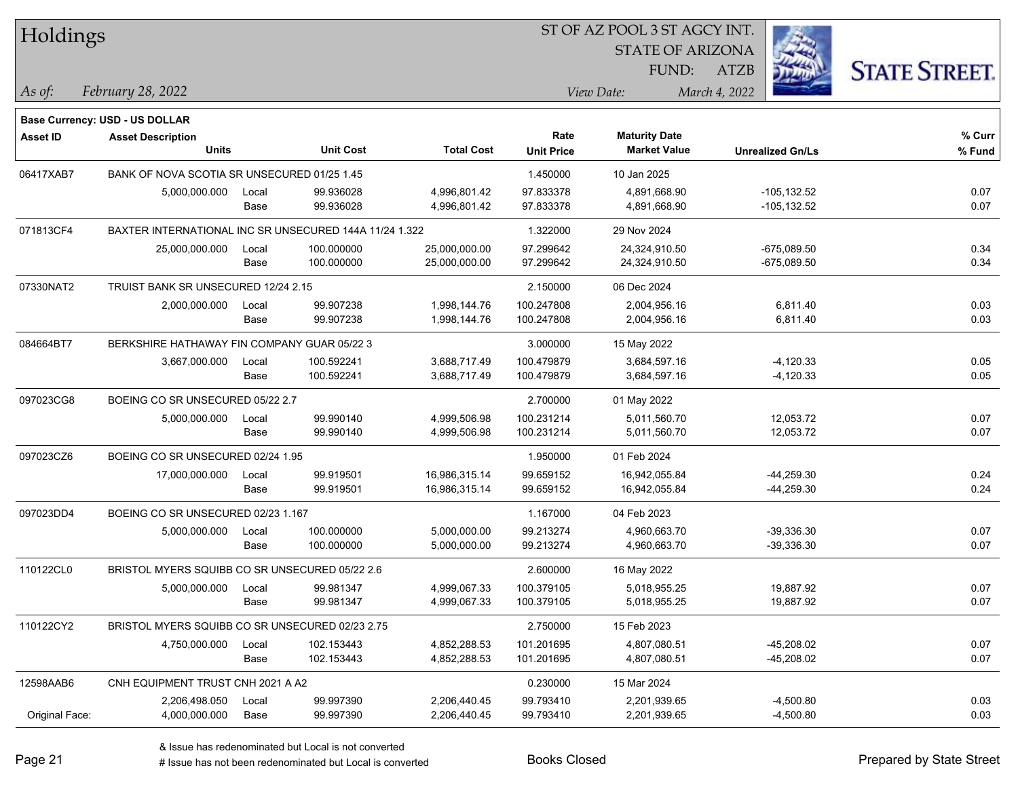| Holdings        |                                                        |       |                  |                   | 51 OF AZ POOL 3 51 AGCY INT. |                         |                         |                      |  |  |  |
|-----------------|--------------------------------------------------------|-------|------------------|-------------------|------------------------------|-------------------------|-------------------------|----------------------|--|--|--|
|                 |                                                        |       |                  |                   |                              | <b>STATE OF ARIZONA</b> |                         |                      |  |  |  |
|                 |                                                        |       |                  |                   |                              | FUND:                   | ATZB                    | <b>STATE STREET.</b> |  |  |  |
| As of:          | February 28, 2022                                      |       |                  |                   |                              | View Date:              | March 4, 2022           |                      |  |  |  |
|                 | Base Currency: USD - US DOLLAR                         |       |                  |                   |                              |                         |                         |                      |  |  |  |
| <b>Asset ID</b> | <b>Asset Description</b>                               |       |                  |                   | Rate                         | <b>Maturity Date</b>    |                         | % Curr               |  |  |  |
|                 | <b>Units</b>                                           |       | <b>Unit Cost</b> | <b>Total Cost</b> | <b>Unit Price</b>            | <b>Market Value</b>     | <b>Unrealized Gn/Ls</b> | % Fund               |  |  |  |
| 06417XAB7       | BANK OF NOVA SCOTIA SR UNSECURED 01/25 1.45            |       |                  |                   | 1.450000                     | 10 Jan 2025             |                         |                      |  |  |  |
|                 | 5,000,000.000                                          | Local | 99.936028        | 4,996,801.42      | 97.833378                    | 4,891,668.90            | $-105, 132.52$          | 0.07                 |  |  |  |
|                 |                                                        | Base  | 99.936028        | 4,996,801.42      | 97.833378                    | 4,891,668.90            | $-105, 132.52$          | 0.07                 |  |  |  |
| 071813CF4       | BAXTER INTERNATIONAL INC SR UNSECURED 144A 11/24 1.322 |       |                  |                   | 1.322000                     | 29 Nov 2024             |                         |                      |  |  |  |
|                 | 25,000,000.000                                         | Local | 100.000000       | 25,000,000.00     | 97.299642                    | 24,324,910.50           | $-675,089.50$           | 0.34                 |  |  |  |
|                 |                                                        | Base  | 100.000000       | 25,000,000.00     | 97.299642                    | 24,324,910.50           | $-675,089.50$           | 0.34                 |  |  |  |
| 07330NAT2       | TRUIST BANK SR UNSECURED 12/24 2.15                    |       |                  |                   | 2.150000                     | 06 Dec 2024             |                         |                      |  |  |  |
|                 | 2,000,000.000                                          | Local | 99.907238        | 1,998,144.76      | 100.247808                   | 2,004,956.16            | 6,811.40                | 0.03                 |  |  |  |
|                 |                                                        | Base  | 99.907238        | 1,998,144.76      | 100.247808                   | 2,004,956.16            | 6,811.40                | 0.03                 |  |  |  |
| 084664BT7       | BERKSHIRE HATHAWAY FIN COMPANY GUAR 05/22 3            |       |                  |                   | 3.000000                     | 15 May 2022             |                         |                      |  |  |  |
|                 | 3,667,000.000                                          | Local | 100.592241       | 3,688,717.49      | 100.479879                   | 3,684,597.16            | $-4,120.33$             | 0.05                 |  |  |  |
|                 |                                                        | Base  | 100.592241       | 3,688,717.49      | 100.479879                   | 3,684,597.16            | $-4,120.33$             | 0.05                 |  |  |  |
| 097023CG8       | BOEING CO SR UNSECURED 05/22 2.7                       |       |                  |                   | 2.700000                     | 01 May 2022             |                         |                      |  |  |  |
|                 | 5,000,000.000                                          | Local | 99.990140        | 4,999,506.98      | 100.231214                   | 5,011,560.70            | 12,053.72               | 0.07                 |  |  |  |
|                 |                                                        | Base  | 99.990140        | 4,999,506.98      | 100.231214                   | 5,011,560.70            | 12,053.72               | 0.07                 |  |  |  |
| 097023CZ6       | BOEING CO SR UNSECURED 02/24 1.95                      |       |                  |                   | 1.950000                     | 01 Feb 2024             |                         |                      |  |  |  |
|                 | 17,000,000.000                                         | Local | 99.919501        | 16,986,315.14     | 99.659152                    | 16,942,055.84           | $-44,259.30$            | 0.24                 |  |  |  |
|                 |                                                        | Base  | 99.919501        | 16,986,315.14     | 99.659152                    | 16,942,055.84           | $-44,259.30$            | 0.24                 |  |  |  |
| 097023DD4       | BOEING CO SR UNSECURED 02/23 1.167                     |       |                  |                   | 1.167000                     | 04 Feb 2023             |                         |                      |  |  |  |
|                 | 5,000,000.000                                          | Local | 100.000000       | 5,000,000.00      | 99.213274                    | 4,960,663.70            | $-39,336.30$            | 0.07                 |  |  |  |
|                 |                                                        | Base  | 100.000000       | 5,000,000.00      | 99.213274                    | 4,960,663.70            | $-39,336.30$            | 0.07                 |  |  |  |
| 110122CL0       | BRISTOL MYERS SQUIBB CO SR UNSECURED 05/22 2.6         |       |                  |                   | 2.600000                     | 16 May 2022             |                         |                      |  |  |  |
|                 | 5,000,000.000                                          | Local | 99.981347        | 4,999,067.33      | 100.379105                   | 5,018,955.25            | 19,887.92               | 0.07                 |  |  |  |
|                 |                                                        | Base  | 99.981347        | 4,999,067.33      | 100.379105                   | 5,018,955.25            | 19,887.92               | 0.07                 |  |  |  |
| 110122CY2       | BRISTOL MYERS SQUIBB CO SR UNSECURED 02/23 2.75        |       |                  |                   | 2.750000                     | 15 Feb 2023             |                         |                      |  |  |  |
|                 | 4,750,000.000                                          | Local | 102.153443       | 4,852,288.53      | 101.201695                   | 4,807,080.51            | $-45,208.02$            | 0.07                 |  |  |  |
|                 |                                                        | Base  | 102.153443       | 4,852,288.53      | 101.201695                   | 4,807,080.51            | -45,208.02              | 0.07                 |  |  |  |
| 12598AAB6       | CNH EQUIPMENT TRUST CNH 2021 A A2                      |       |                  |                   | 0.230000                     | 15 Mar 2024             |                         |                      |  |  |  |
|                 | 2,206,498.050                                          | Local | 99.997390        | 2,206,440.45      | 99.793410                    | 2,201,939.65            | $-4,500.80$             | 0.03                 |  |  |  |
| Original Face:  | 4,000,000.000                                          | Base  | 99.997390        | 2,206,440.45      | 99.793410                    | 2,201,939.65            | $-4,500.80$             | 0.03                 |  |  |  |

 $\overline{S}$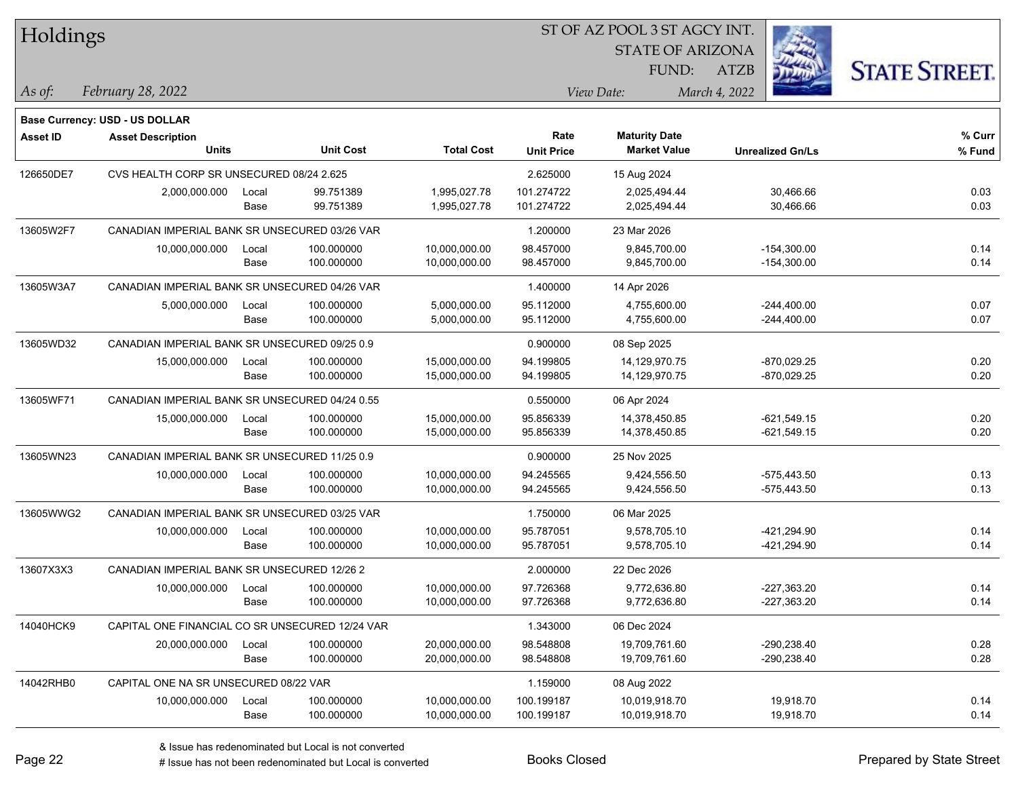| Holdings        |                                                 |       |                  |                   | 51 OF AZ POOL 3 51 AGCY INT.  |                      |                         |                      |  |  |
|-----------------|-------------------------------------------------|-------|------------------|-------------------|-------------------------------|----------------------|-------------------------|----------------------|--|--|
|                 |                                                 |       |                  |                   | i.<br><b>STATE OF ARIZONA</b> |                      |                         |                      |  |  |
|                 |                                                 |       |                  |                   |                               | FUND:                | ATZB                    | <b>STATE STREET.</b> |  |  |
| As of:          | February 28, 2022                               |       |                  |                   |                               | View Date:           | March 4, 2022           |                      |  |  |
|                 |                                                 |       |                  |                   |                               |                      |                         |                      |  |  |
|                 | <b>Base Currency: USD - US DOLLAR</b>           |       |                  |                   |                               |                      |                         |                      |  |  |
| <b>Asset ID</b> | <b>Asset Description</b>                        |       |                  |                   | Rate                          | <b>Maturity Date</b> |                         | % Curr               |  |  |
|                 | <b>Units</b>                                    |       | <b>Unit Cost</b> | <b>Total Cost</b> | <b>Unit Price</b>             | <b>Market Value</b>  | <b>Unrealized Gn/Ls</b> | % Fund               |  |  |
| 126650DE7       | CVS HEALTH CORP SR UNSECURED 08/24 2.625        |       |                  |                   | 2.625000                      | 15 Aug 2024          |                         |                      |  |  |
|                 | 2,000,000.000                                   | Local | 99.751389        | 1,995,027.78      | 101.274722                    | 2,025,494.44         | 30,466.66               | 0.03                 |  |  |
|                 |                                                 | Base  | 99.751389        | 1,995,027.78      | 101.274722                    | 2,025,494.44         | 30,466.66               | 0.03                 |  |  |
| 13605W2F7       | CANADIAN IMPERIAL BANK SR UNSECURED 03/26 VAR   |       |                  | 1.200000          | 23 Mar 2026                   |                      |                         |                      |  |  |
|                 | 10,000,000.000                                  | Local | 100.000000       | 10,000,000.00     | 98.457000                     | 9,845,700.00         | $-154,300.00$           | 0.14                 |  |  |
|                 |                                                 | Base  | 100.000000       | 10,000,000.00     | 98.457000                     | 9,845,700.00         | $-154,300.00$           | 0.14                 |  |  |
| 13605W3A7       | CANADIAN IMPERIAL BANK SR UNSECURED 04/26 VAR   |       |                  |                   | 1.400000                      | 14 Apr 2026          |                         |                      |  |  |
|                 | 5,000,000.000                                   | Local | 100.000000       | 5,000,000.00      | 95.112000                     | 4,755,600.00         | $-244,400.00$           | 0.07                 |  |  |
|                 |                                                 | Base  | 100.000000       | 5,000,000.00      | 95.112000                     | 4,755,600.00         | $-244,400.00$           | 0.07                 |  |  |
| 13605WD32       | CANADIAN IMPERIAL BANK SR UNSECURED 09/25 0.9   |       |                  |                   | 0.900000                      | 08 Sep 2025          |                         |                      |  |  |
|                 | 15,000,000.000                                  | Local | 100.000000       | 15,000,000.00     | 94.199805                     | 14,129,970.75        | $-870,029.25$           | 0.20                 |  |  |
|                 |                                                 | Base  | 100.000000       | 15,000,000.00     | 94.199805                     | 14,129,970.75        | $-870,029.25$           | 0.20                 |  |  |
| 13605WF71       | CANADIAN IMPERIAL BANK SR UNSECURED 04/24 0.55  |       |                  |                   | 0.550000                      | 06 Apr 2024          |                         |                      |  |  |
|                 | 15,000,000.000                                  | Local | 100.000000       | 15,000,000.00     | 95.856339                     | 14,378,450.85        | $-621,549.15$           | 0.20                 |  |  |
|                 |                                                 | Base  | 100.000000       | 15,000,000.00     | 95.856339                     | 14,378,450.85        | $-621,549.15$           | 0.20                 |  |  |
| 13605WN23       | CANADIAN IMPERIAL BANK SR UNSECURED 11/25 0.9   |       |                  |                   | 0.900000                      | 25 Nov 2025          |                         |                      |  |  |
|                 | 10,000,000.000                                  | Local | 100.000000       | 10,000,000.00     | 94.245565                     | 9,424,556.50         | $-575,443.50$           | 0.13                 |  |  |
|                 |                                                 | Base  | 100.000000       | 10,000,000.00     | 94.245565                     | 9,424,556.50         | -575,443.50             | 0.13                 |  |  |
| 13605WWG2       | CANADIAN IMPERIAL BANK SR UNSECURED 03/25 VAR   |       |                  |                   | 1.750000                      | 06 Mar 2025          |                         |                      |  |  |
|                 | 10,000,000.000                                  | Local | 100.000000       | 10,000,000.00     | 95.787051                     | 9,578,705.10         | -421,294.90             | 0.14                 |  |  |
|                 |                                                 | Base  | 100.000000       | 10,000,000.00     | 95.787051                     | 9,578,705.10         | -421,294.90             | 0.14                 |  |  |
| 13607X3X3       | CANADIAN IMPERIAL BANK SR UNSECURED 12/26 2     |       |                  |                   | 2.000000                      | 22 Dec 2026          |                         |                      |  |  |
|                 | 10,000,000.000                                  | Local | 100.000000       | 10,000,000.00     | 97.726368                     | 9,772,636.80         | $-227,363.20$           | 0.14                 |  |  |
|                 |                                                 | Base  | 100.000000       | 10,000,000.00     | 97.726368                     | 9,772,636.80         | -227,363.20             | 0.14                 |  |  |
| 14040HCK9       | CAPITAL ONE FINANCIAL CO SR UNSECURED 12/24 VAR |       |                  |                   | 1.343000                      | 06 Dec 2024          |                         |                      |  |  |
|                 | 20,000,000.000                                  | Local | 100.000000       | 20,000,000.00     | 98.548808                     | 19,709,761.60        | $-290,238.40$           | 0.28                 |  |  |
|                 |                                                 | Base  | 100.000000       | 20,000,000.00     | 98.548808                     | 19,709,761.60        | -290,238.40             | 0.28                 |  |  |
| 14042RHB0       | CAPITAL ONE NA SR UNSECURED 08/22 VAR           |       |                  |                   | 1.159000                      | 08 Aug 2022          |                         |                      |  |  |
|                 | 10,000,000.000                                  | Local | 100.000000       | 10,000,000.00     | 100.199187                    | 10,019,918.70        | 19,918.70               | 0.14                 |  |  |
|                 |                                                 | Base  | 100.000000       | 10,000,000.00     | 100.199187                    | 10,019,918.70        | 19,918.70               | 0.14                 |  |  |
|                 |                                                 |       |                  |                   |                               |                      |                         |                      |  |  |

 $\overline{S}$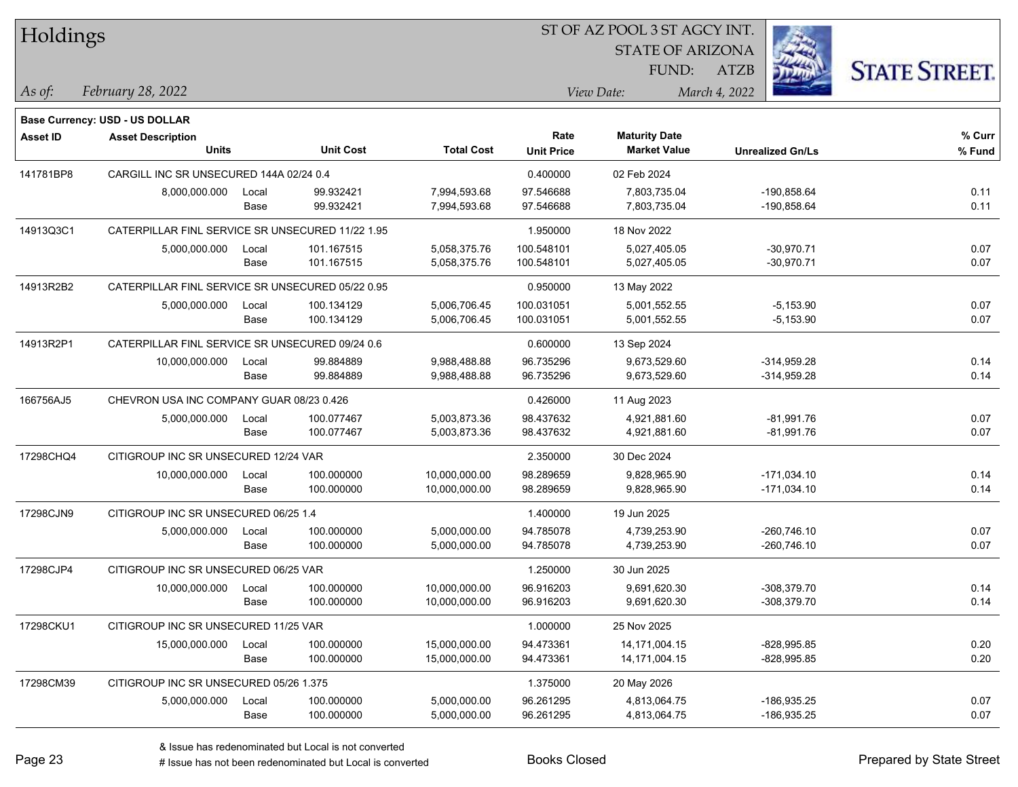| Holdings        |                                                  |       |                  |                   |                           | ST OF AZ POOL 3 ST AGCY INT.                |                         |                      |
|-----------------|--------------------------------------------------|-------|------------------|-------------------|---------------------------|---------------------------------------------|-------------------------|----------------------|
|                 |                                                  |       |                  |                   |                           | <b>STATE OF ARIZONA</b>                     |                         |                      |
|                 |                                                  |       |                  |                   |                           | FUND:                                       | ATZB                    | <b>STATE STREET.</b> |
| As of:          | February 28, 2022                                |       |                  |                   |                           | View Date:                                  | March 4, 2022           |                      |
|                 |                                                  |       |                  |                   |                           |                                             |                         |                      |
|                 | <b>Base Currency: USD - US DOLLAR</b>            |       |                  |                   |                           |                                             |                         |                      |
| <b>Asset ID</b> | <b>Asset Description</b><br><b>Units</b>         |       | <b>Unit Cost</b> | <b>Total Cost</b> | Rate<br><b>Unit Price</b> | <b>Maturity Date</b><br><b>Market Value</b> | <b>Unrealized Gn/Ls</b> | % Curr               |
|                 |                                                  |       |                  |                   |                           |                                             |                         | % Fund               |
| 141781BP8       | CARGILL INC SR UNSECURED 144A 02/24 0.4          |       |                  |                   | 0.400000                  | 02 Feb 2024                                 |                         |                      |
|                 | 8,000,000.000                                    | Local | 99.932421        | 7,994,593.68      | 97.546688                 | 7,803,735.04                                | -190,858.64             | 0.11                 |
|                 |                                                  | Base  | 99.932421        | 7,994,593.68      | 97.546688                 | 7,803,735.04                                | -190,858.64             | 0.11                 |
| 14913Q3C1       | CATERPILLAR FINL SERVICE SR UNSECURED 11/22 1.95 |       |                  |                   | 1.950000                  | 18 Nov 2022                                 |                         |                      |
|                 | 5,000,000.000                                    | Local | 101.167515       | 5,058,375.76      | 100.548101                | 5,027,405.05                                | $-30,970.71$            | 0.07                 |
|                 |                                                  | Base  | 101.167515       | 5,058,375.76      | 100.548101                | 5,027,405.05                                | $-30,970.71$            | 0.07                 |
| 14913R2B2       | CATERPILLAR FINL SERVICE SR UNSECURED 05/22 0.95 |       |                  |                   | 0.950000                  | 13 May 2022                                 |                         |                      |
|                 | 5,000,000.000                                    | Local | 100.134129       | 5,006,706.45      | 100.031051                | 5,001,552.55                                | $-5,153.90$             | 0.07                 |
|                 |                                                  | Base  | 100.134129       | 5,006,706.45      | 100.031051                | 5,001,552.55                                | $-5,153.90$             | 0.07                 |
| 14913R2P1       | CATERPILLAR FINL SERVICE SR UNSECURED 09/24 0.6  |       |                  | 0.600000          | 13 Sep 2024               |                                             |                         |                      |
|                 | 10,000,000.000                                   | Local | 99.884889        | 9,988,488.88      | 96.735296                 | 9,673,529.60                                | $-314,959.28$           | 0.14                 |
|                 |                                                  | Base  | 99.884889        | 9,988,488.88      | 96.735296                 | 9,673,529.60                                | $-314,959.28$           | 0.14                 |
| 166756AJ5       | CHEVRON USA INC COMPANY GUAR 08/23 0.426         |       |                  |                   | 0.426000                  | 11 Aug 2023                                 |                         |                      |
|                 | 5,000,000.000                                    | Local | 100.077467       | 5,003,873.36      | 98.437632                 | 4,921,881.60                                | $-81,991.76$            | 0.07                 |
|                 |                                                  | Base  | 100.077467       | 5,003,873.36      | 98.437632                 | 4,921,881.60                                | $-81,991.76$            | 0.07                 |
| 17298CHQ4       | CITIGROUP INC SR UNSECURED 12/24 VAR             |       |                  |                   | 2.350000                  | 30 Dec 2024                                 |                         |                      |
|                 | 10,000,000.000                                   | Local | 100.000000       | 10,000,000.00     | 98.289659                 | 9,828,965.90                                | $-171,034.10$           | 0.14                 |
|                 |                                                  | Base  | 100.000000       | 10,000,000.00     | 98.289659                 | 9,828,965.90                                | $-171,034.10$           | 0.14                 |
| 17298CJN9       | CITIGROUP INC SR UNSECURED 06/25 1.4             |       |                  |                   | 1.400000                  | 19 Jun 2025                                 |                         |                      |
|                 | 5,000,000.000                                    | Local | 100.000000       | 5,000,000.00      | 94.785078                 | 4,739,253.90                                | $-260,746.10$           | 0.07                 |
|                 |                                                  | Base  | 100.000000       | 5,000,000.00      | 94.785078                 | 4,739,253.90                                | $-260,746.10$           | 0.07                 |
| 17298CJP4       | CITIGROUP INC SR UNSECURED 06/25 VAR             |       |                  |                   | 1.250000                  | 30 Jun 2025                                 |                         |                      |
|                 | 10,000,000.000                                   | Local | 100.000000       | 10,000,000.00     | 96.916203                 | 9,691,620.30                                | -308,379.70             | 0.14                 |
|                 |                                                  | Base  | 100.000000       | 10,000,000.00     | 96.916203                 | 9,691,620.30                                | -308,379.70             | 0.14                 |
| 17298CKU1       | CITIGROUP INC SR UNSECURED 11/25 VAR             |       |                  |                   | 1.000000                  | 25 Nov 2025                                 |                         |                      |
|                 | 15,000,000.000                                   | Local | 100.000000       | 15,000,000.00     | 94.473361                 | 14,171,004.15                               | $-828,995.85$           | 0.20                 |
|                 |                                                  | Base  | 100.000000       | 15,000,000.00     | 94.473361                 | 14,171,004.15                               | $-828,995.85$           | 0.20                 |
| 17298CM39       | CITIGROUP INC SR UNSECURED 05/26 1.375           |       |                  |                   | 1.375000                  | 20 May 2026                                 |                         |                      |
|                 | 5,000,000.000                                    | Local | 100.000000       | 5,000,000.00      | 96.261295                 | 4,813,064.75                                | -186,935.25             | 0.07                 |
|                 |                                                  | Base  | 100.000000       | 5,000,000.00      | 96.261295                 | 4,813,064.75                                | $-186,935.25$           | 0.07                 |
|                 |                                                  |       |                  |                   |                           |                                             |                         |                      |

# Issue has not been redenominated but Local is converted Books Closed Prepared by State Street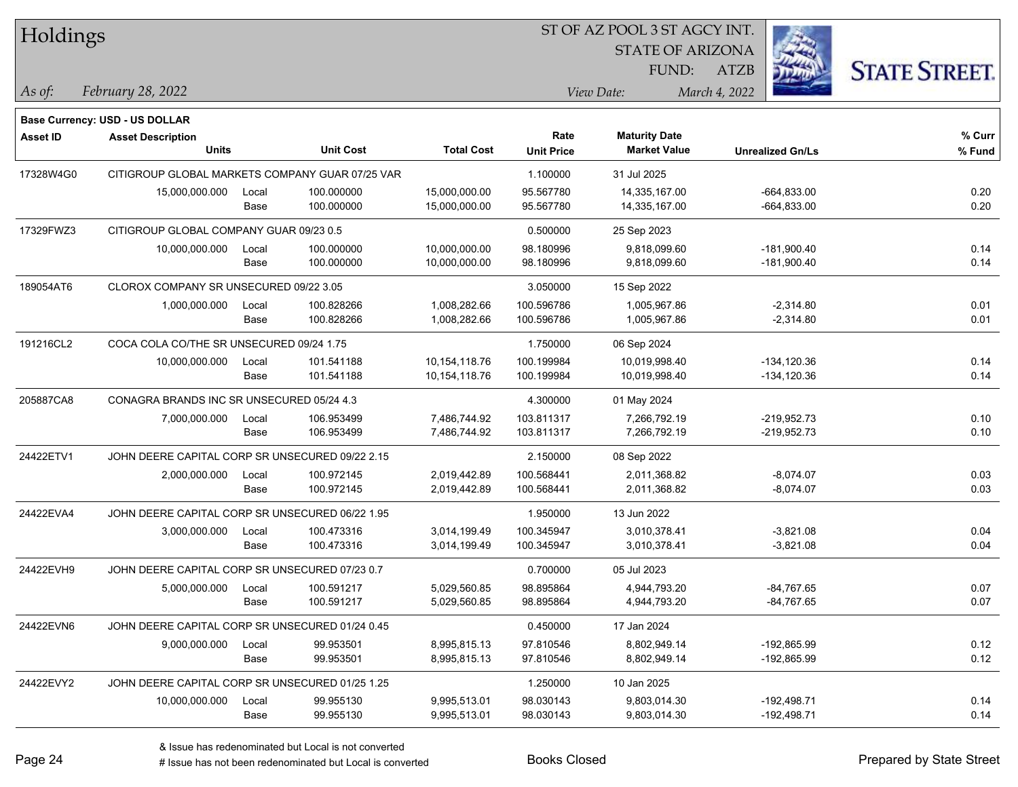| Holdings        |                                                 |       |                  |                   | ST OF AZ POOL 3 ST AGCY INT. |                         |                         |                      |  |  |
|-----------------|-------------------------------------------------|-------|------------------|-------------------|------------------------------|-------------------------|-------------------------|----------------------|--|--|
|                 |                                                 |       |                  |                   |                              | <b>STATE OF ARIZONA</b> |                         |                      |  |  |
|                 |                                                 |       |                  |                   |                              | FUND:                   | <b>ATZB</b>             | <b>STATE STREET.</b> |  |  |
| As of:          | February 28, 2022                               |       |                  |                   |                              | View Date:              | March 4, 2022           |                      |  |  |
|                 |                                                 |       |                  |                   |                              |                         |                         |                      |  |  |
|                 | Base Currency: USD - US DOLLAR                  |       |                  |                   |                              |                         |                         |                      |  |  |
| <b>Asset ID</b> | <b>Asset Description</b>                        |       | <b>Unit Cost</b> |                   | Rate                         | <b>Maturity Date</b>    |                         | % Curr               |  |  |
|                 | <b>Units</b>                                    |       |                  | <b>Total Cost</b> | <b>Unit Price</b>            | <b>Market Value</b>     | <b>Unrealized Gn/Ls</b> | % Fund               |  |  |
| 17328W4G0       | CITIGROUP GLOBAL MARKETS COMPANY GUAR 07/25 VAR |       |                  |                   | 1.100000                     | 31 Jul 2025             |                         |                      |  |  |
|                 | 15,000,000.000                                  | Local | 100.000000       | 15,000,000.00     | 95.567780                    | 14,335,167.00           | $-664,833.00$           | 0.20                 |  |  |
|                 |                                                 | Base  | 100.000000       | 15,000,000.00     | 95.567780                    | 14,335,167.00           | $-664,833.00$           | 0.20                 |  |  |
| 17329FWZ3       | CITIGROUP GLOBAL COMPANY GUAR 09/23 0.5         |       |                  |                   | 0.500000                     | 25 Sep 2023             |                         |                      |  |  |
|                 | 10,000,000.000                                  | Local | 100.000000       | 10,000,000.00     | 98.180996                    | 9,818,099.60            | $-181,900.40$           | 0.14                 |  |  |
|                 |                                                 | Base  | 100.000000       | 10,000,000.00     | 98.180996                    | 9,818,099.60            | $-181,900.40$           | 0.14                 |  |  |
| 189054AT6       | CLOROX COMPANY SR UNSECURED 09/22 3.05          |       |                  |                   | 3.050000                     | 15 Sep 2022             |                         |                      |  |  |
|                 | 1,000,000.000                                   | Local | 100.828266       | 1,008,282.66      | 100.596786                   | 1,005,967.86            | $-2,314.80$             | 0.01                 |  |  |
|                 |                                                 | Base  | 100.828266       | 1,008,282.66      | 100.596786                   | 1,005,967.86            | $-2,314.80$             | 0.01                 |  |  |
| 191216CL2       | COCA COLA CO/THE SR UNSECURED 09/24 1.75        |       |                  |                   | 1.750000                     | 06 Sep 2024             |                         |                      |  |  |
|                 | 10,000,000.000                                  | Local | 101.541188       | 10,154,118.76     | 100.199984                   | 10,019,998.40           | $-134, 120.36$          | 0.14                 |  |  |
|                 |                                                 | Base  | 101.541188       | 10,154,118.76     | 100.199984                   | 10,019,998.40           | $-134, 120.36$          | 0.14                 |  |  |
| 205887CA8       | CONAGRA BRANDS INC SR UNSECURED 05/24 4.3       |       |                  |                   | 4.300000                     | 01 May 2024             |                         |                      |  |  |
|                 | 7,000,000.000                                   | Local | 106.953499       | 7,486,744.92      | 103.811317                   | 7,266,792.19            | $-219,952.73$           | 0.10                 |  |  |
|                 |                                                 | Base  | 106.953499       | 7,486,744.92      | 103.811317                   | 7,266,792.19            | $-219,952.73$           | 0.10                 |  |  |
| 24422ETV1       | JOHN DEERE CAPITAL CORP SR UNSECURED 09/22 2.15 |       |                  |                   | 2.150000                     | 08 Sep 2022             |                         |                      |  |  |
|                 | 2,000,000.000                                   | Local | 100.972145       | 2,019,442.89      | 100.568441                   | 2,011,368.82            | $-8,074.07$             | 0.03                 |  |  |
|                 |                                                 | Base  | 100.972145       | 2,019,442.89      | 100.568441                   | 2,011,368.82            | $-8,074.07$             | 0.03                 |  |  |
| 24422EVA4       | JOHN DEERE CAPITAL CORP SR UNSECURED 06/22 1.95 |       |                  |                   | 1.950000                     | 13 Jun 2022             |                         |                      |  |  |
|                 | 3,000,000.000                                   | Local | 100.473316       | 3,014,199.49      | 100.345947                   | 3,010,378.41            | $-3,821.08$             | 0.04                 |  |  |
|                 |                                                 | Base  | 100.473316       | 3,014,199.49      | 100.345947                   | 3,010,378.41            | $-3,821.08$             | 0.04                 |  |  |
| 24422EVH9       | JOHN DEERE CAPITAL CORP SR UNSECURED 07/23 0.7  |       |                  |                   | 0.700000                     | 05 Jul 2023             |                         |                      |  |  |
|                 | 5,000,000.000                                   | Local | 100.591217       | 5,029,560.85      | 98.895864                    | 4,944,793.20            | $-84,767.65$            | 0.07                 |  |  |
|                 |                                                 | Base  | 100.591217       | 5,029,560.85      | 98.895864                    | 4,944,793.20            | -84,767.65              | 0.07                 |  |  |
| 24422EVN6       | JOHN DEERE CAPITAL CORP SR UNSECURED 01/24 0.45 |       |                  |                   | 0.450000                     | 17 Jan 2024             |                         |                      |  |  |
|                 | 9,000,000.000                                   | Local | 99.953501        | 8,995,815.13      | 97.810546                    | 8,802,949.14            | -192,865.99             | 0.12                 |  |  |
|                 |                                                 | Base  | 99.953501        | 8,995,815.13      | 97.810546                    | 8,802,949.14            | -192,865.99             | 0.12                 |  |  |
| 24422EVY2       | JOHN DEERE CAPITAL CORP SR UNSECURED 01/25 1.25 |       |                  |                   | 1.250000                     | 10 Jan 2025             |                         |                      |  |  |
|                 | 10,000,000.000                                  | Local | 99.955130        | 9,995,513.01      | 98.030143                    | 9,803,014.30            | $-192,498.71$           | 0.14                 |  |  |
|                 |                                                 | Base  | 99.955130        | 9,995,513.01      | 98.030143                    | 9,803,014.30            | $-192,498.71$           | 0.14                 |  |  |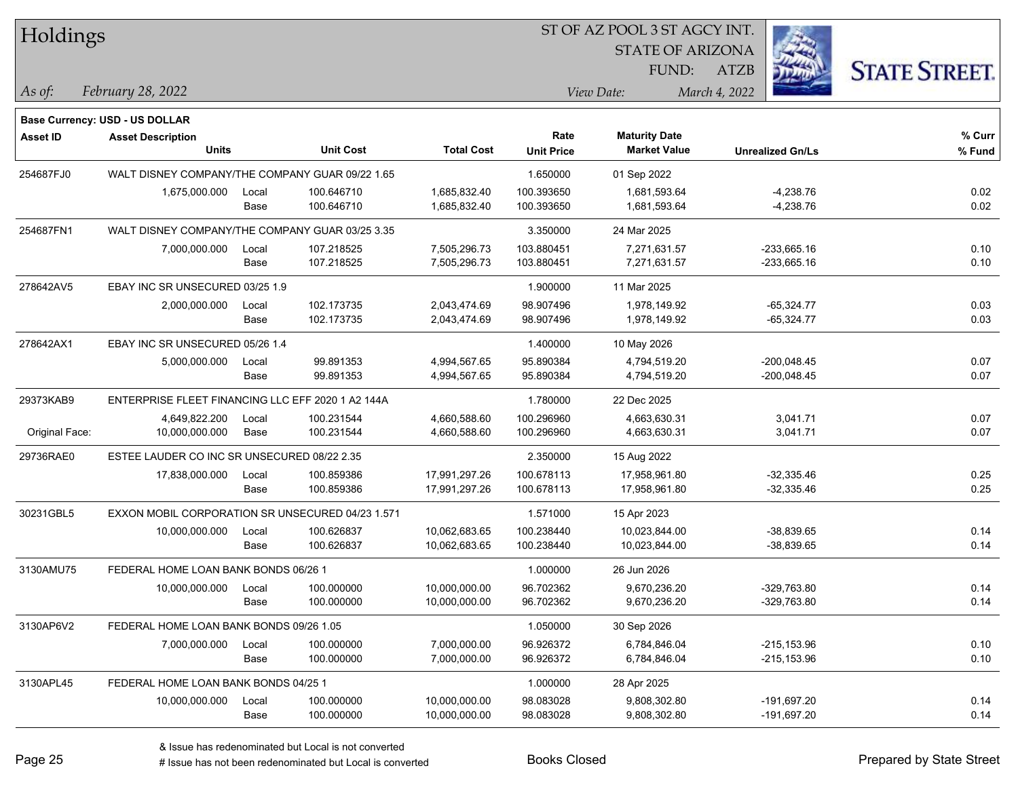| Holdings        |                                                   |       |                  |                   | ST OF AZ POOL 3 ST AGCY INT. |                         |                         |                      |
|-----------------|---------------------------------------------------|-------|------------------|-------------------|------------------------------|-------------------------|-------------------------|----------------------|
|                 |                                                   |       |                  |                   |                              | <b>STATE OF ARIZONA</b> |                         |                      |
|                 |                                                   |       |                  |                   |                              | FUND:                   | <b>ATZB</b>             | <b>STATE STREET.</b> |
| $ $ As of:      | February 28, 2022                                 |       |                  |                   |                              | View Date:              | March 4, 2022           |                      |
|                 | <b>Base Currency: USD - US DOLLAR</b>             |       |                  |                   |                              |                         |                         |                      |
| <b>Asset ID</b> | <b>Asset Description</b>                          |       |                  |                   | Rate                         | <b>Maturity Date</b>    |                         | % Curr               |
|                 | <b>Units</b>                                      |       | <b>Unit Cost</b> | <b>Total Cost</b> | <b>Unit Price</b>            | <b>Market Value</b>     | <b>Unrealized Gn/Ls</b> | % Fund               |
| 254687FJ0       | WALT DISNEY COMPANY/THE COMPANY GUAR 09/22 1.65   |       |                  |                   | 1.650000                     | 01 Sep 2022             |                         |                      |
|                 | 1,675,000.000                                     | Local | 100.646710       | 1,685,832.40      | 100.393650                   | 1,681,593.64            | $-4,238.76$             | 0.02                 |
|                 |                                                   | Base  | 100.646710       | 1,685,832.40      | 100.393650                   | 1,681,593.64            | $-4,238.76$             | 0.02                 |
| 254687FN1       | WALT DISNEY COMPANY/THE COMPANY GUAR 03/25 3.35   |       |                  |                   | 3.350000                     | 24 Mar 2025             |                         |                      |
|                 | 7,000,000.000                                     | Local | 107.218525       | 7,505,296.73      | 103.880451                   | 7,271,631.57            | $-233,665.16$           | 0.10                 |
|                 |                                                   | Base  | 107.218525       | 7,505,296.73      | 103.880451                   | 7,271,631.57            | $-233,665.16$           | 0.10                 |
| 278642AV5       | EBAY INC SR UNSECURED 03/25 1.9                   |       |                  |                   | 1.900000                     | 11 Mar 2025             |                         |                      |
|                 | 2,000,000.000                                     | Local | 102.173735       | 2,043,474.69      | 98.907496                    | 1,978,149.92            | $-65,324.77$            | 0.03                 |
|                 |                                                   | Base  | 102.173735       | 2,043,474.69      | 98.907496                    | 1,978,149.92            | -65,324.77              | 0.03                 |
| 278642AX1       | EBAY INC SR UNSECURED 05/26 1.4                   |       |                  |                   | 1.400000                     | 10 May 2026             |                         |                      |
|                 | 5,000,000.000                                     | Local | 99.891353        | 4,994,567.65      | 95.890384                    | 4,794,519.20            | $-200,048.45$           | 0.07                 |
|                 |                                                   | Base  | 99.891353        | 4,994,567.65      | 95.890384                    | 4,794,519.20            | $-200,048.45$           | 0.07                 |
| 29373KAB9       | ENTERPRISE FLEET FINANCING LLC EFF 2020 1 A2 144A |       |                  |                   | 1.780000                     | 22 Dec 2025             |                         |                      |
|                 | 4,649,822.200                                     | Local | 100.231544       | 4,660,588.60      | 100.296960                   | 4,663,630.31            | 3,041.71                | 0.07                 |
| Original Face:  | 10,000,000.000                                    | Base  | 100.231544       | 4,660,588.60      | 100.296960                   | 4,663,630.31            | 3,041.71                | 0.07                 |
| 29736RAE0       | ESTEE LAUDER CO INC SR UNSECURED 08/22 2.35       |       |                  |                   | 2.350000                     | 15 Aug 2022             |                         |                      |
|                 | 17,838,000.000                                    | Local | 100.859386       | 17,991,297.26     | 100.678113                   | 17,958,961.80           | $-32,335.46$            | 0.25                 |
|                 |                                                   | Base  | 100.859386       | 17,991,297.26     | 100.678113                   | 17,958,961.80           | $-32,335.46$            | 0.25                 |
| 30231GBL5       | EXXON MOBIL CORPORATION SR UNSECURED 04/23 1.571  |       |                  |                   | 1.571000                     | 15 Apr 2023             |                         |                      |
|                 | 10,000,000.000                                    | Local | 100.626837       | 10,062,683.65     | 100.238440                   | 10,023,844.00           | $-38,839.65$            | 0.14                 |
|                 |                                                   | Base  | 100.626837       | 10,062,683.65     | 100.238440                   | 10,023,844.00           | $-38,839.65$            | 0.14                 |
| 3130AMU75       | FEDERAL HOME LOAN BANK BONDS 06/26 1              |       |                  |                   | 1.000000                     | 26 Jun 2026             |                         |                      |
|                 | 10,000,000.000                                    | Local | 100.000000       | 10,000,000.00     | 96.702362                    | 9,670,236.20            | $-329,763.80$           | 0.14                 |
|                 |                                                   | Base  | 100.000000       | 10,000,000.00     | 96.702362                    | 9,670,236.20            | -329,763.80             | 0.14                 |
| 3130AP6V2       | FEDERAL HOME LOAN BANK BONDS 09/26 1.05           |       |                  |                   | 1.050000                     | 30 Sep 2026             |                         |                      |
|                 | 7,000,000.000                                     | Local | 100.000000       | 7,000,000.00      | 96.926372                    | 6,784,846.04            | $-215, 153.96$          | 0.10                 |
|                 |                                                   | Base  | 100.000000       | 7,000,000.00      | 96.926372                    | 6,784,846.04            | $-215, 153.96$          | 0.10                 |
| 3130APL45       | FEDERAL HOME LOAN BANK BONDS 04/25 1              |       |                  |                   | 1.000000                     | 28 Apr 2025             |                         |                      |
|                 | 10,000,000.000                                    | Local | 100.000000       | 10,000,000.00     | 98.083028                    | 9,808,302.80            | -191,697.20             | 0.14                 |
|                 |                                                   | Base  | 100.000000       | 10,000,000.00     | 98.083028                    | 9,808,302.80            | $-191,697.20$           | 0.14                 |

# Issue has not been redenominated but Local is converted Books Closed Prepared by State Street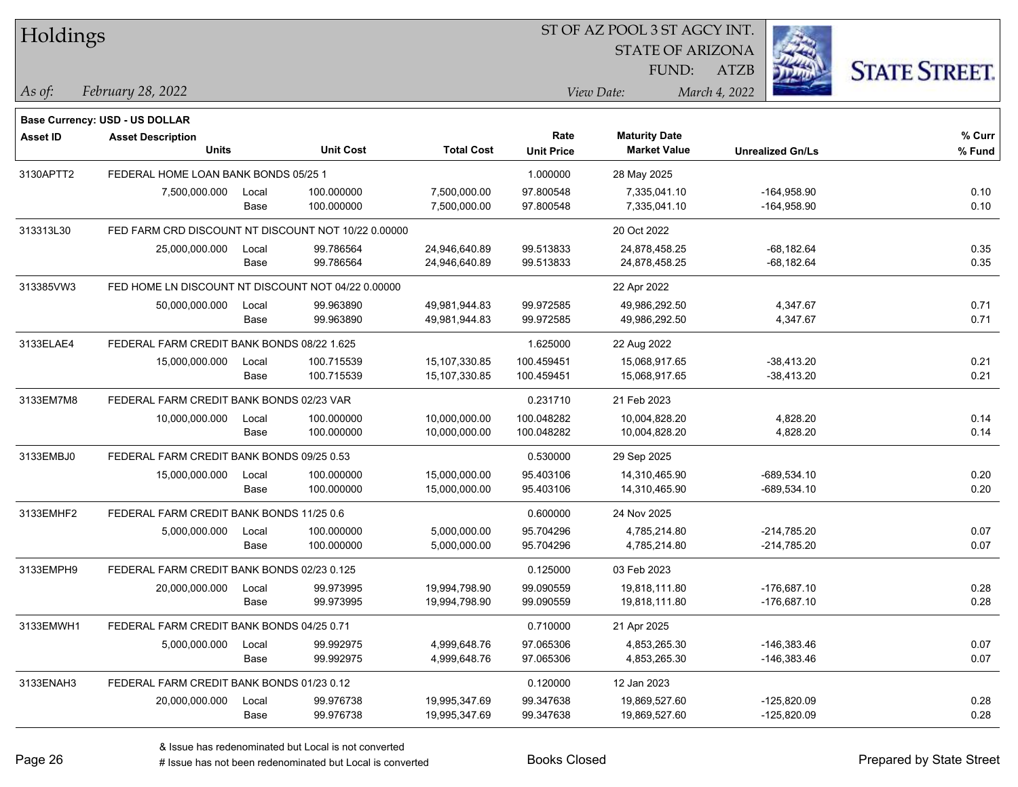|           | Holdings                                           |       |                                                     |                   |                           | ST OF AZ POOL 3 ST AGCY INT.                |                         |                      |  |  |  |
|-----------|----------------------------------------------------|-------|-----------------------------------------------------|-------------------|---------------------------|---------------------------------------------|-------------------------|----------------------|--|--|--|
|           |                                                    |       |                                                     |                   |                           | <b>STATE OF ARIZONA</b>                     |                         |                      |  |  |  |
|           |                                                    |       |                                                     |                   |                           | FUND:                                       | ATZB                    | <b>STATE STREET.</b> |  |  |  |
| As of:    | February 28, 2022                                  |       |                                                     |                   |                           | View Date:                                  | March 4, 2022           |                      |  |  |  |
|           |                                                    |       |                                                     |                   |                           |                                             |                         |                      |  |  |  |
|           | Base Currency: USD - US DOLLAR                     |       |                                                     |                   |                           |                                             |                         |                      |  |  |  |
| Asset ID  | <b>Asset Description</b><br><b>Units</b>           |       | <b>Unit Cost</b>                                    | <b>Total Cost</b> | Rate<br><b>Unit Price</b> | <b>Maturity Date</b><br><b>Market Value</b> | <b>Unrealized Gn/Ls</b> | % Curr<br>% Fund     |  |  |  |
|           |                                                    |       |                                                     |                   |                           |                                             |                         |                      |  |  |  |
| 3130APTT2 | FEDERAL HOME LOAN BANK BONDS 05/25 1               |       |                                                     |                   | 1.000000                  | 28 May 2025                                 |                         |                      |  |  |  |
|           | 7,500,000.000                                      | Local | 100.000000                                          | 7,500,000.00      | 97.800548                 | 7,335,041.10                                | $-164,958.90$           | 0.10                 |  |  |  |
|           |                                                    | Base  | 100.000000                                          | 7,500,000.00      | 97.800548                 | 7,335,041.10                                | $-164,958.90$           | 0.10                 |  |  |  |
| 313313L30 |                                                    |       | FED FARM CRD DISCOUNT NT DISCOUNT NOT 10/22 0.00000 |                   |                           | 20 Oct 2022                                 |                         |                      |  |  |  |
|           | 25,000,000.000                                     | Local | 99.786564                                           | 24,946,640.89     | 99.513833                 | 24,878,458.25                               | $-68,182.64$            | 0.35                 |  |  |  |
|           |                                                    | Base  | 99.786564                                           | 24,946,640.89     | 99.513833                 | 24,878,458.25                               | $-68,182.64$            | 0.35                 |  |  |  |
| 313385VW3 | FED HOME LN DISCOUNT NT DISCOUNT NOT 04/22 0.00000 |       |                                                     |                   |                           | 22 Apr 2022                                 |                         |                      |  |  |  |
|           | 50,000,000.000                                     | Local | 99.963890                                           | 49,981,944.83     | 99.972585                 | 49,986,292.50                               | 4,347.67                | 0.71                 |  |  |  |
|           |                                                    | Base  | 99.963890                                           | 49,981,944.83     | 99.972585                 | 49,986,292.50                               | 4,347.67                | 0.71                 |  |  |  |
| 3133ELAE4 | FEDERAL FARM CREDIT BANK BONDS 08/22 1.625         |       |                                                     |                   | 1.625000                  | 22 Aug 2022                                 |                         |                      |  |  |  |
|           | 15,000,000.000                                     | Local | 100.715539                                          | 15,107,330.85     | 100.459451                | 15,068,917.65                               | $-38,413.20$            | 0.21                 |  |  |  |
|           |                                                    | Base  | 100.715539                                          | 15,107,330.85     | 100.459451                | 15,068,917.65                               | $-38,413.20$            | 0.21                 |  |  |  |
| 3133EM7M8 | FEDERAL FARM CREDIT BANK BONDS 02/23 VAR           |       |                                                     |                   | 0.231710                  | 21 Feb 2023                                 |                         |                      |  |  |  |
|           | 10,000,000.000                                     | Local | 100.000000                                          | 10,000,000.00     | 100.048282                | 10,004,828.20                               | 4,828.20                | 0.14                 |  |  |  |
|           |                                                    | Base  | 100.000000                                          | 10,000,000.00     | 100.048282                | 10,004,828.20                               | 4,828.20                | 0.14                 |  |  |  |
| 3133EMBJ0 | FEDERAL FARM CREDIT BANK BONDS 09/25 0.53          |       |                                                     |                   | 0.530000                  | 29 Sep 2025                                 |                         |                      |  |  |  |
|           | 15,000,000.000                                     | Local | 100.000000                                          | 15,000,000.00     | 95.403106                 | 14,310,465.90                               | $-689,534.10$           | 0.20                 |  |  |  |
|           |                                                    | Base  | 100.000000                                          | 15,000,000.00     | 95.403106                 | 14,310,465.90                               | -689,534.10             | 0.20                 |  |  |  |
| 3133EMHF2 | FEDERAL FARM CREDIT BANK BONDS 11/25 0.6           |       |                                                     |                   | 0.600000                  | 24 Nov 2025                                 |                         |                      |  |  |  |
|           | 5,000,000.000                                      | Local | 100.000000                                          | 5,000,000.00      | 95.704296                 | 4,785,214.80                                | $-214,785.20$           | 0.07                 |  |  |  |
|           |                                                    | Base  | 100.000000                                          | 5,000,000.00      | 95.704296                 | 4,785,214.80                                | -214,785.20             | 0.07                 |  |  |  |
| 3133EMPH9 | FEDERAL FARM CREDIT BANK BONDS 02/23 0.125         |       |                                                     |                   | 0.125000                  | 03 Feb 2023                                 |                         |                      |  |  |  |
|           | 20,000,000.000                                     | Local | 99.973995                                           | 19,994,798.90     | 99.090559                 | 19,818,111.80                               | -176,687.10             | 0.28                 |  |  |  |
|           |                                                    | Base  | 99.973995                                           | 19,994,798.90     | 99.090559                 | 19,818,111.80                               | $-176,687.10$           | 0.28                 |  |  |  |
| 3133EMWH1 | FEDERAL FARM CREDIT BANK BONDS 04/25 0.71          |       |                                                     |                   | 0.710000                  | 21 Apr 2025                                 |                         |                      |  |  |  |
|           | 5,000,000.000                                      | Local | 99.992975                                           | 4,999,648.76      | 97.065306                 | 4,853,265.30                                | -146,383.46             | 0.07                 |  |  |  |
|           |                                                    | Base  | 99.992975                                           | 4,999,648.76      | 97.065306                 | 4,853,265.30                                | $-146,383.46$           | 0.07                 |  |  |  |
| 3133ENAH3 | FEDERAL FARM CREDIT BANK BONDS 01/23 0.12          |       |                                                     |                   | 0.120000                  | 12 Jan 2023                                 |                         |                      |  |  |  |
|           | 20,000,000.000                                     | Local | 99.976738                                           | 19,995,347.69     | 99.347638                 | 19,869,527.60                               | $-125,820.09$           | 0.28                 |  |  |  |
|           |                                                    | Base  | 99.976738                                           | 19,995,347.69     | 99.347638                 | 19,869,527.60                               | $-125,820.09$           | 0.28                 |  |  |  |
|           |                                                    |       |                                                     |                   |                           |                                             |                         |                      |  |  |  |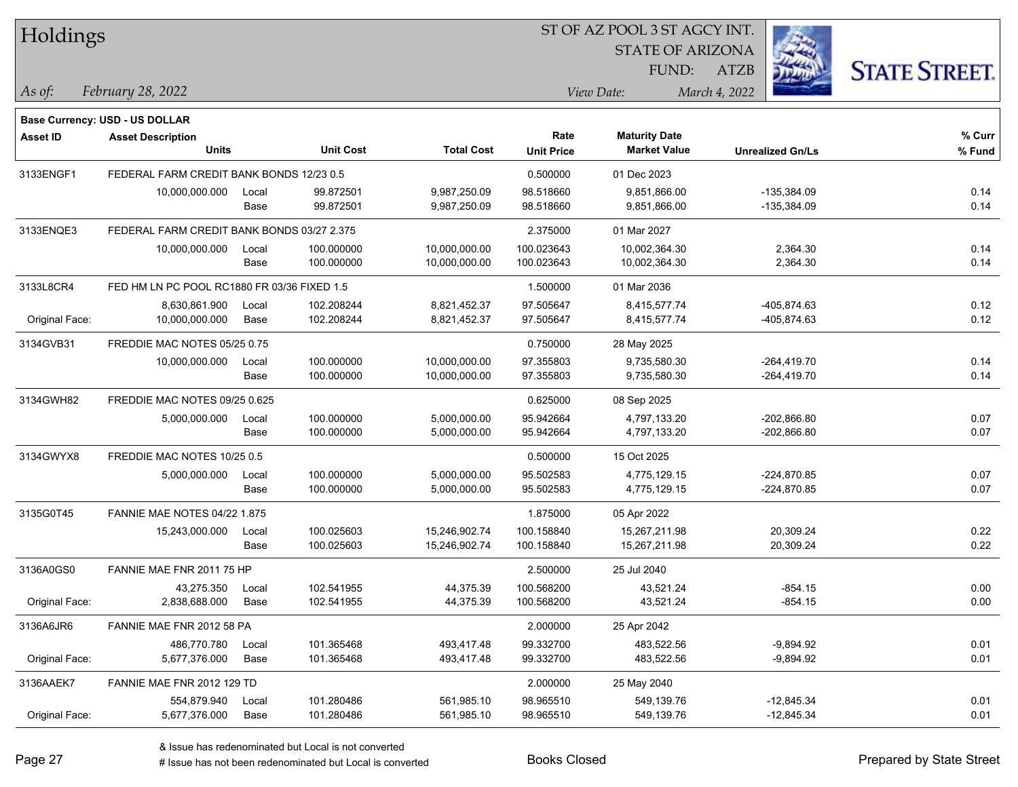| Holdings        |                                             |       |                  |                   |                   | ST OF AZ POOL 3 ST AGCY INT. |                         |                      |
|-----------------|---------------------------------------------|-------|------------------|-------------------|-------------------|------------------------------|-------------------------|----------------------|
|                 |                                             |       |                  |                   |                   | <b>STATE OF ARIZONA</b>      |                         |                      |
|                 |                                             |       |                  |                   |                   | FUND:                        | <b>ATZB</b>             | <b>STATE STREET.</b> |
| $\vert$ As of:  | February 28, 2022                           |       |                  |                   |                   | View Date:                   | March 4, 2022           |                      |
|                 |                                             |       |                  |                   |                   |                              |                         |                      |
|                 | <b>Base Currency: USD - US DOLLAR</b>       |       |                  |                   | Rate              | <b>Maturity Date</b>         |                         | % Curr               |
| <b>Asset ID</b> | <b>Asset Description</b><br><b>Units</b>    |       | <b>Unit Cost</b> | <b>Total Cost</b> | <b>Unit Price</b> | <b>Market Value</b>          | <b>Unrealized Gn/Ls</b> | % Fund               |
| 3133ENGF1       | FEDERAL FARM CREDIT BANK BONDS 12/23 0.5    |       |                  |                   | 0.500000          | 01 Dec 2023                  |                         |                      |
|                 | 10,000,000.000                              | Local | 99.872501        | 9,987,250.09      | 98.518660         | 9,851,866.00                 | -135.384.09             | 0.14                 |
|                 |                                             | Base  | 99.872501        | 9,987,250.09      | 98.518660         | 9,851,866.00                 | $-135,384.09$           | 0.14                 |
| 3133ENQE3       | FEDERAL FARM CREDIT BANK BONDS 03/27 2.375  |       |                  |                   | 2.375000          | 01 Mar 2027                  |                         |                      |
|                 | 10,000,000.000                              | Local | 100.000000       | 10,000,000.00     | 100.023643        | 10,002,364.30                | 2,364.30                | 0.14                 |
|                 |                                             | Base  | 100.000000       | 10,000,000.00     | 100.023643        | 10,002,364.30                | 2,364.30                | 0.14                 |
| 3133L8CR4       | FED HM LN PC POOL RC1880 FR 03/36 FIXED 1.5 |       |                  |                   | 1.500000          | 01 Mar 2036                  |                         |                      |
|                 | 8,630,861.900                               | Local | 102.208244       | 8,821,452.37      | 97.505647         | 8,415,577.74                 | -405,874.63             | 0.12                 |
| Original Face:  | 10,000,000.000                              | Base  | 102.208244       | 8,821,452.37      | 97.505647         | 8,415,577.74                 | -405,874.63             | 0.12                 |
| 3134GVB31       | FREDDIE MAC NOTES 05/25 0.75                |       |                  |                   | 0.750000          | 28 May 2025                  |                         |                      |
|                 | 10,000,000.000                              | Local | 100.000000       | 10,000,000.00     | 97.355803         | 9,735,580.30                 | $-264,419.70$           | 0.14                 |
|                 |                                             | Base  | 100.000000       | 10,000,000.00     | 97.355803         | 9,735,580.30                 | $-264,419.70$           | 0.14                 |
| 3134GWH82       | FREDDIE MAC NOTES 09/25 0.625               |       |                  |                   | 0.625000          | 08 Sep 2025                  |                         |                      |
|                 | 5,000,000.000                               | Local | 100.000000       | 5,000,000.00      | 95.942664         | 4,797,133.20                 | $-202,866.80$           | 0.07                 |
|                 |                                             | Base  | 100.000000       | 5,000,000.00      | 95.942664         | 4,797,133.20                 | $-202,866.80$           | 0.07                 |
| 3134GWYX8       | FREDDIE MAC NOTES 10/25 0.5                 |       |                  |                   | 0.500000          | 15 Oct 2025                  |                         |                      |
|                 | 5,000,000.000                               | Local | 100.000000       | 5,000,000.00      | 95.502583         | 4,775,129.15                 | $-224,870.85$           | 0.07                 |
|                 |                                             | Base  | 100.000000       | 5,000,000.00      | 95.502583         | 4,775,129.15                 | $-224,870.85$           | 0.07                 |
| 3135G0T45       | <b>FANNIE MAE NOTES 04/22 1.875</b>         |       |                  |                   | 1.875000          | 05 Apr 2022                  |                         |                      |
|                 | 15,243,000.000                              | Local | 100.025603       | 15,246,902.74     | 100.158840        | 15,267,211.98                | 20,309.24               | 0.22                 |
|                 |                                             | Base  | 100.025603       | 15,246,902.74     | 100.158840        | 15,267,211.98                | 20,309.24               | 0.22                 |
| 3136A0GS0       | FANNIE MAE FNR 2011 75 HP                   |       |                  |                   | 2.500000          | 25 Jul 2040                  |                         |                      |
|                 | 43,275.350                                  | Local | 102.541955       | 44,375.39         | 100.568200        | 43,521.24                    | -854.15                 | 0.00                 |
| Original Face:  | 2,838,688.000                               | Base  | 102.541955       | 44,375.39         | 100.568200        | 43,521.24                    | $-854.15$               | 0.00                 |
| 3136A6JR6       | FANNIE MAE FNR 2012 58 PA                   |       |                  |                   | 2.000000          | 25 Apr 2042                  |                         |                      |
|                 | 486,770.780                                 | Local | 101.365468       | 493,417.48        | 99.332700         | 483,522.56                   | $-9,894.92$             | 0.01                 |
| Original Face:  | 5,677,376.000                               | Base  | 101.365468       | 493,417.48        | 99.332700         | 483,522.56                   | $-9,894.92$             | 0.01                 |
| 3136AAEK7       | FANNIE MAE FNR 2012 129 TD                  |       |                  |                   | 2.000000          | 25 May 2040                  |                         |                      |
|                 | 554,879.940                                 | Local | 101.280486       | 561,985.10        | 98.965510         | 549,139.76                   | $-12,845.34$            | 0.01                 |
| Original Face:  | 5,677,376.000                               | Base  | 101.280486       | 561,985.10        | 98.965510         | 549,139.76                   | $-12,845.34$            | 0.01                 |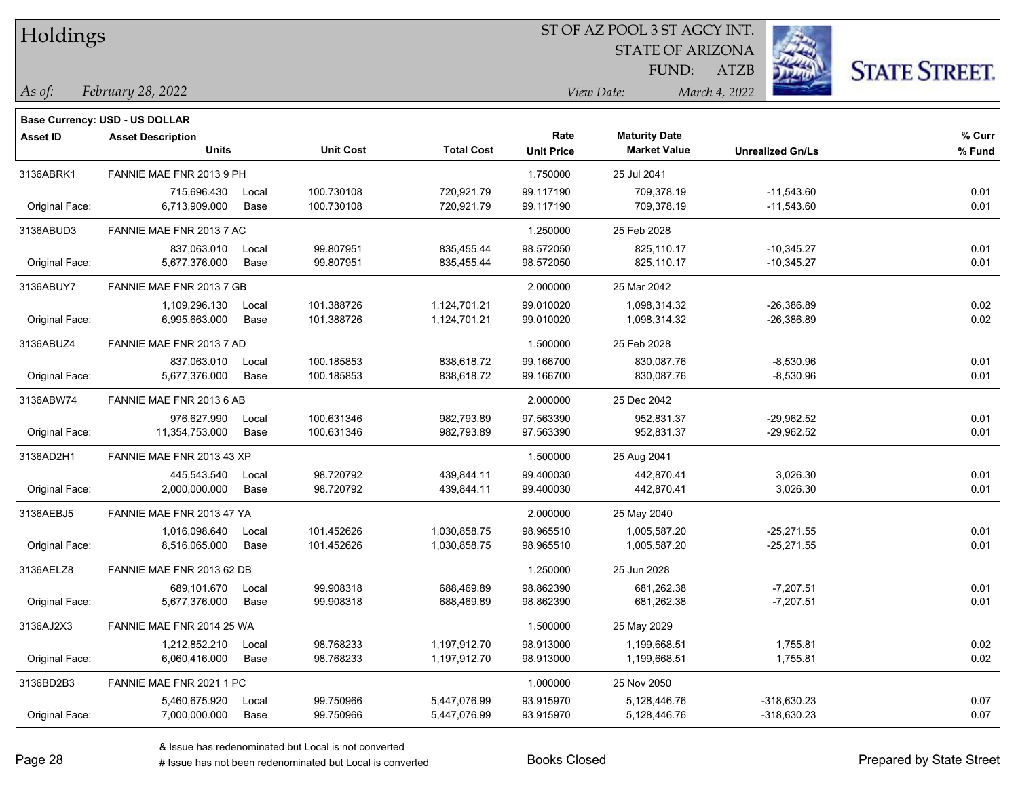| Holdings |  |  |
|----------|--|--|
|          |  |  |

STATE OF ARIZONA FUND:

ATZB



*As of: View Date: March 4, 2022*

| As of: | February 28, 2022 |  |
|--------|-------------------|--|
|        |                   |  |

|                 | Base Currency: USD - US DOLLAR           |               |                          |                              |                           |                                             |                              |                  |
|-----------------|------------------------------------------|---------------|--------------------------|------------------------------|---------------------------|---------------------------------------------|------------------------------|------------------|
| <b>Asset ID</b> | <b>Asset Description</b><br><b>Units</b> |               | <b>Unit Cost</b>         | <b>Total Cost</b>            | Rate<br><b>Unit Price</b> | <b>Maturity Date</b><br><b>Market Value</b> | <b>Unrealized Gn/Ls</b>      | % Curr<br>% Fund |
| 3136ABRK1       | FANNIE MAE FNR 2013 9 PH                 |               |                          |                              | 1.750000                  | 25 Jul 2041                                 |                              |                  |
| Original Face:  | 715,696.430<br>6,713,909.000             | Local<br>Base | 100.730108<br>100.730108 | 720,921.79<br>720,921.79     | 99.117190<br>99.117190    | 709,378.19<br>709,378.19                    | $-11,543.60$<br>$-11,543.60$ | 0.01<br>0.01     |
| 3136ABUD3       | FANNIE MAE FNR 2013 7 AC                 |               |                          |                              | 1.250000                  | 25 Feb 2028                                 |                              |                  |
| Original Face:  | 837,063.010<br>5,677,376.000             | Local<br>Base | 99.807951<br>99.807951   | 835,455.44<br>835,455.44     | 98.572050<br>98.572050    | 825,110.17<br>825,110.17                    | $-10,345.27$<br>$-10,345.27$ | 0.01<br>0.01     |
| 3136ABUY7       | FANNIE MAE FNR 2013 7 GB                 |               |                          |                              | 2.000000                  | 25 Mar 2042                                 |                              |                  |
| Original Face:  | 1,109,296.130<br>6,995,663.000           | Local<br>Base | 101.388726<br>101.388726 | 1,124,701.21<br>1,124,701.21 | 99.010020<br>99.010020    | 1,098,314.32<br>1,098,314.32                | $-26,386.89$<br>$-26,386.89$ | 0.02<br>0.02     |
| 3136ABUZ4       | FANNIE MAE FNR 2013 7 AD                 |               |                          |                              | 1.500000                  | 25 Feb 2028                                 |                              |                  |
| Original Face:  | 837,063.010<br>5,677,376.000             | Local<br>Base | 100.185853<br>100.185853 | 838,618.72<br>838,618.72     | 99.166700<br>99.166700    | 830,087.76<br>830,087.76                    | $-8,530.96$<br>$-8,530.96$   | 0.01<br>0.01     |
| 3136ABW74       | FANNIE MAE FNR 2013 6 AB                 |               |                          |                              | 2.000000                  | 25 Dec 2042                                 |                              |                  |
| Original Face:  | 976,627.990<br>11,354,753.000            | Local<br>Base | 100.631346<br>100.631346 | 982,793.89<br>982,793.89     | 97.563390<br>97.563390    | 952,831.37<br>952,831.37                    | $-29,962.52$<br>$-29,962.52$ | 0.01<br>0.01     |
| 3136AD2H1       | FANNIE MAE FNR 2013 43 XP                |               |                          |                              | 1.500000                  | 25 Aug 2041                                 |                              |                  |
| Original Face:  | 445,543.540<br>2,000,000.000             | Local<br>Base | 98.720792<br>98.720792   | 439,844.11<br>439,844.11     | 99.400030<br>99.400030    | 442,870.41<br>442,870.41                    | 3,026.30<br>3,026.30         | 0.01<br>0.01     |
| 3136AEBJ5       | FANNIE MAE FNR 2013 47 YA                |               |                          |                              | 2.000000                  | 25 May 2040                                 |                              |                  |
| Original Face:  | 1,016,098.640<br>8,516,065.000           | Local<br>Base | 101.452626<br>101.452626 | 1,030,858.75<br>1,030,858.75 | 98.965510<br>98.965510    | 1,005,587.20<br>1,005,587.20                | $-25,271.55$<br>$-25,271.55$ | 0.01<br>0.01     |
| 3136AELZ8       | FANNIE MAE FNR 2013 62 DB                |               |                          |                              | 1.250000                  | 25 Jun 2028                                 |                              |                  |
| Original Face:  | 689,101.670<br>5,677,376.000             | Local<br>Base | 99.908318<br>99.908318   | 688,469.89<br>688,469.89     | 98.862390<br>98.862390    | 681,262.38<br>681,262.38                    | $-7,207.51$<br>$-7,207.51$   | 0.01<br>0.01     |
| 3136AJ2X3       | FANNIE MAE FNR 2014 25 WA                |               |                          |                              | 1.500000                  | 25 May 2029                                 |                              |                  |
| Original Face:  | 1,212,852.210<br>6,060,416.000           | Local<br>Base | 98.768233<br>98.768233   | 1,197,912.70<br>1,197,912.70 | 98.913000<br>98.913000    | 1,199,668.51<br>1,199,668.51                | 1,755.81<br>1,755.81         | 0.02<br>0.02     |
| 3136BD2B3       | FANNIE MAE FNR 2021 1 PC                 |               |                          |                              | 1.000000                  | 25 Nov 2050                                 |                              |                  |
| Original Face:  | 5,460,675.920<br>7,000,000.000           | Local<br>Base | 99.750966<br>99.750966   | 5,447,076.99<br>5,447,076.99 | 93.915970<br>93.915970    | 5,128,446.76<br>5,128,446.76                | -318,630.23<br>$-318,630.23$ | 0.07<br>0.07     |
|                 |                                          |               |                          |                              |                           |                                             |                              |                  |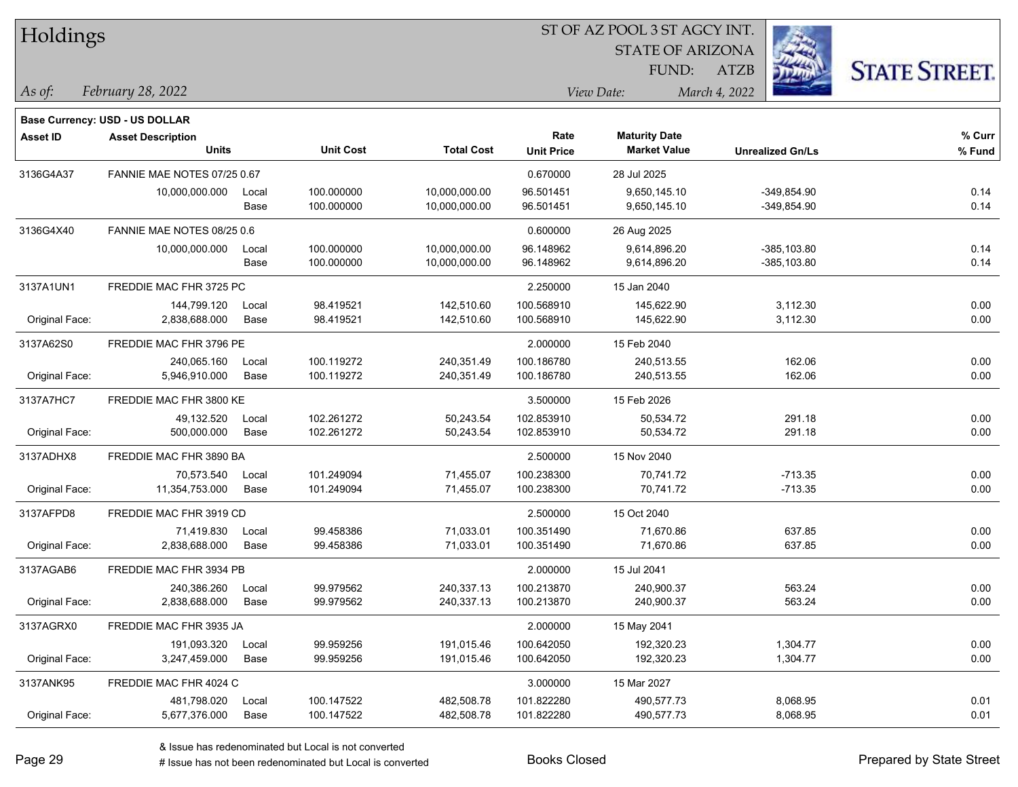| Holdings |  |
|----------|--|
|----------|--|

**Maturity Date**

STATE OF ARIZONA FUND:



**% Curr**

*February 28, 2022 As of: View Date: March 4, 2022*

**Base Currency: USD - US DOLLAR**

ATZB

|                | <b>Units</b>                |       | <b>Unit Cost</b> | <b>Total Cost</b> | <b>Unit Price</b> | <b>Market Value</b> | <b>Unrealized Gn/Ls</b> | % Fund |
|----------------|-----------------------------|-------|------------------|-------------------|-------------------|---------------------|-------------------------|--------|
| 3136G4A37      | FANNIE MAE NOTES 07/25 0.67 |       |                  |                   | 0.670000          | 28 Jul 2025         |                         |        |
|                | 10,000,000.000              | Local | 100.000000       | 10,000,000.00     | 96.501451         | 9,650,145.10        | $-349,854.90$           | 0.14   |
|                |                             | Base  | 100.000000       | 10,000,000.00     | 96.501451         | 9,650,145.10        | $-349,854.90$           | 0.14   |
| 3136G4X40      | FANNIE MAE NOTES 08/25 0.6  |       |                  |                   | 0.600000          | 26 Aug 2025         |                         |        |
|                | 10,000,000.000              | Local | 100.000000       | 10,000,000.00     | 96.148962         | 9.614.896.20        | $-385.103.80$           | 0.14   |
|                |                             | Base  | 100.000000       | 10,000,000.00     | 96.148962         | 9,614,896.20        | $-385,103.80$           | 0.14   |
| 3137A1UN1      | FREDDIE MAC FHR 3725 PC     |       |                  |                   | 2.250000          | 15 Jan 2040         |                         |        |
|                | 144,799.120                 | Local | 98.419521        | 142,510.60        | 100.568910        | 145,622.90          | 3,112.30                | 0.00   |
| Original Face: | 2,838,688.000               | Base  | 98.419521        | 142,510.60        | 100.568910        | 145,622.90          | 3,112.30                | 0.00   |
| 3137A62S0      | FREDDIE MAC FHR 3796 PE     |       |                  |                   | 2.000000          | 15 Feb 2040         |                         |        |
|                | 240,065.160                 | Local | 100.119272       | 240,351.49        | 100.186780        | 240,513.55          | 162.06                  | 0.00   |
| Original Face: | 5,946,910.000               | Base  | 100.119272       | 240,351.49        | 100.186780        | 240,513.55          | 162.06                  | 0.00   |
| 3137A7HC7      | FREDDIE MAC FHR 3800 KE     |       |                  |                   | 3.500000          | 15 Feb 2026         |                         |        |
|                | 49,132.520                  | Local | 102.261272       | 50,243.54         | 102.853910        | 50,534.72           | 291.18                  | 0.00   |
| Original Face: | 500,000.000                 | Base  | 102.261272       | 50,243.54         | 102.853910        | 50,534.72           | 291.18                  | 0.00   |
| 3137ADHX8      | FREDDIE MAC FHR 3890 BA     |       |                  |                   | 2.500000          | 15 Nov 2040         |                         |        |
|                | 70.573.540                  | Local | 101.249094       | 71,455.07         | 100.238300        | 70,741.72           | $-713.35$               | 0.00   |
| Original Face: | 11,354,753.000              | Base  | 101.249094       | 71,455.07         | 100.238300        | 70,741.72           | $-713.35$               | 0.00   |
| 3137AFPD8      | FREDDIE MAC FHR 3919 CD     |       |                  |                   | 2.500000          | 15 Oct 2040         |                         |        |
|                | 71,419.830                  | Local | 99.458386        | 71,033.01         | 100.351490        | 71,670.86           | 637.85                  | 0.00   |
| Original Face: | 2,838,688.000               | Base  | 99.458386        | 71,033.01         | 100.351490        | 71,670.86           | 637.85                  | 0.00   |
| 3137AGAB6      | FREDDIE MAC FHR 3934 PB     |       |                  |                   | 2.000000          | 15 Jul 2041         |                         |        |
|                | 240,386.260                 | Local | 99.979562        | 240,337.13        | 100.213870        | 240,900.37          | 563.24                  | 0.00   |
| Original Face: | 2,838,688.000               | Base  | 99.979562        | 240,337.13        | 100.213870        | 240,900.37          | 563.24                  | 0.00   |
| 3137AGRX0      | FREDDIE MAC FHR 3935 JA     |       |                  |                   | 2.000000          | 15 May 2041         |                         |        |
|                | 191,093.320                 | Local | 99.959256        | 191,015.46        | 100.642050        | 192,320.23          | 1,304.77                | 0.00   |
| Original Face: | 3,247,459.000               | Base  | 99.959256        | 191,015.46        | 100.642050        | 192,320.23          | 1,304.77                | 0.00   |
| 3137ANK95      | FREDDIE MAC FHR 4024 C      |       |                  |                   | 3.000000          | 15 Mar 2027         |                         |        |

**Asset ID Asset Description Rate**

Original Face: 5,677,376.000 Base 100.147522 482,508.78 101.822280 490,577.73 8,068.95 0.01

481,798.020 Local 100.147522 482,508.78 101.822280 490,577.73 8,068.95 0.01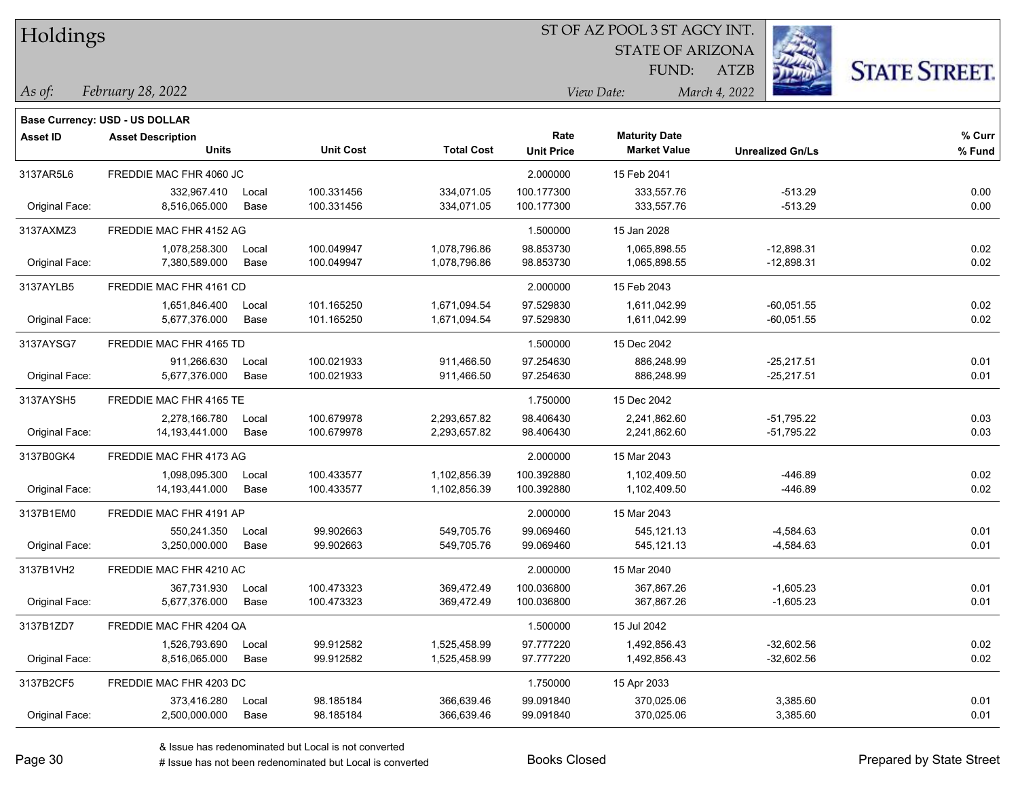| Holdings/ |
|-----------|
|-----------|

**Units Unit Cost Total Cost Unit Price Market Value Unrealized Gn/Ls**

**Maturity Date**

STATE OF ARIZONA FUND:



**% Fund**

**% Curr**

*February 28, 2022 As of: View Date: March 4, 2022*

**Base Currency: USD - US DOLLAR**

ATZB

| 3137AR5L6      | FREDDIE MAC FHR 4060 JC |       |            |              | 2.000000   | 15 Feb 2041  |              |      |
|----------------|-------------------------|-------|------------|--------------|------------|--------------|--------------|------|
|                | 332,967.410             | Local | 100.331456 | 334,071.05   | 100.177300 | 333,557.76   | $-513.29$    | 0.00 |
| Original Face: | 8,516,065.000           | Base  | 100.331456 | 334,071.05   | 100.177300 | 333,557.76   | $-513.29$    | 0.00 |
| 3137AXMZ3      | FREDDIE MAC FHR 4152 AG |       |            |              | 1.500000   | 15 Jan 2028  |              |      |
|                | 1,078,258.300           | Local | 100.049947 | 1,078,796.86 | 98.853730  | 1,065,898.55 | $-12,898.31$ | 0.02 |
| Original Face: | 7,380,589.000           | Base  | 100.049947 | 1,078,796.86 | 98.853730  | 1,065,898.55 | $-12,898.31$ | 0.02 |
| 3137AYLB5      | FREDDIE MAC FHR 4161 CD |       |            |              | 2.000000   | 15 Feb 2043  |              |      |
|                | 1,651,846.400           | Local | 101.165250 | 1,671,094.54 | 97.529830  | 1,611,042.99 | $-60,051.55$ | 0.02 |
| Original Face: | 5,677,376.000           | Base  | 101.165250 | 1,671,094.54 | 97.529830  | 1,611,042.99 | $-60,051.55$ | 0.02 |
| 3137AYSG7      | FREDDIE MAC FHR 4165 TD |       |            |              | 1.500000   | 15 Dec 2042  |              |      |
|                | 911.266.630             | Local | 100.021933 | 911,466.50   | 97.254630  | 886,248.99   | $-25,217.51$ | 0.01 |
| Original Face: | 5,677,376.000           | Base  | 100.021933 | 911,466.50   | 97.254630  | 886,248.99   | $-25,217.51$ | 0.01 |
| 3137AYSH5      | FREDDIE MAC FHR 4165 TE |       |            |              | 1.750000   | 15 Dec 2042  |              |      |
|                | 2,278,166.780           | Local | 100.679978 | 2,293,657.82 | 98.406430  | 2,241,862.60 | $-51,795.22$ | 0.03 |
| Original Face: | 14,193,441.000          | Base  | 100.679978 | 2,293,657.82 | 98.406430  | 2,241,862.60 | $-51,795.22$ | 0.03 |
| 3137B0GK4      | FREDDIE MAC FHR 4173 AG |       |            |              | 2.000000   | 15 Mar 2043  |              |      |
|                | 1,098,095.300           | Local | 100.433577 | 1,102,856.39 | 100.392880 | 1,102,409.50 | $-446.89$    | 0.02 |
| Original Face: | 14,193,441.000          | Base  | 100.433577 | 1,102,856.39 | 100.392880 | 1,102,409.50 | $-446.89$    | 0.02 |
| 3137B1EM0      | FREDDIE MAC FHR 4191 AP |       |            |              | 2.000000   | 15 Mar 2043  |              |      |
|                | 550,241.350             | Local | 99.902663  | 549,705.76   | 99.069460  | 545,121.13   | $-4,584.63$  | 0.01 |
| Original Face: | 3,250,000.000           | Base  | 99.902663  | 549,705.76   | 99.069460  | 545,121.13   | $-4,584.63$  | 0.01 |
| 3137B1VH2      | FREDDIE MAC FHR 4210 AC |       |            |              | 2.000000   | 15 Mar 2040  |              |      |
|                | 367,731.930             | Local | 100.473323 | 369,472.49   | 100.036800 | 367,867.26   | $-1,605.23$  | 0.01 |
| Original Face: | 5,677,376.000           | Base  | 100.473323 | 369,472.49   | 100.036800 | 367,867.26   | $-1,605.23$  | 0.01 |
| 3137B1ZD7      | FREDDIE MAC FHR 4204 QA |       |            |              | 1.500000   | 15 Jul 2042  |              |      |
|                | 1,526,793.690           | Local | 99.912582  | 1,525,458.99 | 97.777220  | 1,492,856.43 | $-32,602.56$ | 0.02 |
| Original Face: | 8,516,065.000           | Base  | 99.912582  | 1,525,458.99 | 97.777220  | 1,492,856.43 | $-32,602.56$ | 0.02 |
| 3137B2CF5      | FREDDIE MAC FHR 4203 DC |       |            |              | 1.750000   | 15 Apr 2033  |              |      |
|                | 373,416.280             | Local | 98.185184  | 366,639.46   | 99.091840  | 370,025.06   | 3,385.60     | 0.01 |
| Original Face: | 2,500,000.000           | Base  | 98.185184  | 366,639.46   | 99.091840  | 370,025.06   | 3,385.60     | 0.01 |

**Asset ID Asset Description Rate**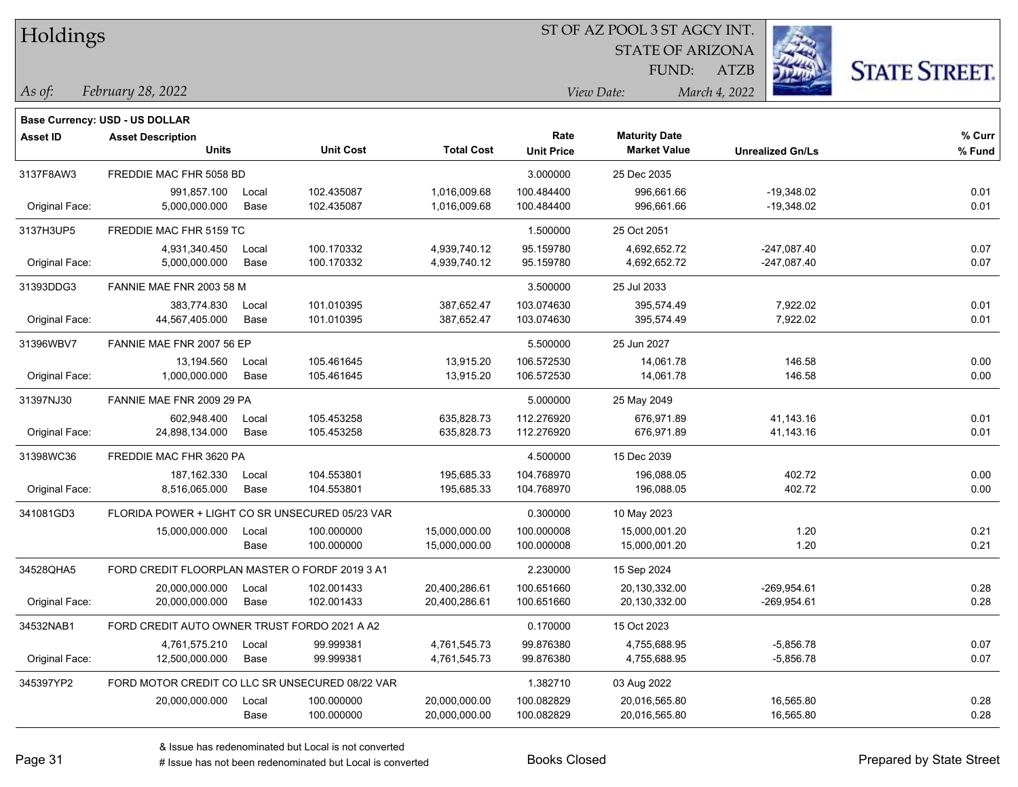| Holdings |
|----------|
|          |

**Base Currency: USD - US DOLLAR**

#### ST OF AZ POOL 3 ST AGCY INT.

STATE OF ARIZONA

ATZB



*February 28, 2022 As of: View Date: March 4, 2022*

FUND:

| <b>Asset ID</b> | <b>Asset Description</b>                        |       |                  |                   | Rate              | <b>Maturity Date</b> |                         | % Curr |
|-----------------|-------------------------------------------------|-------|------------------|-------------------|-------------------|----------------------|-------------------------|--------|
|                 | <b>Units</b>                                    |       | <b>Unit Cost</b> | <b>Total Cost</b> | <b>Unit Price</b> | <b>Market Value</b>  | <b>Unrealized Gn/Ls</b> | % Fund |
| 3137F8AW3       | FREDDIE MAC FHR 5058 BD                         |       |                  | 3.000000          | 25 Dec 2035       |                      |                         |        |
|                 | 991,857.100                                     | Local | 102.435087       | 1,016,009.68      | 100.484400        | 996,661.66           | $-19,348.02$            | 0.01   |
| Original Face:  | 5,000,000.000                                   | Base  | 102.435087       | 1,016,009.68      | 100.484400        | 996,661.66           | $-19,348.02$            | 0.01   |
| 3137H3UP5       | FREDDIE MAC FHR 5159 TC                         |       |                  |                   | 1.500000          | 25 Oct 2051          |                         |        |
|                 | 4,931,340.450                                   | Local | 100.170332       | 4,939,740.12      | 95.159780         | 4,692,652.72         | -247,087.40             | 0.07   |
| Original Face:  | 5,000,000.000                                   | Base  | 100.170332       | 4,939,740.12      | 95.159780         | 4,692,652.72         | $-247,087.40$           | 0.07   |
| 31393DDG3       | FANNIE MAE FNR 2003 58 M                        |       |                  |                   | 3.500000          | 25 Jul 2033          |                         |        |
|                 | 383,774.830                                     | Local | 101.010395       | 387,652.47        | 103.074630        | 395,574.49           | 7,922.02                | 0.01   |
| Original Face:  | 44,567,405.000                                  | Base  | 101.010395       | 387,652.47        | 103.074630        | 395,574.49           | 7,922.02                | 0.01   |
| 31396WBV7       | FANNIE MAE FNR 2007 56 EP                       |       |                  |                   | 5.500000          | 25 Jun 2027          |                         |        |
|                 | 13.194.560                                      | Local | 105.461645       | 13,915.20         | 106.572530        | 14,061.78            | 146.58                  | 0.00   |
| Original Face:  | 1,000,000.000                                   | Base  | 105.461645       | 13,915.20         | 106.572530        | 14,061.78            | 146.58                  | 0.00   |
| 31397NJ30       | FANNIE MAE FNR 2009 29 PA                       |       |                  |                   | 5.000000          | 25 May 2049          |                         |        |
|                 | 602,948.400                                     | Local | 105.453258       | 635,828.73        | 112.276920        | 676.971.89           | 41,143.16               | 0.01   |
| Original Face:  | 24,898,134.000                                  | Base  | 105.453258       | 635,828.73        | 112.276920        | 676,971.89           | 41,143.16               | 0.01   |
| 31398WC36       | FREDDIE MAC FHR 3620 PA                         |       |                  |                   | 4.500000          | 15 Dec 2039          |                         |        |
|                 | 187, 162. 330                                   | Local | 104.553801       | 195,685.33        | 104.768970        | 196,088.05           | 402.72                  | 0.00   |
| Original Face:  | 8,516,065.000                                   | Base  | 104.553801       | 195,685.33        | 104.768970        | 196,088.05           | 402.72                  | 0.00   |
| 341081GD3       | FLORIDA POWER + LIGHT CO SR UNSECURED 05/23 VAR |       |                  |                   | 0.300000          | 10 May 2023          |                         |        |
|                 | 15,000,000.000                                  | Local | 100.000000       | 15,000,000.00     | 100.000008        | 15,000,001.20        | 1.20                    | 0.21   |
|                 |                                                 | Base  | 100.000000       | 15,000,000.00     | 100.000008        | 15,000,001.20        | 1.20                    | 0.21   |
| 34528QHA5       | FORD CREDIT FLOORPLAN MASTER O FORDF 2019 3 A1  |       |                  |                   | 2.230000          | 15 Sep 2024          |                         |        |
|                 | 20,000,000.000                                  | Local | 102.001433       | 20,400,286.61     | 100.651660        | 20,130,332.00        | $-269,954.61$           | 0.28   |
| Original Face:  | 20,000,000.000                                  | Base  | 102.001433       | 20,400,286.61     | 100.651660        | 20,130,332.00        | $-269,954.61$           | 0.28   |
| 34532NAB1       | FORD CREDIT AUTO OWNER TRUST FORDO 2021 A A2    |       |                  |                   | 0.170000          | 15 Oct 2023          |                         |        |
|                 | 4,761,575.210                                   | Local | 99.999381        | 4,761,545.73      | 99.876380         | 4,755,688.95         | $-5,856.78$             | 0.07   |
| Original Face:  | 12,500,000.000                                  | Base  | 99.999381        | 4,761,545.73      | 99.876380         | 4,755,688.95         | $-5,856.78$             | 0.07   |
| 345397YP2       | FORD MOTOR CREDIT CO LLC SR UNSECURED 08/22 VAR |       |                  |                   | 1.382710          | 03 Aug 2022          |                         |        |
|                 | 20,000,000.000                                  | Local | 100.000000       | 20,000,000.00     | 100.082829        | 20,016,565.80        | 16,565.80               | 0.28   |
|                 |                                                 | Base  | 100.000000       | 20,000,000.00     | 100.082829        | 20,016,565.80        | 16,565.80               | 0.28   |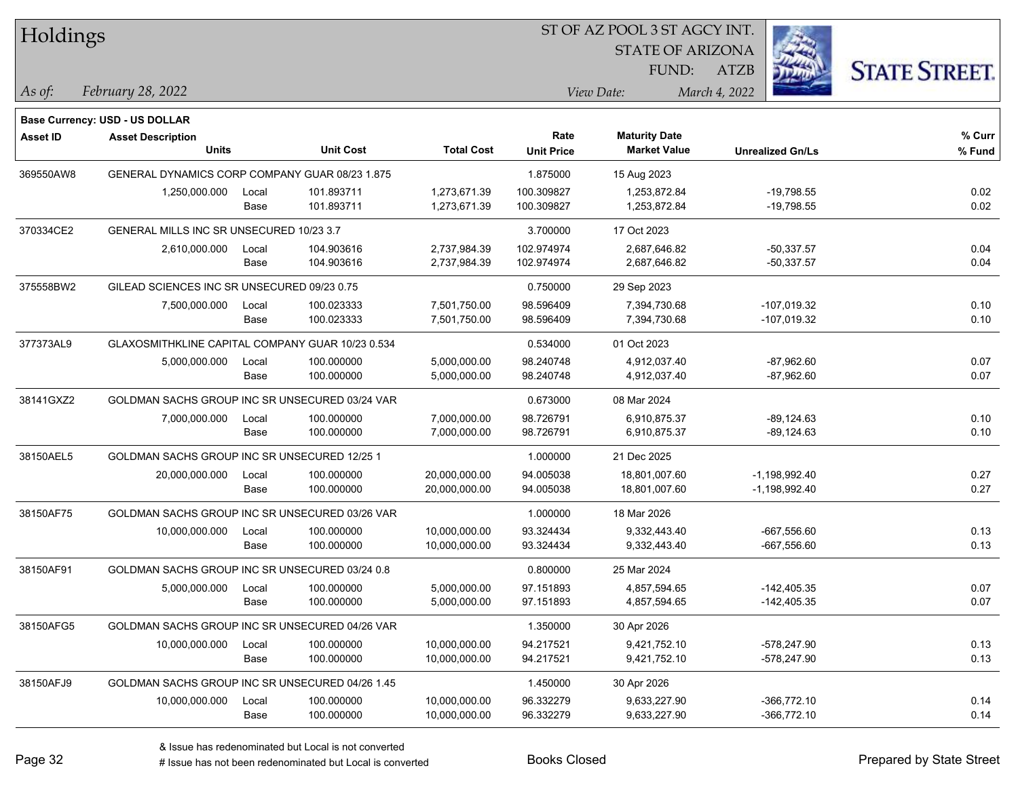| Holdings        |                                                  |       |                  |                   |                   | ST OF AZ POOL 3 ST AGCY INT. |                         |                      |
|-----------------|--------------------------------------------------|-------|------------------|-------------------|-------------------|------------------------------|-------------------------|----------------------|
|                 |                                                  |       |                  |                   |                   | <b>STATE OF ARIZONA</b>      |                         |                      |
|                 |                                                  |       |                  |                   |                   | FUND:                        | <b>ATZB</b>             | <b>STATE STREET.</b> |
| As of:          | February 28, 2022                                |       |                  |                   |                   | View Date:                   | March 4, 2022           |                      |
|                 | Base Currency: USD - US DOLLAR                   |       |                  |                   |                   |                              |                         |                      |
| <b>Asset ID</b> | <b>Asset Description</b>                         |       |                  |                   | Rate              | <b>Maturity Date</b>         |                         | % Curr               |
|                 | <b>Units</b>                                     |       | <b>Unit Cost</b> | <b>Total Cost</b> | <b>Unit Price</b> | <b>Market Value</b>          | <b>Unrealized Gn/Ls</b> | % Fund               |
| 369550AW8       | GENERAL DYNAMICS CORP COMPANY GUAR 08/23 1.875   |       |                  |                   | 1.875000          | 15 Aug 2023                  |                         |                      |
|                 | 1,250,000.000                                    | Local | 101.893711       | 1,273,671.39      | 100.309827        | 1,253,872.84                 | $-19,798.55$            | 0.02                 |
|                 |                                                  | Base  | 101.893711       | 1,273,671.39      | 100.309827        | 1,253,872.84                 | $-19,798.55$            | 0.02                 |
| 370334CE2       | GENERAL MILLS INC SR UNSECURED 10/23 3.7         |       |                  |                   | 3.700000          | 17 Oct 2023                  |                         |                      |
|                 | 2,610,000.000                                    | Local | 104.903616       | 2,737,984.39      | 102.974974        | 2,687,646.82                 | $-50,337.57$            | 0.04                 |
|                 |                                                  | Base  | 104.903616       | 2,737,984.39      | 102.974974        | 2,687,646.82                 | $-50,337.57$            | 0.04                 |
| 375558BW2       | GILEAD SCIENCES INC SR UNSECURED 09/23 0.75      |       |                  |                   | 0.750000          | 29 Sep 2023                  |                         |                      |
|                 | 7,500,000.000                                    | Local | 100.023333       | 7,501,750.00      | 98.596409         | 7,394,730.68                 | -107,019.32             | 0.10                 |
|                 |                                                  | Base  | 100.023333       | 7,501,750.00      | 98.596409         | 7,394,730.68                 | -107,019.32             | 0.10                 |
| 377373AL9       | GLAXOSMITHKLINE CAPITAL COMPANY GUAR 10/23 0.534 |       |                  |                   | 0.534000          | 01 Oct 2023                  |                         |                      |
|                 | 5,000,000.000                                    | Local | 100.000000       | 5,000,000.00      | 98.240748         | 4,912,037.40                 | $-87,962.60$            | 0.07                 |
|                 |                                                  | Base  | 100.000000       | 5,000,000.00      | 98.240748         | 4,912,037.40                 | $-87,962.60$            | 0.07                 |
| 38141GXZ2       | GOLDMAN SACHS GROUP INC SR UNSECURED 03/24 VAR   |       |                  |                   | 0.673000          | 08 Mar 2024                  |                         |                      |
|                 | 7,000,000.000                                    | Local | 100.000000       | 7,000,000.00      | 98.726791         | 6,910,875.37                 | $-89, 124.63$           | 0.10                 |
|                 |                                                  | Base  | 100.000000       | 7,000,000.00      | 98.726791         | 6,910,875.37                 | $-89, 124.63$           | 0.10                 |
| 38150AEL5       | GOLDMAN SACHS GROUP INC SR UNSECURED 12/25 1     |       |                  |                   | 1.000000          | 21 Dec 2025                  |                         |                      |
|                 | 20,000,000.000                                   | Local | 100.000000       | 20,000,000.00     | 94.005038         | 18,801,007.60                | $-1,198,992.40$         | 0.27                 |
|                 |                                                  | Base  | 100.000000       | 20,000,000.00     | 94.005038         | 18,801,007.60                | -1,198,992.40           | 0.27                 |
| 38150AF75       | GOLDMAN SACHS GROUP INC SR UNSECURED 03/26 VAR   |       |                  |                   | 1.000000          | 18 Mar 2026                  |                         |                      |
|                 | 10,000,000.000                                   | Local | 100.000000       | 10,000,000.00     | 93.324434         | 9,332,443.40                 | $-667,556.60$           | 0.13                 |
|                 |                                                  | Base  | 100.000000       | 10,000,000.00     | 93.324434         | 9,332,443.40                 | $-667,556.60$           | 0.13                 |
| 38150AF91       | GOLDMAN SACHS GROUP INC SR UNSECURED 03/24 0.8   |       |                  |                   | 0.800000          | 25 Mar 2024                  |                         |                      |
|                 | 5,000,000.000                                    | Local | 100.000000       | 5,000,000.00      | 97.151893         | 4,857,594.65                 | $-142,405.35$           | 0.07                 |
|                 |                                                  | Base  | 100.000000       | 5,000,000.00      | 97.151893         | 4,857,594.65                 | $-142,405.35$           | 0.07                 |
| 38150AFG5       | GOLDMAN SACHS GROUP INC SR UNSECURED 04/26 VAR   |       |                  |                   | 1.350000          | 30 Apr 2026                  |                         |                      |
|                 | 10,000,000.000                                   | Local | 100.000000       | 10,000,000.00     | 94.217521         | 9,421,752.10                 | -578,247.90             | 0.13                 |
|                 |                                                  | Base  | 100.000000       | 10,000,000.00     | 94.217521         | 9,421,752.10                 | -578,247.90             | 0.13                 |
| 38150AFJ9       | GOLDMAN SACHS GROUP INC SR UNSECURED 04/26 1.45  |       |                  |                   | 1.450000          | 30 Apr 2026                  |                         |                      |
|                 | 10,000,000.000                                   | Local | 100.000000       | 10,000,000.00     | 96.332279         | 9,633,227.90                 | $-366,772.10$           | 0.14                 |
|                 |                                                  | Base  | 100.000000       | 10,000,000.00     | 96.332279         | 9,633,227.90                 | $-366,772.10$           | 0.14                 |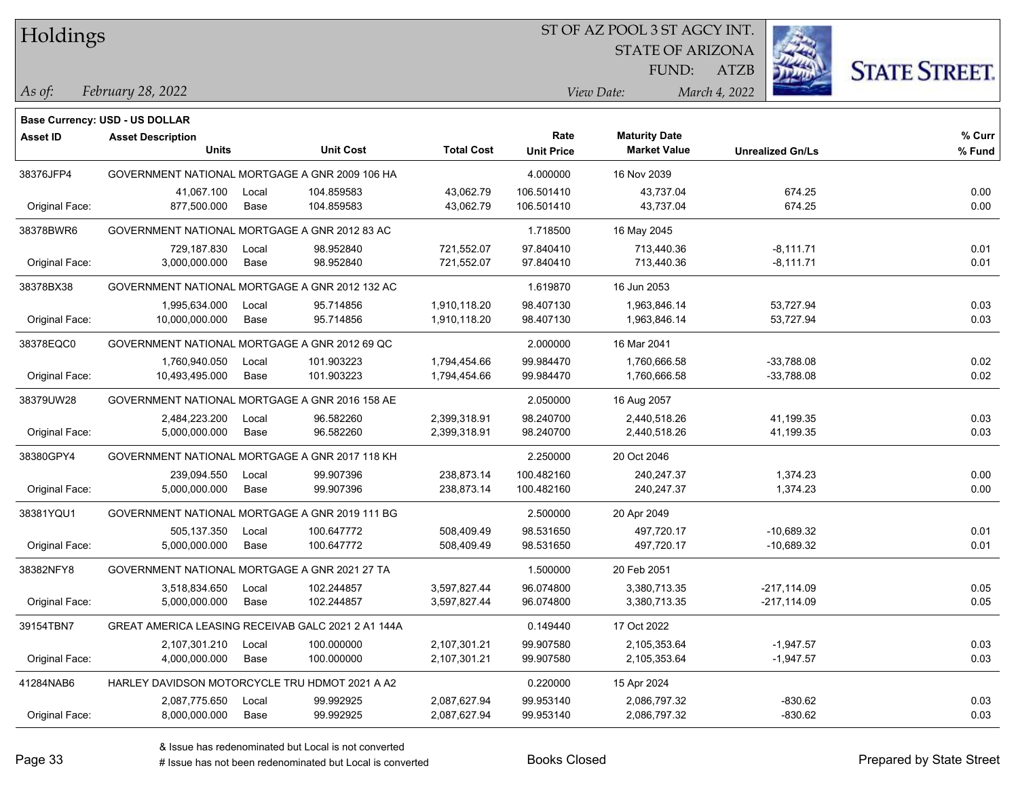Holdings

#### ST OF AZ POOL 3 ST AGCY INT.

STATE OF ARIZONA

ATZB



*February 28, 2022 As of: View Date: March 4, 2022*

**Base Currency: USD - US DOLLAR**

FUND:

| Asset ID       | <b>Asset Description</b>                           |       |                  |                   | Rate              | <b>Maturity Date</b> |                         | % Curr |
|----------------|----------------------------------------------------|-------|------------------|-------------------|-------------------|----------------------|-------------------------|--------|
|                | Units                                              |       | <b>Unit Cost</b> | <b>Total Cost</b> | <b>Unit Price</b> | <b>Market Value</b>  | <b>Unrealized Gn/Ls</b> | % Fund |
| 38376JFP4      | GOVERNMENT NATIONAL MORTGAGE A GNR 2009 106 HA     |       |                  |                   | 4.000000          | 16 Nov 2039          |                         |        |
|                | 41,067.100                                         | Local | 104.859583       | 43,062.79         | 106.501410        | 43,737.04            | 674.25                  | 0.00   |
| Original Face: | 877,500.000                                        | Base  | 104.859583       | 43,062.79         | 106.501410        | 43,737.04            | 674.25                  | 0.00   |
| 38378BWR6      | GOVERNMENT NATIONAL MORTGAGE A GNR 2012 83 AC      |       |                  |                   | 1.718500          | 16 May 2045          |                         |        |
|                | 729,187.830                                        | Local | 98.952840        | 721,552.07        | 97.840410         | 713,440.36           | $-8,111.71$             | 0.01   |
| Original Face: | 3,000,000.000                                      | Base  | 98.952840        | 721,552.07        | 97.840410         | 713,440.36           | $-8,111.71$             | 0.01   |
| 38378BX38      | GOVERNMENT NATIONAL MORTGAGE A GNR 2012 132 AC     |       |                  |                   | 1.619870          | 16 Jun 2053          |                         |        |
|                | 1,995,634.000                                      | Local | 95.714856        | 1,910,118.20      | 98.407130         | 1,963,846.14         | 53,727.94               | 0.03   |
| Original Face: | 10,000,000.000                                     | Base  | 95.714856        | 1,910,118.20      | 98.407130         | 1,963,846.14         | 53,727.94               | 0.03   |
| 38378EQC0      | GOVERNMENT NATIONAL MORTGAGE A GNR 2012 69 QC      |       |                  |                   | 2.000000          | 16 Mar 2041          |                         |        |
|                | 1,760,940.050                                      | Local | 101.903223       | 1,794,454.66      | 99.984470         | 1,760,666.58         | $-33,788.08$            | 0.02   |
| Original Face: | 10,493,495.000                                     | Base  | 101.903223       | 1,794,454.66      | 99.984470         | 1,760,666.58         | $-33,788.08$            | 0.02   |
| 38379UW28      | GOVERNMENT NATIONAL MORTGAGE A GNR 2016 158 AE     |       |                  |                   | 2.050000          | 16 Aug 2057          |                         |        |
|                | 2,484,223.200                                      | Local | 96.582260        | 2,399,318.91      | 98.240700         | 2,440,518.26         | 41,199.35               | 0.03   |
| Original Face: | 5,000,000.000                                      | Base  | 96.582260        | 2,399,318.91      | 98.240700         | 2,440,518.26         | 41,199.35               | 0.03   |
| 38380GPY4      | GOVERNMENT NATIONAL MORTGAGE A GNR 2017 118 KH     |       |                  |                   | 2.250000          | 20 Oct 2046          |                         |        |
|                | 239,094.550                                        | Local | 99.907396        | 238,873.14        | 100.482160        | 240,247.37           | 1,374.23                | 0.00   |
| Original Face: | 5,000,000.000                                      | Base  | 99.907396        | 238,873.14        | 100.482160        | 240,247.37           | 1,374.23                | 0.00   |
| 38381YQU1      | GOVERNMENT NATIONAL MORTGAGE A GNR 2019 111 BG     |       |                  |                   | 2.500000          | 20 Apr 2049          |                         |        |
|                | 505,137.350                                        | Local | 100.647772       | 508,409.49        | 98.531650         | 497,720.17           | $-10,689.32$            | 0.01   |
| Original Face: | 5,000,000.000                                      | Base  | 100.647772       | 508,409.49        | 98.531650         | 497,720.17           | $-10,689.32$            | 0.01   |
| 38382NFY8      | GOVERNMENT NATIONAL MORTGAGE A GNR 2021 27 TA      |       |                  |                   | 1.500000          | 20 Feb 2051          |                         |        |
|                | 3,518,834.650                                      | Local | 102.244857       | 3,597,827.44      | 96.074800         | 3,380,713.35         | $-217,114.09$           | 0.05   |
| Original Face: | 5,000,000.000                                      | Base  | 102.244857       | 3,597,827.44      | 96.074800         | 3,380,713.35         | $-217,114.09$           | 0.05   |
| 39154TBN7      | GREAT AMERICA LEASING RECEIVAB GALC 2021 2 A1 144A |       |                  |                   | 0.149440          | 17 Oct 2022          |                         |        |
|                | 2,107,301.210                                      | Local | 100.000000       | 2,107,301.21      | 99.907580         | 2,105,353.64         | $-1,947.57$             | 0.03   |
| Original Face: | 4,000,000.000                                      | Base  | 100.000000       | 2,107,301.21      | 99.907580         | 2,105,353.64         | $-1,947.57$             | 0.03   |
| 41284NAB6      | HARLEY DAVIDSON MOTORCYCLE TRU HDMOT 2021 A A2     |       |                  |                   | 0.220000          | 15 Apr 2024          |                         |        |
|                | 2,087,775.650                                      | Local | 99.992925        | 2,087,627.94      | 99.953140         | 2,086,797.32         | $-830.62$               | 0.03   |
| Original Face: | 8,000,000.000                                      | Base  | 99.992925        | 2,087,627.94      | 99.953140         | 2,086,797.32         | $-830.62$               | 0.03   |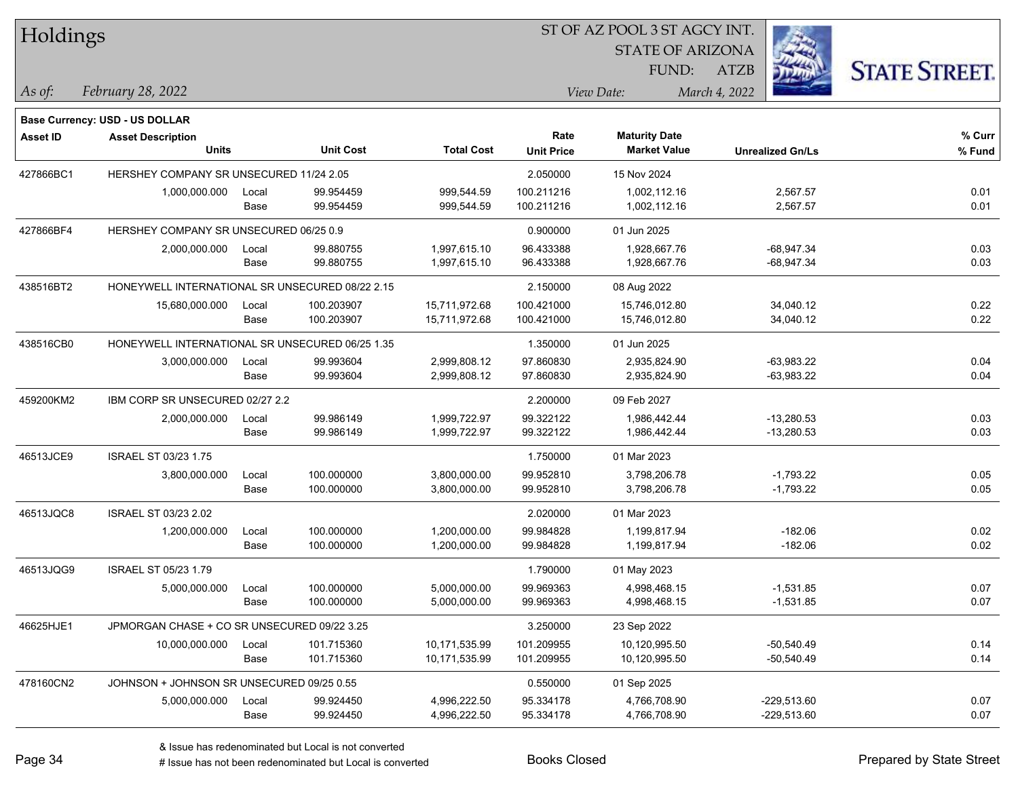| Holdings                              |                                                 |       |                  |                   |                   |                         |                         |                      |
|---------------------------------------|-------------------------------------------------|-------|------------------|-------------------|-------------------|-------------------------|-------------------------|----------------------|
|                                       |                                                 |       |                  |                   |                   | <b>STATE OF ARIZONA</b> |                         |                      |
|                                       |                                                 |       |                  |                   |                   | FUND:                   | ATZB                    | <b>STATE STREET.</b> |
| As of:                                | February 28, 2022                               |       |                  |                   |                   | View Date:              | March 4, 2022           |                      |
|                                       |                                                 |       |                  |                   |                   |                         |                         |                      |
| <b>Base Currency: USD - US DOLLAR</b> |                                                 |       |                  |                   |                   |                         |                         |                      |
| <b>Asset ID</b>                       | <b>Asset Description</b>                        |       |                  |                   | Rate              | <b>Maturity Date</b>    |                         | % Curr               |
|                                       | Units                                           |       | <b>Unit Cost</b> | <b>Total Cost</b> | <b>Unit Price</b> | <b>Market Value</b>     | <b>Unrealized Gn/Ls</b> | % Fund               |
| 427866BC1                             | HERSHEY COMPANY SR UNSECURED 11/24 2.05         |       |                  |                   | 2.050000          | 15 Nov 2024             |                         |                      |
|                                       | 1,000,000.000                                   | Local | 99.954459        | 999,544.59        | 100.211216        | 1,002,112.16            | 2,567.57                | 0.01                 |
|                                       |                                                 | Base  | 99.954459        | 999,544.59        | 100.211216        | 1,002,112.16            | 2,567.57                | 0.01                 |
| 427866BF4                             | HERSHEY COMPANY SR UNSECURED 06/25 0.9          |       |                  |                   | 0.900000          | 01 Jun 2025             |                         |                      |
|                                       | 2,000,000.000                                   | Local | 99.880755        | 1,997,615.10      | 96.433388         | 1,928,667.76            | $-68,947.34$            | 0.03                 |
|                                       |                                                 | Base  | 99.880755        | 1,997,615.10      | 96.433388         | 1,928,667.76            | -68,947.34              | 0.03                 |
| 438516BT2                             | HONEYWELL INTERNATIONAL SR UNSECURED 08/22 2.15 |       |                  |                   | 2.150000          | 08 Aug 2022             |                         |                      |
|                                       | 15,680,000.000                                  | Local | 100.203907       | 15,711,972.68     | 100.421000        | 15,746,012.80           | 34,040.12               | 0.22                 |
|                                       |                                                 | Base  | 100.203907       | 15,711,972.68     | 100.421000        | 15,746,012.80           | 34,040.12               | 0.22                 |
| 438516CB0                             | HONEYWELL INTERNATIONAL SR UNSECURED 06/25 1.35 |       |                  |                   | 1.350000          | 01 Jun 2025             |                         |                      |
|                                       | 3,000,000.000                                   | Local | 99.993604        | 2,999,808.12      | 97.860830         | 2,935,824.90            | $-63,983.22$            | 0.04                 |
|                                       |                                                 | Base  | 99.993604        | 2,999,808.12      | 97.860830         | 2,935,824.90            | $-63,983.22$            | 0.04                 |
| 459200KM2                             | IBM CORP SR UNSECURED 02/27 2.2                 |       |                  |                   | 2.200000          | 09 Feb 2027             |                         |                      |
|                                       | 2,000,000.000                                   | Local | 99.986149        | 1,999,722.97      | 99.322122         | 1,986,442.44            | $-13,280.53$            | 0.03                 |
|                                       |                                                 | Base  | 99.986149        | 1,999,722.97      | 99.322122         | 1,986,442.44            | $-13,280.53$            | 0.03                 |
| 46513JCE9                             | <b>ISRAEL ST 03/23 1.75</b>                     |       |                  |                   | 1.750000          | 01 Mar 2023             |                         |                      |
|                                       | 3,800,000.000                                   | Local | 100.000000       | 3,800,000.00      | 99.952810         | 3,798,206.78            | $-1,793.22$             | 0.05                 |
|                                       |                                                 | Base  | 100.000000       | 3,800,000.00      | 99.952810         | 3,798,206.78            | $-1,793.22$             | 0.05                 |
| 46513JQC8                             | ISRAEL ST 03/23 2.02                            |       |                  |                   | 2.020000          | 01 Mar 2023             |                         |                      |
|                                       | 1,200,000.000                                   | Local | 100.000000       | 1,200,000.00      | 99.984828         | 1,199,817.94            | $-182.06$               | 0.02                 |
|                                       |                                                 | Base  | 100.000000       | 1,200,000.00      | 99.984828         | 1,199,817.94            | $-182.06$               | 0.02                 |
| 46513JQG9                             | ISRAEL ST 05/23 1.79                            |       |                  |                   | 1.790000          | 01 May 2023             |                         |                      |
|                                       | 5,000,000.000                                   | Local | 100.000000       | 5,000,000.00      | 99.969363         | 4,998,468.15            | $-1,531.85$             | 0.07                 |
|                                       |                                                 | Base  | 100.000000       | 5,000,000.00      | 99.969363         | 4,998,468.15            | $-1,531.85$             | 0.07                 |
| 46625HJE1                             | JPMORGAN CHASE + CO SR UNSECURED 09/22 3.25     |       |                  |                   | 3.250000          | 23 Sep 2022             |                         |                      |
|                                       | 10,000,000.000                                  | Local | 101.715360       | 10,171,535.99     | 101.209955        | 10,120,995.50           | $-50,540.49$            | 0.14                 |
|                                       |                                                 | Base  | 101.715360       | 10,171,535.99     | 101.209955        | 10,120,995.50           | $-50,540.49$            | 0.14                 |
| 478160CN2                             | JOHNSON + JOHNSON SR UNSECURED 09/25 0.55       |       |                  |                   | 0.550000          | 01 Sep 2025             |                         |                      |
|                                       | 5,000,000.000                                   | Local | 99.924450        | 4,996,222.50      | 95.334178         | 4,766,708.90            | $-229,513.60$           | 0.07                 |
|                                       |                                                 | Base  | 99.924450        | 4,996,222.50      | 95.334178         | 4,766,708.90            | $-229,513.60$           | 0.07                 |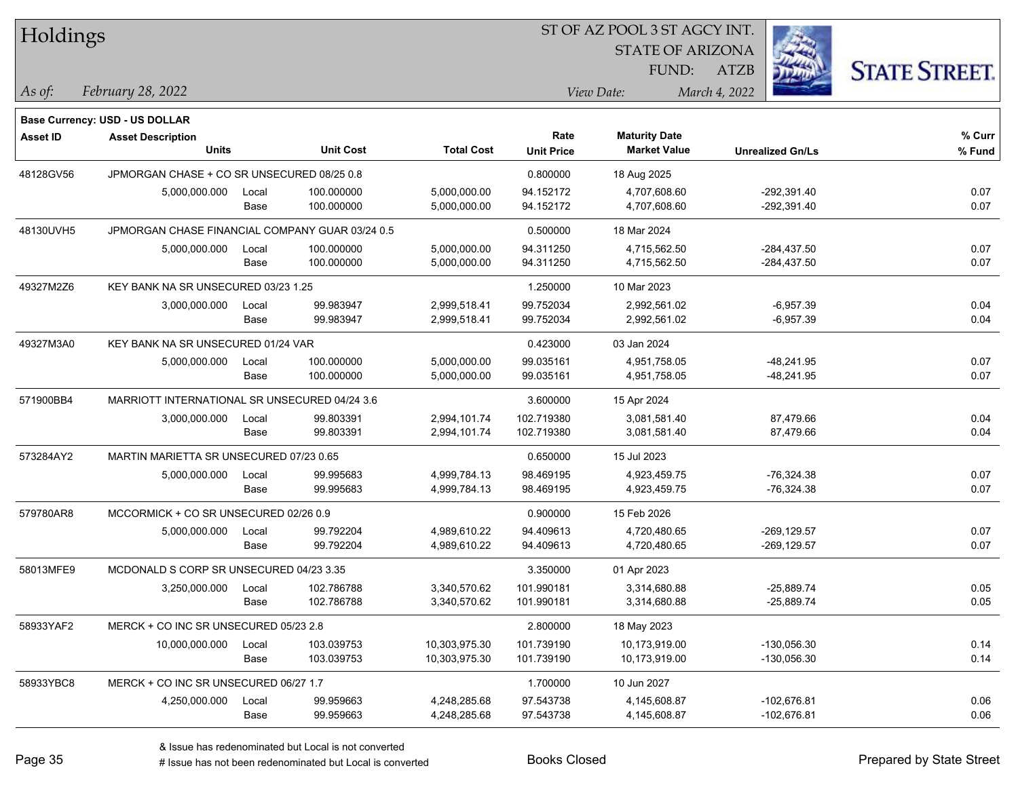| Holdings        |                                                 |       |                  |                   |                   | <b>STATE OF ARIZONA</b> |                         |                      |
|-----------------|-------------------------------------------------|-------|------------------|-------------------|-------------------|-------------------------|-------------------------|----------------------|
|                 |                                                 |       |                  |                   |                   |                         |                         |                      |
|                 |                                                 |       |                  |                   |                   | FUND:                   | ATZB                    | <b>STATE STREET.</b> |
| As of:          | February 28, 2022                               |       |                  |                   |                   | View Date:              | March 4, 2022           |                      |
|                 | <b>Base Currency: USD - US DOLLAR</b>           |       |                  |                   |                   |                         |                         |                      |
| <b>Asset ID</b> | <b>Asset Description</b>                        |       |                  |                   | Rate              | <b>Maturity Date</b>    |                         | % Curr               |
|                 | <b>Units</b>                                    |       | <b>Unit Cost</b> | <b>Total Cost</b> | <b>Unit Price</b> | <b>Market Value</b>     | <b>Unrealized Gn/Ls</b> | % Fund               |
| 48128GV56       | JPMORGAN CHASE + CO SR UNSECURED 08/25 0.8      |       |                  |                   | 0.800000          | 18 Aug 2025             |                         |                      |
|                 | 5,000,000.000                                   | Local | 100.000000       | 5,000,000.00      | 94.152172         | 4,707,608.60            | $-292,391.40$           | 0.07                 |
|                 |                                                 | Base  | 100.000000       | 5,000,000.00      | 94.152172         | 4,707,608.60            | -292,391.40             | 0.07                 |
| 48130UVH5       | JPMORGAN CHASE FINANCIAL COMPANY GUAR 03/24 0.5 |       |                  |                   | 0.500000          | 18 Mar 2024             |                         |                      |
|                 | 5,000,000.000                                   | Local | 100.000000       | 5,000,000.00      | 94.311250         | 4,715,562.50            | $-284,437.50$           | 0.07                 |
|                 |                                                 | Base  | 100.000000       | 5,000,000.00      | 94.311250         | 4,715,562.50            | $-284,437.50$           | 0.07                 |
| 49327M2Z6       | KEY BANK NA SR UNSECURED 03/23 1.25             |       |                  |                   | 1.250000          | 10 Mar 2023             |                         |                      |
|                 | 3,000,000.000                                   | Local | 99.983947        | 2,999,518.41      | 99.752034         | 2,992,561.02            | $-6,957.39$             | 0.04                 |
|                 |                                                 | Base  | 99.983947        | 2,999,518.41      | 99.752034         | 2,992,561.02            | $-6,957.39$             | 0.04                 |
| 49327M3A0       | KEY BANK NA SR UNSECURED 01/24 VAR              |       |                  |                   | 0.423000          | 03 Jan 2024             |                         |                      |
|                 | 5,000,000.000                                   | Local | 100.000000       | 5,000,000.00      | 99.035161         | 4,951,758.05            | $-48,241.95$            | 0.07                 |
|                 |                                                 | Base  | 100.000000       | 5,000,000.00      | 99.035161         | 4,951,758.05            | $-48,241.95$            | 0.07                 |
| 571900BB4       | MARRIOTT INTERNATIONAL SR UNSECURED 04/24 3.6   |       |                  |                   | 3.600000          | 15 Apr 2024             |                         |                      |
|                 | 3,000,000.000                                   | Local | 99.803391        | 2,994,101.74      | 102.719380        | 3,081,581.40            | 87,479.66               | 0.04                 |
|                 |                                                 | Base  | 99.803391        | 2,994,101.74      | 102.719380        | 3,081,581.40            | 87,479.66               | 0.04                 |
| 573284AY2       | MARTIN MARIETTA SR UNSECURED 07/23 0.65         |       |                  |                   | 0.650000          | 15 Jul 2023             |                         |                      |
|                 | 5,000,000.000                                   | Local | 99.995683        | 4,999,784.13      | 98.469195         | 4,923,459.75            | $-76,324.38$            | 0.07                 |
|                 |                                                 | Base  | 99.995683        | 4,999,784.13      | 98.469195         | 4,923,459.75            | $-76,324.38$            | 0.07                 |
| 579780AR8       | MCCORMICK + CO SR UNSECURED 02/26 0.9           |       |                  |                   | 0.900000          | 15 Feb 2026             |                         |                      |
|                 | 5,000,000.000                                   | Local | 99.792204        | 4,989,610.22      | 94.409613         | 4,720,480.65            | $-269, 129.57$          | 0.07                 |
|                 |                                                 | Base  | 99.792204        | 4,989,610.22      | 94.409613         | 4,720,480.65            | $-269, 129.57$          | 0.07                 |
| 58013MFE9       | MCDONALD S CORP SR UNSECURED 04/23 3.35         |       |                  |                   | 3.350000          | 01 Apr 2023             |                         |                      |
|                 | 3,250,000.000                                   | Local | 102.786788       | 3,340,570.62      | 101.990181        | 3,314,680.88            | $-25,889.74$            | 0.05                 |
|                 |                                                 | Base  | 102.786788       | 3,340,570.62      | 101.990181        | 3,314,680.88            | -25,889.74              | 0.05                 |
| 58933YAF2       | MERCK + CO INC SR UNSECURED 05/23 2.8           |       |                  |                   | 2.800000          | 18 May 2023             |                         |                      |
|                 | 10,000,000.000                                  | Local | 103.039753       | 10,303,975.30     | 101.739190        | 10,173,919.00           | $-130,056.30$           | 0.14                 |
|                 |                                                 | Base  | 103.039753       | 10,303,975.30     | 101.739190        | 10,173,919.00           | -130,056.30             | 0.14                 |
| 58933YBC8       | MERCK + CO INC SR UNSECURED 06/27 1.7           |       |                  |                   | 1.700000          | 10 Jun 2027             |                         |                      |
|                 | 4,250,000.000                                   | Local | 99.959663        | 4,248,285.68      | 97.543738         | 4,145,608.87            | $-102,676.81$           | 0.06                 |
|                 |                                                 | Base  | 99.959663        | 4,248,285.68      | 97.543738         | 4,145,608.87            | -102,676.81             | 0.06                 |

 $\overline{S}$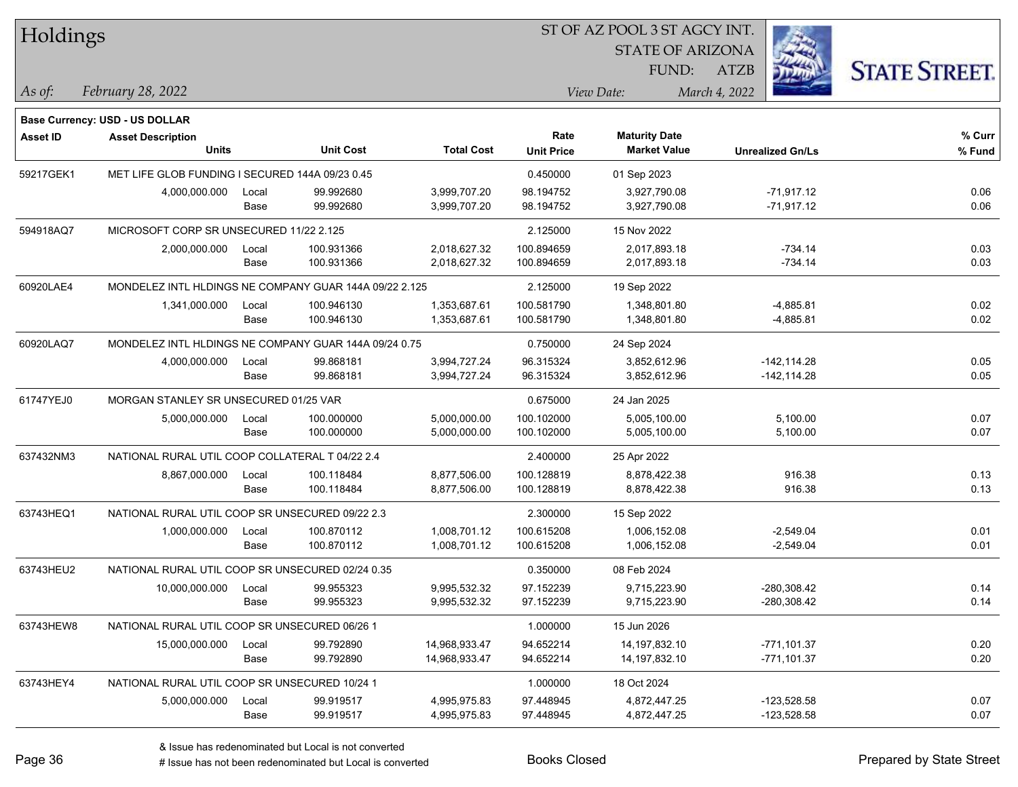| Holdings        |                                                        |       |                  |                   |                   | 51 OF AZ POOL 3 51 AGCY INT. |                         |                      |
|-----------------|--------------------------------------------------------|-------|------------------|-------------------|-------------------|------------------------------|-------------------------|----------------------|
|                 |                                                        |       |                  |                   |                   | <b>STATE OF ARIZONA</b>      | ź.                      |                      |
|                 |                                                        |       |                  |                   |                   | FUND:                        | ATZB                    | <b>STATE STREET.</b> |
| As of:          | February 28, 2022                                      |       |                  |                   |                   | View Date:                   | March 4, 2022           |                      |
|                 | Base Currency: USD - US DOLLAR                         |       |                  |                   |                   |                              |                         |                      |
| <b>Asset ID</b> | <b>Asset Description</b>                               |       |                  |                   | Rate              | <b>Maturity Date</b>         |                         | % Curr               |
|                 | <b>Units</b>                                           |       | <b>Unit Cost</b> | <b>Total Cost</b> | <b>Unit Price</b> | <b>Market Value</b>          | <b>Unrealized Gn/Ls</b> | % Fund               |
| 59217GEK1       | MET LIFE GLOB FUNDING I SECURED 144A 09/23 0.45        |       |                  |                   | 0.450000          | 01 Sep 2023                  |                         |                      |
|                 | 4,000,000.000                                          | Local | 99.992680        | 3,999,707.20      | 98.194752         | 3,927,790.08                 | $-71,917.12$            | 0.06                 |
|                 |                                                        | Base  | 99.992680        | 3,999,707.20      | 98.194752         | 3,927,790.08                 | $-71,917.12$            | 0.06                 |
| 594918AQ7       | MICROSOFT CORP SR UNSECURED 11/22 2.125                |       |                  |                   | 2.125000          | 15 Nov 2022                  |                         |                      |
|                 | 2,000,000.000                                          | Local | 100.931366       | 2,018,627.32      | 100.894659        | 2,017,893.18                 | $-734.14$               | 0.03                 |
|                 |                                                        | Base  | 100.931366       | 2,018,627.32      | 100.894659        | 2,017,893.18                 | $-734.14$               | 0.03                 |
| 60920LAE4       | MONDELEZ INTL HLDINGS NE COMPANY GUAR 144A 09/22 2.125 |       |                  |                   | 2.125000          | 19 Sep 2022                  |                         |                      |
|                 | 1,341,000.000                                          | Local | 100.946130       | 1,353,687.61      | 100.581790        | 1,348,801.80                 | $-4,885.81$             | 0.02                 |
|                 |                                                        | Base  | 100.946130       | 1,353,687.61      | 100.581790        | 1,348,801.80                 | $-4,885.81$             | 0.02                 |
| 60920LAQ7       | MONDELEZ INTL HLDINGS NE COMPANY GUAR 144A 09/24 0.75  |       |                  |                   | 0.750000          | 24 Sep 2024                  |                         |                      |
|                 | 4,000,000.000                                          | Local | 99.868181        | 3,994,727.24      | 96.315324         | 3,852,612.96                 | $-142, 114.28$          | 0.05                 |
|                 |                                                        | Base  | 99.868181        | 3,994,727.24      | 96.315324         | 3,852,612.96                 | $-142, 114.28$          | 0.05                 |
| 61747YEJ0       | MORGAN STANLEY SR UNSECURED 01/25 VAR                  |       |                  |                   | 0.675000          | 24 Jan 2025                  |                         |                      |
|                 | 5,000,000.000                                          | Local | 100.000000       | 5,000,000.00      | 100.102000        | 5,005,100.00                 | 5,100.00                | 0.07                 |
|                 |                                                        | Base  | 100.000000       | 5,000,000.00      | 100.102000        | 5,005,100.00                 | 5,100.00                | 0.07                 |
| 637432NM3       | NATIONAL RURAL UTIL COOP COLLATERAL T 04/22 2.4        |       |                  |                   | 2.400000          | 25 Apr 2022                  |                         |                      |
|                 | 8,867,000.000                                          | Local | 100.118484       | 8,877,506.00      | 100.128819        | 8,878,422.38                 | 916.38                  | 0.13                 |
|                 |                                                        | Base  | 100.118484       | 8,877,506.00      | 100.128819        | 8,878,422.38                 | 916.38                  | 0.13                 |
| 63743HEQ1       | NATIONAL RURAL UTIL COOP SR UNSECURED 09/22 2.3        |       |                  |                   | 2.300000          | 15 Sep 2022                  |                         |                      |
|                 | 1,000,000.000                                          | Local | 100.870112       | 1,008,701.12      | 100.615208        | 1,006,152.08                 | $-2,549.04$             | 0.01                 |
|                 |                                                        | Base  | 100.870112       | 1,008,701.12      | 100.615208        | 1,006,152.08                 | $-2,549.04$             | 0.01                 |
| 63743HEU2       | NATIONAL RURAL UTIL COOP SR UNSECURED 02/24 0.35       |       |                  |                   | 0.350000          | 08 Feb 2024                  |                         |                      |
|                 | 10,000,000.000                                         | Local | 99.955323        | 9,995,532.32      | 97.152239         | 9,715,223.90                 | $-280,308.42$           | 0.14                 |
|                 |                                                        | Base  | 99.955323        | 9,995,532.32      | 97.152239         | 9,715,223.90                 | -280,308.42             | 0.14                 |
| 63743HEW8       | NATIONAL RURAL UTIL COOP SR UNSECURED 06/26 1          |       |                  |                   | 1.000000          | 15 Jun 2026                  |                         |                      |
|                 | 15,000,000.000                                         | Local | 99.792890        | 14,968,933.47     | 94.652214         | 14,197,832.10                | $-771,101.37$           | 0.20                 |
|                 |                                                        | Base  | 99.792890        | 14,968,933.47     | 94.652214         | 14,197,832.10                | $-771,101.37$           | 0.20                 |
| 63743HEY4       | NATIONAL RURAL UTIL COOP SR UNSECURED 10/24 1          |       |                  |                   | 1.000000          | 18 Oct 2024                  |                         |                      |
|                 | 5,000,000.000                                          | Local | 99.919517        | 4,995,975.83      | 97.448945         | 4,872,447.25                 | $-123,528.58$           | 0.07                 |
|                 |                                                        | Base  | 99.919517        | 4,995,975.83      | 97.448945         | 4,872,447.25                 | $-123,528.58$           | 0.07                 |
|                 |                                                        |       |                  |                   |                   |                              |                         |                      |

 $\overline{\text{SUSP}}$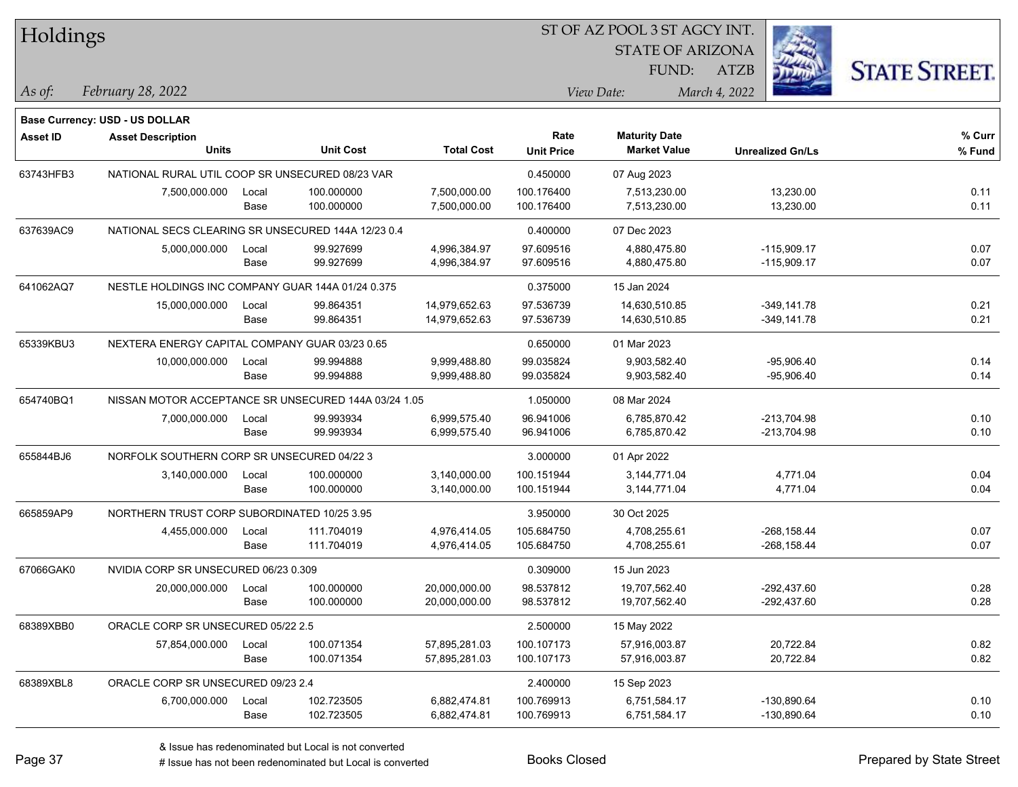| Holdings        |                                                      |       |                  |                   |                   | ST OF AZ POOL 3 ST AGCY INT. |                         |                      |
|-----------------|------------------------------------------------------|-------|------------------|-------------------|-------------------|------------------------------|-------------------------|----------------------|
|                 |                                                      |       |                  |                   |                   | <b>STATE OF ARIZONA</b>      |                         |                      |
|                 |                                                      |       |                  |                   |                   | FUND:                        | <b>ATZB</b>             | <b>STATE STREET.</b> |
| $\vert$ As of:  | February 28, 2022                                    |       |                  |                   |                   | View Date:                   | March 4, 2022           |                      |
|                 |                                                      |       |                  |                   |                   |                              |                         |                      |
|                 | Base Currency: USD - US DOLLAR                       |       |                  |                   | Rate              | <b>Maturity Date</b>         |                         | % Curr               |
| <b>Asset ID</b> | <b>Asset Description</b><br>Units                    |       | <b>Unit Cost</b> | <b>Total Cost</b> | <b>Unit Price</b> | <b>Market Value</b>          | <b>Unrealized Gn/Ls</b> | % Fund               |
| 63743HFB3       | NATIONAL RURAL UTIL COOP SR UNSECURED 08/23 VAR      |       |                  |                   | 0.450000          | 07 Aug 2023                  |                         |                      |
|                 | 7,500,000.000                                        | Local | 100.000000       | 7,500,000.00      | 100.176400        | 7,513,230.00                 | 13,230.00               | 0.11                 |
|                 |                                                      | Base  | 100.000000       | 7,500,000.00      | 100.176400        | 7,513,230.00                 | 13,230.00               | 0.11                 |
| 637639AC9       | NATIONAL SECS CLEARING SR UNSECURED 144A 12/23 0.4   |       |                  |                   | 0.400000          | 07 Dec 2023                  |                         |                      |
|                 | 5,000,000.000                                        | Local | 99.927699        | 4,996,384.97      | 97.609516         | 4,880,475.80                 | $-115,909.17$           | 0.07                 |
|                 |                                                      | Base  | 99.927699        | 4,996,384.97      | 97.609516         | 4,880,475.80                 | $-115,909.17$           | 0.07                 |
| 641062AQ7       | NESTLE HOLDINGS INC COMPANY GUAR 144A 01/24 0.375    |       |                  |                   | 0.375000          | 15 Jan 2024                  |                         |                      |
|                 | 15,000,000.000                                       | Local | 99.864351        | 14,979,652.63     | 97.536739         | 14,630,510.85                | $-349,141.78$           | 0.21                 |
|                 |                                                      | Base  | 99.864351        | 14,979,652.63     | 97.536739         | 14,630,510.85                | $-349,141.78$           | 0.21                 |
| 65339KBU3       | NEXTERA ENERGY CAPITAL COMPANY GUAR 03/23 0.65       |       |                  |                   | 0.650000          | 01 Mar 2023                  |                         |                      |
|                 | 10,000,000.000                                       | Local | 99.994888        | 9,999,488.80      | 99.035824         | 9,903,582.40                 | $-95,906.40$            | 0.14                 |
|                 |                                                      | Base  | 99.994888        | 9,999,488.80      | 99.035824         | 9,903,582.40                 | $-95,906.40$            | 0.14                 |
| 654740BQ1       | NISSAN MOTOR ACCEPTANCE SR UNSECURED 144A 03/24 1.05 |       |                  |                   | 1.050000          | 08 Mar 2024                  |                         |                      |
|                 | 7,000,000.000                                        | Local | 99.993934        | 6,999,575.40      | 96.941006         | 6,785,870.42                 | $-213,704.98$           | 0.10                 |
|                 |                                                      | Base  | 99.993934        | 6,999,575.40      | 96.941006         | 6,785,870.42                 | $-213,704.98$           | 0.10                 |
| 655844BJ6       | NORFOLK SOUTHERN CORP SR UNSECURED 04/22 3           |       |                  |                   | 3.000000          | 01 Apr 2022                  |                         |                      |
|                 | 3,140,000.000                                        | Local | 100.000000       | 3,140,000.00      | 100.151944        | 3,144,771.04                 | 4,771.04                | 0.04                 |
|                 |                                                      | Base  | 100.000000       | 3,140,000.00      | 100.151944        | 3,144,771.04                 | 4,771.04                | 0.04                 |
| 665859AP9       | NORTHERN TRUST CORP SUBORDINATED 10/25 3.95          |       |                  |                   | 3.950000          | 30 Oct 2025                  |                         |                      |
|                 | 4,455,000.000                                        | Local | 111.704019       | 4,976,414.05      | 105.684750        | 4,708,255.61                 | $-268, 158.44$          | 0.07                 |
|                 |                                                      | Base  | 111.704019       | 4,976,414.05      | 105.684750        | 4,708,255.61                 | -268,158.44             | 0.07                 |
| 67066GAK0       | NVIDIA CORP SR UNSECURED 06/23 0.309                 |       |                  |                   | 0.309000          | 15 Jun 2023                  |                         |                      |
|                 | 20,000,000.000                                       | Local | 100.000000       | 20,000,000.00     | 98.537812         | 19,707,562.40                | -292,437.60             | 0.28                 |
|                 |                                                      | Base  | 100.000000       | 20,000,000.00     | 98.537812         | 19,707,562.40                | $-292,437.60$           | 0.28                 |
| 68389XBB0       | ORACLE CORP SR UNSECURED 05/22 2.5                   |       |                  |                   | 2.500000          | 15 May 2022                  |                         |                      |
|                 | 57,854,000.000                                       | Local | 100.071354       | 57,895,281.03     | 100.107173        | 57,916,003.87                | 20,722.84               | 0.82                 |
|                 |                                                      | Base  | 100.071354       | 57,895,281.03     | 100.107173        | 57,916,003.87                | 20,722.84               | 0.82                 |
| 68389XBL8       | ORACLE CORP SR UNSECURED 09/23 2.4                   |       |                  |                   | 2.400000          | 15 Sep 2023                  |                         |                      |
|                 | 6,700,000.000                                        | Local | 102.723505       | 6,882,474.81      | 100.769913        | 6,751,584.17                 | -130,890.64             | 0.10                 |
|                 |                                                      | Base  | 102.723505       | 6,882,474.81      | 100.769913        | 6,751,584.17                 | $-130,890.64$           | 0.10                 |

# Issue has not been redenominated but Local is converted Books Closed Prepared by State Street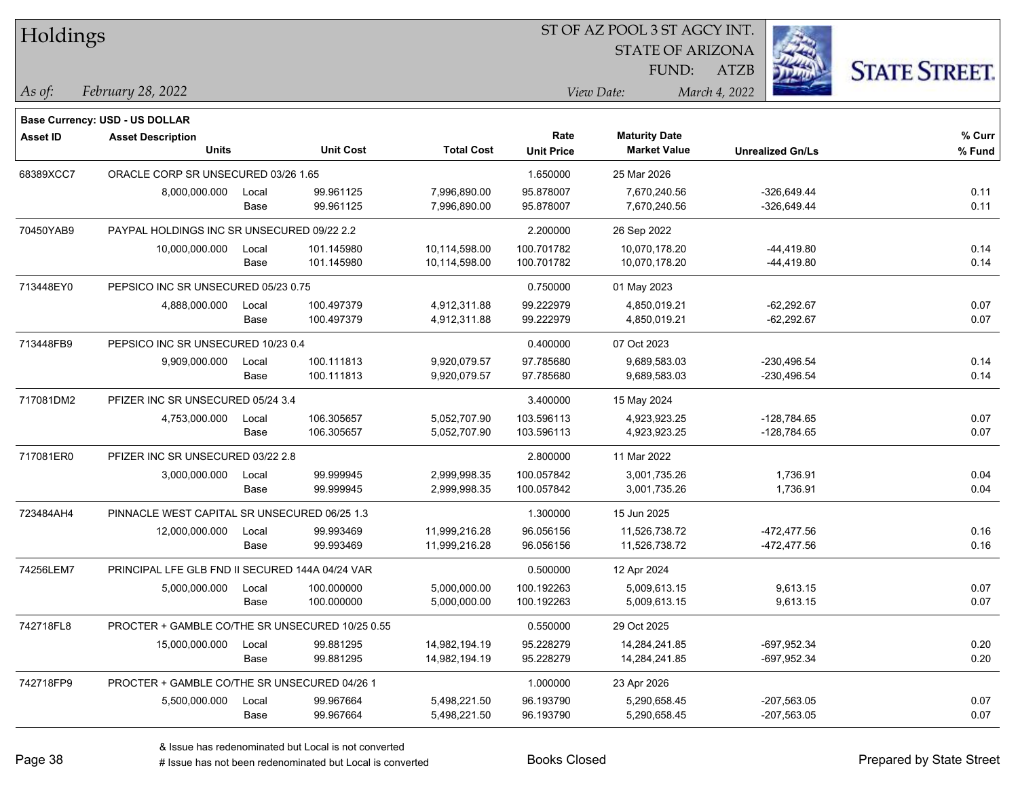| Holdings        |                                                 |       |                  |                   |                   | ST OF AZ POOL 3 ST AGCY INT. |                         |                      |
|-----------------|-------------------------------------------------|-------|------------------|-------------------|-------------------|------------------------------|-------------------------|----------------------|
|                 |                                                 |       |                  |                   |                   | <b>STATE OF ARIZONA</b>      |                         |                      |
|                 |                                                 |       |                  |                   |                   | FUND:                        | ATZB                    | <b>STATE STREET.</b> |
| $\vert$ As of:  | February 28, 2022                               |       |                  |                   |                   | View Date:                   | March 4, 2022           |                      |
|                 | <b>Base Currency: USD - US DOLLAR</b>           |       |                  |                   |                   |                              |                         |                      |
| <b>Asset ID</b> | <b>Asset Description</b>                        |       |                  |                   | Rate              | <b>Maturity Date</b>         |                         | % Curr               |
|                 | <b>Units</b>                                    |       | <b>Unit Cost</b> | <b>Total Cost</b> | <b>Unit Price</b> | <b>Market Value</b>          | <b>Unrealized Gn/Ls</b> | % Fund               |
| 68389XCC7       | ORACLE CORP SR UNSECURED 03/26 1.65             |       |                  |                   | 1.650000          | 25 Mar 2026                  |                         |                      |
|                 | 8,000,000.000                                   | Local | 99.961125        | 7,996,890.00      | 95.878007         | 7,670,240.56                 | $-326,649.44$           | 0.11                 |
|                 |                                                 | Base  | 99.961125        | 7,996,890.00      | 95.878007         | 7,670,240.56                 | $-326,649.44$           | 0.11                 |
| 70450YAB9       | PAYPAL HOLDINGS INC SR UNSECURED 09/22 2.2      |       |                  |                   | 2.200000          | 26 Sep 2022                  |                         |                      |
|                 | 10,000,000.000                                  | Local | 101.145980       | 10,114,598.00     | 100.701782        | 10,070,178.20                | -44,419.80              | 0.14                 |
|                 |                                                 | Base  | 101.145980       | 10,114,598.00     | 100.701782        | 10,070,178.20                | $-44,419.80$            | 0.14                 |
| 713448EY0       | PEPSICO INC SR UNSECURED 05/23 0.75             |       |                  |                   | 0.750000          | 01 May 2023                  |                         |                      |
|                 | 4,888,000.000                                   | Local | 100.497379       | 4,912,311.88      | 99.222979         | 4,850,019.21                 | $-62,292.67$            | 0.07                 |
|                 |                                                 | Base  | 100.497379       | 4,912,311.88      | 99.222979         | 4,850,019.21                 | $-62,292.67$            | 0.07                 |
| 713448FB9       | PEPSICO INC SR UNSECURED 10/23 0.4              |       |                  |                   | 0.400000          | 07 Oct 2023                  |                         |                      |
|                 | 9,909,000.000                                   | Local | 100.111813       | 9,920,079.57      | 97.785680         | 9,689,583.03                 | $-230,496.54$           | 0.14                 |
|                 |                                                 | Base  | 100.111813       | 9,920,079.57      | 97.785680         | 9,689,583.03                 | $-230,496.54$           | 0.14                 |
| 717081DM2       | PFIZER INC SR UNSECURED 05/24 3.4               |       |                  |                   | 3.400000          | 15 May 2024                  |                         |                      |
|                 | 4,753,000.000                                   | Local | 106.305657       | 5,052,707.90      | 103.596113        | 4,923,923.25                 | $-128,784.65$           | 0.07                 |
|                 |                                                 | Base  | 106.305657       | 5,052,707.90      | 103.596113        | 4,923,923.25                 | $-128,784.65$           | 0.07                 |
| 717081ER0       | PFIZER INC SR UNSECURED 03/22 2.8               |       |                  |                   | 2.800000          | 11 Mar 2022                  |                         |                      |
|                 | 3,000,000.000                                   | Local | 99.999945        | 2,999,998.35      | 100.057842        | 3,001,735.26                 | 1,736.91                | 0.04                 |
|                 |                                                 | Base  | 99.999945        | 2,999,998.35      | 100.057842        | 3,001,735.26                 | 1,736.91                | 0.04                 |
| 723484AH4       | PINNACLE WEST CAPITAL SR UNSECURED 06/25 1.3    |       |                  |                   | 1.300000          | 15 Jun 2025                  |                         |                      |
|                 | 12,000,000.000                                  | Local | 99.993469        | 11,999,216.28     | 96.056156         | 11,526,738.72                | $-472, 477.56$          | 0.16                 |
|                 |                                                 | Base  | 99.993469        | 11,999,216.28     | 96.056156         | 11,526,738.72                | -472,477.56             | 0.16                 |
| 74256LEM7       | PRINCIPAL LFE GLB FND II SECURED 144A 04/24 VAR |       |                  |                   | 0.500000          | 12 Apr 2024                  |                         |                      |
|                 | 5,000,000.000                                   | Local | 100.000000       | 5,000,000.00      | 100.192263        | 5,009,613.15                 | 9,613.15                | 0.07                 |
|                 |                                                 | Base  | 100.000000       | 5,000,000.00      | 100.192263        | 5,009,613.15                 | 9,613.15                | 0.07                 |
| 742718FL8       | PROCTER + GAMBLE CO/THE SR UNSECURED 10/25 0.55 |       |                  |                   | 0.550000          | 29 Oct 2025                  |                         |                      |
|                 | 15,000,000.000                                  | Local | 99.881295        | 14,982,194.19     | 95.228279         | 14,284,241.85                | -697,952.34             | 0.20                 |
|                 |                                                 | Base  | 99.881295        | 14,982,194.19     | 95.228279         | 14,284,241.85                | -697,952.34             | 0.20                 |
| 742718FP9       | PROCTER + GAMBLE CO/THE SR UNSECURED 04/26 1    |       |                  |                   | 1.000000          | 23 Apr 2026                  |                         |                      |
|                 | 5,500,000.000                                   | Local | 99.967664        | 5,498,221.50      | 96.193790         | 5,290,658.45                 | $-207,563.05$           | 0.07                 |
|                 |                                                 | Base  | 99.967664        | 5,498,221.50      | 96.193790         | 5,290,658.45                 | $-207,563.05$           | 0.07                 |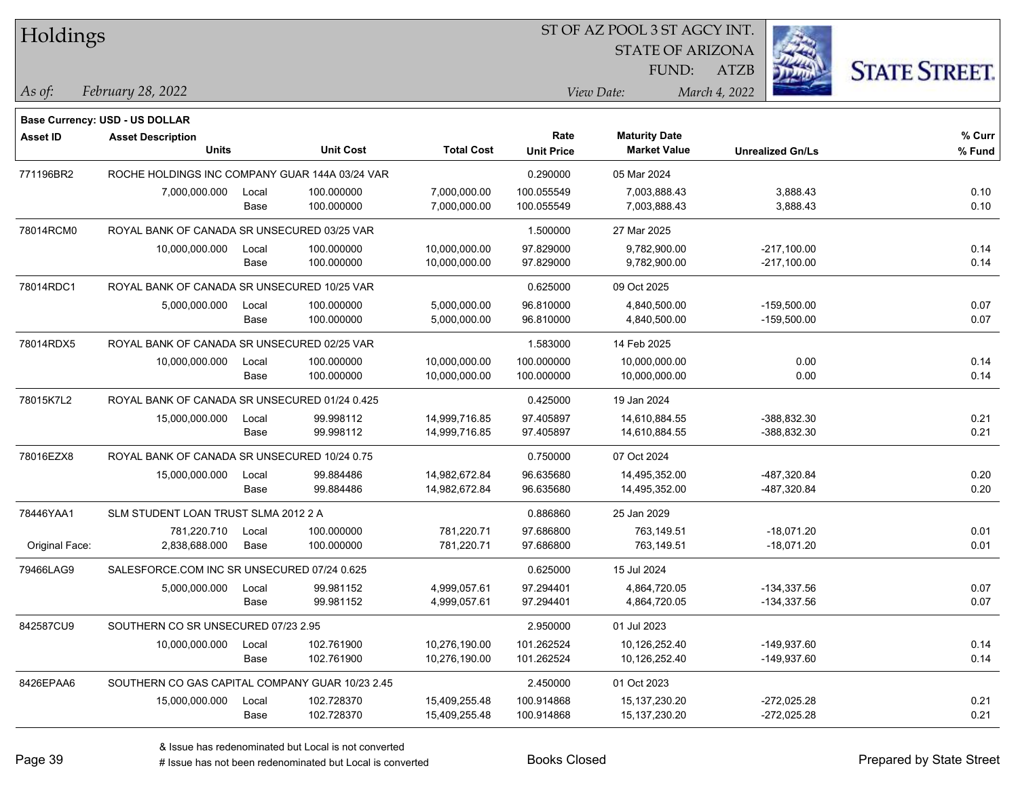| Holdings        |                                                 |       |                  | ST OF AZ POOL 3 ST AGCY INT. |                   |                         |                         |                      |  |  |  |
|-----------------|-------------------------------------------------|-------|------------------|------------------------------|-------------------|-------------------------|-------------------------|----------------------|--|--|--|
|                 |                                                 |       |                  |                              |                   | <b>STATE OF ARIZONA</b> |                         |                      |  |  |  |
|                 |                                                 |       |                  |                              |                   | FUND:                   | <b>ATZB</b>             | <b>STATE STREET.</b> |  |  |  |
| As of:          | February 28, 2022                               |       |                  |                              |                   | View Date:              | March 4, 2022           |                      |  |  |  |
|                 | <b>Base Currency: USD - US DOLLAR</b>           |       |                  |                              |                   |                         |                         |                      |  |  |  |
| <b>Asset ID</b> | <b>Asset Description</b>                        |       |                  |                              | Rate              | <b>Maturity Date</b>    |                         | % Curr               |  |  |  |
|                 | <b>Units</b>                                    |       | <b>Unit Cost</b> | <b>Total Cost</b>            | <b>Unit Price</b> | <b>Market Value</b>     | <b>Unrealized Gn/Ls</b> | % Fund               |  |  |  |
| 771196BR2       | ROCHE HOLDINGS INC COMPANY GUAR 144A 03/24 VAR  |       |                  |                              | 0.290000          | 05 Mar 2024             |                         |                      |  |  |  |
|                 | 7,000,000.000                                   | Local | 100.000000       | 7,000,000.00                 | 100.055549        | 7,003,888.43            | 3,888.43                | 0.10                 |  |  |  |
|                 |                                                 | Base  | 100.000000       | 7,000,000.00                 | 100.055549        | 7,003,888.43            | 3,888.43                | 0.10                 |  |  |  |
| 78014RCM0       | ROYAL BANK OF CANADA SR UNSECURED 03/25 VAR     |       |                  |                              | 1.500000          | 27 Mar 2025             |                         |                      |  |  |  |
|                 | 10,000,000.000                                  | Local | 100.000000       | 10,000,000.00                | 97.829000         | 9,782,900.00            | $-217,100.00$           | 0.14                 |  |  |  |
|                 |                                                 | Base  | 100.000000       | 10,000,000.00                | 97.829000         | 9,782,900.00            | -217,100.00             | 0.14                 |  |  |  |
| 78014RDC1       | ROYAL BANK OF CANADA SR UNSECURED 10/25 VAR     |       |                  |                              | 0.625000          | 09 Oct 2025             |                         |                      |  |  |  |
|                 | 5,000,000.000                                   | Local | 100.000000       | 5,000,000.00                 | 96.810000         | 4,840,500.00            | $-159,500.00$           | 0.07                 |  |  |  |
|                 |                                                 | Base  | 100.000000       | 5,000,000.00                 | 96.810000         | 4,840,500.00            | $-159,500.00$           | 0.07                 |  |  |  |
| 78014RDX5       | ROYAL BANK OF CANADA SR UNSECURED 02/25 VAR     |       |                  |                              | 1.583000          | 14 Feb 2025             |                         |                      |  |  |  |
|                 | 10,000,000.000                                  | Local | 100.000000       | 10,000,000.00                | 100.000000        | 10,000,000.00           | 0.00                    | 0.14                 |  |  |  |
|                 |                                                 | Base  | 100.000000       | 10,000,000.00                | 100.000000        | 10,000,000.00           | 0.00                    | 0.14                 |  |  |  |
| 78015K7L2       | ROYAL BANK OF CANADA SR UNSECURED 01/24 0.425   |       |                  |                              | 0.425000          | 19 Jan 2024             |                         |                      |  |  |  |
|                 | 15,000,000.000                                  | Local | 99.998112        | 14,999,716.85                | 97.405897         | 14,610,884.55           | -388,832.30             | 0.21                 |  |  |  |
|                 |                                                 | Base  | 99.998112        | 14,999,716.85                | 97.405897         | 14,610,884.55           | -388,832.30             | 0.21                 |  |  |  |
| 78016EZX8       | ROYAL BANK OF CANADA SR UNSECURED 10/24 0.75    |       |                  |                              | 0.750000          | 07 Oct 2024             |                         |                      |  |  |  |
|                 | 15,000,000.000                                  | Local | 99.884486        | 14,982,672.84                | 96.635680         | 14,495,352.00           | -487,320.84             | 0.20                 |  |  |  |
|                 |                                                 | Base  | 99.884486        | 14,982,672.84                | 96.635680         | 14,495,352.00           | -487,320.84             | 0.20                 |  |  |  |
| 78446YAA1       | SLM STUDENT LOAN TRUST SLMA 2012 2 A            |       |                  |                              | 0.886860          | 25 Jan 2029             |                         |                      |  |  |  |
|                 | 781,220.710                                     | Local | 100.000000       | 781,220.71                   | 97.686800         | 763,149.51              | $-18,071.20$            | 0.01                 |  |  |  |
| Original Face:  | 2,838,688.000                                   | Base  | 100.000000       | 781,220.71                   | 97.686800         | 763,149.51              | $-18,071.20$            | 0.01                 |  |  |  |
| 79466LAG9       | SALESFORCE.COM INC SR UNSECURED 07/24 0.625     |       |                  |                              | 0.625000          | 15 Jul 2024             |                         |                      |  |  |  |
|                 | 5,000,000.000                                   | Local | 99.981152        | 4,999,057.61                 | 97.294401         | 4,864,720.05            | $-134,337.56$           | 0.07                 |  |  |  |
|                 |                                                 | Base  | 99.981152        | 4,999,057.61                 | 97.294401         | 4,864,720.05            | $-134,337.56$           | 0.07                 |  |  |  |
| 842587CU9       | SOUTHERN CO SR UNSECURED 07/23 2.95             |       |                  |                              | 2.950000          | 01 Jul 2023             |                         |                      |  |  |  |
|                 | 10,000,000.000                                  | Local | 102.761900       | 10,276,190.00                | 101.262524        | 10,126,252.40           | -149,937.60             | 0.14                 |  |  |  |
|                 |                                                 | Base  | 102.761900       | 10,276,190.00                | 101.262524        | 10,126,252.40           | -149,937.60             | 0.14                 |  |  |  |
| 8426EPAA6       | SOUTHERN CO GAS CAPITAL COMPANY GUAR 10/23 2.45 |       |                  |                              | 2.450000          | 01 Oct 2023             |                         |                      |  |  |  |
|                 | 15,000,000.000                                  | Local | 102.728370       | 15,409,255.48                | 100.914868        | 15,137,230.20           | $-272,025.28$           | 0.21                 |  |  |  |
|                 |                                                 | Base  | 102.728370       | 15,409,255.48                | 100.914868        | 15, 137, 230. 20        | $-272,025.28$           | 0.21                 |  |  |  |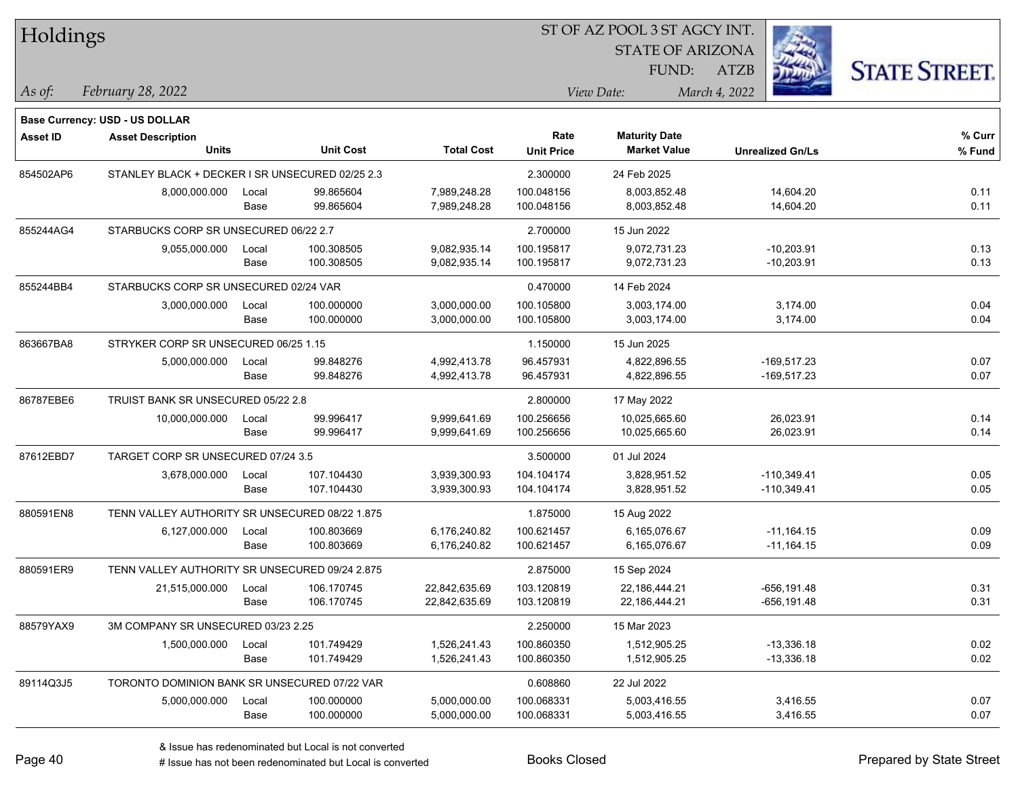| Holdings        |                                                 |       |                  |                   | ST OF AZ POOL 3 ST AGCY INT. |                         |                         |                      |  |
|-----------------|-------------------------------------------------|-------|------------------|-------------------|------------------------------|-------------------------|-------------------------|----------------------|--|
|                 |                                                 |       |                  |                   |                              | <b>STATE OF ARIZONA</b> |                         |                      |  |
|                 |                                                 |       |                  |                   |                              | FUND:                   | ATZB                    | <b>STATE STREET.</b> |  |
| As of:          | February 28, 2022                               |       |                  |                   |                              | View Date:              | March 4, 2022           |                      |  |
|                 | <b>Base Currency: USD - US DOLLAR</b>           |       |                  |                   |                              |                         |                         |                      |  |
| <b>Asset ID</b> | <b>Asset Description</b>                        |       |                  |                   | Rate                         | <b>Maturity Date</b>    |                         | % Curr               |  |
|                 | <b>Units</b>                                    |       | <b>Unit Cost</b> | <b>Total Cost</b> | <b>Unit Price</b>            | <b>Market Value</b>     | <b>Unrealized Gn/Ls</b> | % Fund               |  |
| 854502AP6       | STANLEY BLACK + DECKER I SR UNSECURED 02/25 2.3 |       |                  |                   | 2.300000                     | 24 Feb 2025             |                         |                      |  |
|                 | 8,000,000.000                                   | Local | 99.865604        | 7,989,248.28      | 100.048156                   | 8,003,852.48            | 14,604.20               | 0.11                 |  |
|                 |                                                 | Base  | 99.865604        | 7,989,248.28      | 100.048156                   | 8,003,852.48            | 14,604.20               | 0.11                 |  |
| 855244AG4       | STARBUCKS CORP SR UNSECURED 06/22 2.7           |       |                  |                   | 2.700000                     | 15 Jun 2022             |                         |                      |  |
|                 | 9,055,000.000                                   | Local | 100.308505       | 9,082,935.14      | 100.195817                   | 9,072,731.23            | $-10,203.91$            | 0.13                 |  |
|                 |                                                 | Base  | 100.308505       | 9,082,935.14      | 100.195817                   | 9,072,731.23            | $-10,203.91$            | 0.13                 |  |
| 855244BB4       | STARBUCKS CORP SR UNSECURED 02/24 VAR           |       |                  |                   | 0.470000                     | 14 Feb 2024             |                         |                      |  |
|                 | 3,000,000.000                                   | Local | 100.000000       | 3,000,000.00      | 100.105800                   | 3,003,174.00            | 3,174.00                | 0.04                 |  |
|                 |                                                 | Base  | 100.000000       | 3,000,000.00      | 100.105800                   | 3,003,174.00            | 3,174.00                | 0.04                 |  |
| 863667BA8       | STRYKER CORP SR UNSECURED 06/25 1.15            |       |                  |                   | 1.150000                     | 15 Jun 2025             |                         |                      |  |
|                 | 5,000,000.000                                   | Local | 99.848276        | 4,992,413.78      | 96.457931                    | 4,822,896.55            | $-169,517.23$           | 0.07                 |  |
|                 |                                                 | Base  | 99.848276        | 4,992,413.78      | 96.457931                    | 4,822,896.55            | $-169,517.23$           | 0.07                 |  |
| 86787EBE6       | TRUIST BANK SR UNSECURED 05/22 2.8              |       |                  |                   | 2.800000                     | 17 May 2022             |                         |                      |  |
|                 | 10,000,000.000                                  | Local | 99.996417        | 9,999,641.69      | 100.256656                   | 10,025,665.60           | 26,023.91               | 0.14                 |  |
|                 |                                                 | Base  | 99.996417        | 9,999,641.69      | 100.256656                   | 10,025,665.60           | 26,023.91               | 0.14                 |  |
| 87612EBD7       | TARGET CORP SR UNSECURED 07/24 3.5              |       |                  |                   | 3.500000                     | 01 Jul 2024             |                         |                      |  |
|                 | 3,678,000.000                                   | Local | 107.104430       | 3,939,300.93      | 104.104174                   | 3,828,951.52            | $-110,349.41$           | 0.05                 |  |
|                 |                                                 | Base  | 107.104430       | 3,939,300.93      | 104.104174                   | 3,828,951.52            | $-110,349.41$           | 0.05                 |  |
| 880591EN8       | TENN VALLEY AUTHORITY SR UNSECURED 08/22 1.875  |       |                  |                   | 1.875000                     | 15 Aug 2022             |                         |                      |  |
|                 | 6,127,000.000                                   | Local | 100.803669       | 6,176,240.82      | 100.621457                   | 6,165,076.67            | $-11,164.15$            | 0.09                 |  |
|                 |                                                 | Base  | 100.803669       | 6,176,240.82      | 100.621457                   | 6,165,076.67            | $-11,164.15$            | 0.09                 |  |
| 880591ER9       | TENN VALLEY AUTHORITY SR UNSECURED 09/24 2.875  |       |                  |                   | 2.875000                     | 15 Sep 2024             |                         |                      |  |
|                 | 21,515,000.000                                  | Local | 106.170745       | 22,842,635.69     | 103.120819                   | 22,186,444.21           | $-656, 191.48$          | 0.31                 |  |
|                 |                                                 | Base  | 106.170745       | 22,842,635.69     | 103.120819                   | 22,186,444.21           | -656,191.48             | 0.31                 |  |
| 88579YAX9       | 3M COMPANY SR UNSECURED 03/23 2.25              |       |                  |                   | 2.250000                     | 15 Mar 2023             |                         |                      |  |
|                 | 1,500,000.000                                   | Local | 101.749429       | 1,526,241.43      | 100.860350                   | 1,512,905.25            | $-13,336.18$            | 0.02                 |  |
|                 |                                                 | Base  | 101.749429       | 1,526,241.43      | 100.860350                   | 1,512,905.25            | $-13,336.18$            | 0.02                 |  |
| 89114Q3J5       | TORONTO DOMINION BANK SR UNSECURED 07/22 VAR    |       |                  |                   | 0.608860                     | 22 Jul 2022             |                         |                      |  |
|                 | 5,000,000.000                                   | Local | 100.000000       | 5,000,000.00      | 100.068331                   | 5,003,416.55            | 3,416.55                | 0.07                 |  |
|                 |                                                 | Base  | 100.000000       | 5,000,000.00      | 100.068331                   | 5,003,416.55            | 3,416.55                | 0.07                 |  |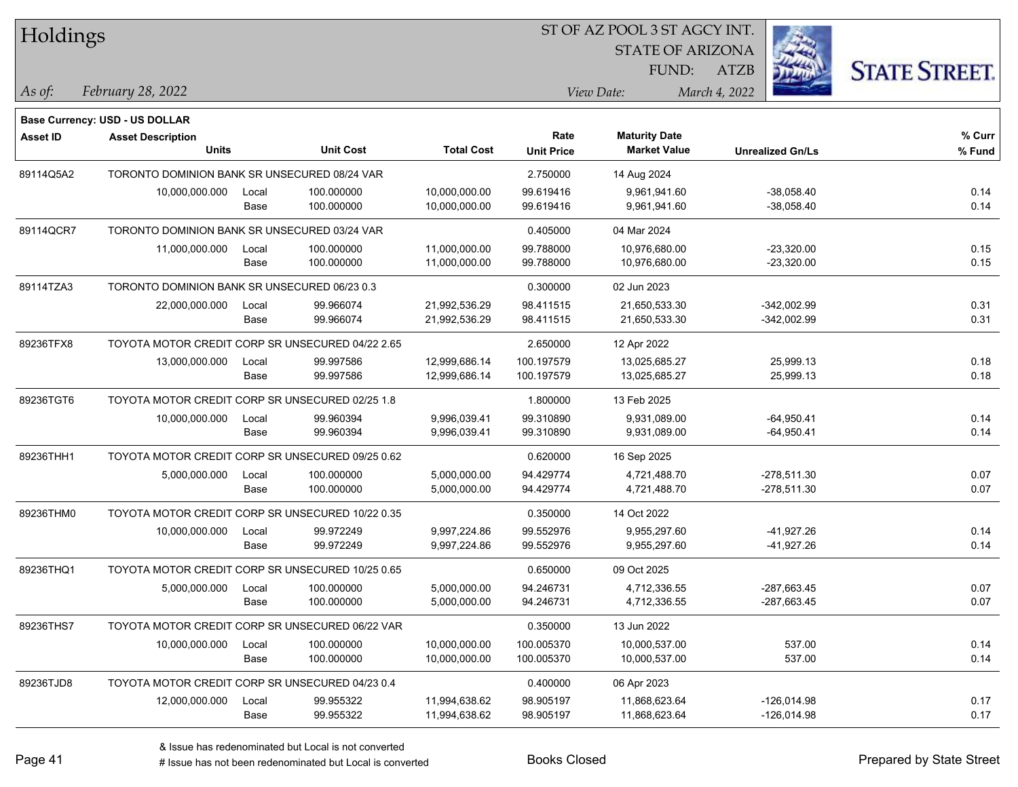| Holdings        |                                                  |       |                  |                   |                   | 51 OF AZ POOL 3 51 AGCY INT. |                         |                     |  |
|-----------------|--------------------------------------------------|-------|------------------|-------------------|-------------------|------------------------------|-------------------------|---------------------|--|
|                 |                                                  |       |                  |                   |                   | <b>STATE OF ARIZONA</b>      |                         |                     |  |
|                 |                                                  |       |                  |                   |                   | FUND:                        | <b>ATZB</b>             | <b>STATE STREET</b> |  |
| As of:          | February 28, 2022                                |       |                  |                   |                   | View Date:                   | March 4, 2022           |                     |  |
|                 | <b>Base Currency: USD - US DOLLAR</b>            |       |                  |                   |                   |                              |                         |                     |  |
| <b>Asset ID</b> | <b>Asset Description</b>                         |       |                  |                   | Rate              | <b>Maturity Date</b>         |                         | % Curr              |  |
|                 | <b>Units</b>                                     |       | <b>Unit Cost</b> | <b>Total Cost</b> | <b>Unit Price</b> | <b>Market Value</b>          | <b>Unrealized Gn/Ls</b> | % Fund              |  |
| 89114Q5A2       | TORONTO DOMINION BANK SR UNSECURED 08/24 VAR     |       |                  |                   | 2.750000          | 14 Aug 2024                  |                         |                     |  |
|                 | 10,000,000.000                                   | Local | 100.000000       | 10,000,000.00     | 99.619416         | 9,961,941.60                 | $-38,058.40$            | 0.14                |  |
|                 |                                                  | Base  | 100.000000       | 10,000,000.00     | 99.619416         | 9,961,941.60                 | $-38,058.40$            | 0.14                |  |
| 89114QCR7       | TORONTO DOMINION BANK SR UNSECURED 03/24 VAR     |       |                  |                   | 0.405000          | 04 Mar 2024                  |                         |                     |  |
|                 | 11,000,000.000                                   | Local | 100.000000       | 11,000,000.00     | 99.788000         | 10,976,680.00                | $-23,320.00$            | 0.15                |  |
|                 |                                                  | Base  | 100.000000       | 11,000,000.00     | 99.788000         | 10,976,680.00                | $-23,320.00$            | 0.15                |  |
| 89114TZA3       | TORONTO DOMINION BANK SR UNSECURED 06/23 0.3     |       |                  |                   | 0.300000          | 02 Jun 2023                  |                         |                     |  |
|                 | 22,000,000.000                                   | Local | 99.966074        | 21,992,536.29     | 98.411515         | 21,650,533.30                | $-342,002.99$           | 0.31                |  |
|                 |                                                  | Base  | 99.966074        | 21,992,536.29     | 98.411515         | 21,650,533.30                | $-342,002.99$           | 0.31                |  |
| 89236TFX8       | TOYOTA MOTOR CREDIT CORP SR UNSECURED 04/22 2.65 |       |                  |                   | 2.650000          | 12 Apr 2022                  |                         |                     |  |
|                 | 13,000,000.000                                   | Local | 99.997586        | 12,999,686.14     | 100.197579        | 13,025,685.27                | 25,999.13               | 0.18                |  |
|                 |                                                  | Base  | 99.997586        | 12,999,686.14     | 100.197579        | 13,025,685.27                | 25,999.13               | 0.18                |  |
| 89236TGT6       | TOYOTA MOTOR CREDIT CORP SR UNSECURED 02/25 1.8  |       |                  |                   | 1.800000          | 13 Feb 2025                  |                         |                     |  |
|                 | 10,000,000.000                                   | Local | 99.960394        | 9,996,039.41      | 99.310890         | 9,931,089.00                 | $-64,950.41$            | 0.14                |  |
|                 |                                                  | Base  | 99.960394        | 9,996,039.41      | 99.310890         | 9,931,089.00                 | $-64,950.41$            | 0.14                |  |
| 89236THH1       | TOYOTA MOTOR CREDIT CORP SR UNSECURED 09/25 0.62 |       |                  |                   | 0.620000          | 16 Sep 2025                  |                         |                     |  |
|                 | 5,000,000.000                                    | Local | 100.000000       | 5,000,000.00      | 94.429774         | 4,721,488.70                 | $-278,511.30$           | 0.07                |  |
|                 |                                                  | Base  | 100.000000       | 5,000,000.00      | 94.429774         | 4,721,488.70                 | $-278,511.30$           | 0.07                |  |
| 89236THM0       | TOYOTA MOTOR CREDIT CORP SR UNSECURED 10/22 0.35 |       |                  |                   | 0.350000          | 14 Oct 2022                  |                         |                     |  |
|                 | 10,000,000.000                                   | Local | 99.972249        | 9,997,224.86      | 99.552976         | 9,955,297.60                 | $-41,927.26$            | 0.14                |  |
|                 |                                                  | Base  | 99.972249        | 9,997,224.86      | 99.552976         | 9,955,297.60                 | -41,927.26              | 0.14                |  |
| 89236THQ1       | TOYOTA MOTOR CREDIT CORP SR UNSECURED 10/25 0.65 |       |                  |                   | 0.650000          | 09 Oct 2025                  |                         |                     |  |
|                 | 5,000,000.000                                    | Local | 100.000000       | 5,000,000.00      | 94.246731         | 4,712,336.55                 | -287.663.45             | 0.07                |  |
|                 |                                                  | Base  | 100.000000       | 5,000,000.00      | 94.246731         | 4,712,336.55                 | -287,663.45             | 0.07                |  |
| 89236THS7       | TOYOTA MOTOR CREDIT CORP SR UNSECURED 06/22 VAR  |       |                  |                   | 0.350000          | 13 Jun 2022                  |                         |                     |  |
|                 | 10,000,000.000                                   | Local | 100.000000       | 10,000,000.00     | 100.005370        | 10,000,537.00                | 537.00                  | 0.14                |  |
|                 |                                                  | Base  | 100.000000       | 10,000,000.00     | 100.005370        | 10,000,537.00                | 537.00                  | 0.14                |  |
| 89236TJD8       | TOYOTA MOTOR CREDIT CORP SR UNSECURED 04/23 0.4  |       |                  |                   | 0.400000          | 06 Apr 2023                  |                         |                     |  |
|                 | 12,000,000.000                                   | Local | 99.955322        | 11,994,638.62     | 98.905197         | 11,868,623.64                | $-126,014.98$           | 0.17                |  |
|                 |                                                  | Base  | 99.955322        | 11,994,638.62     | 98.905197         | 11,868,623.64                | $-126,014.98$           | 0.17                |  |

 $\overline{\text{SUSY}}$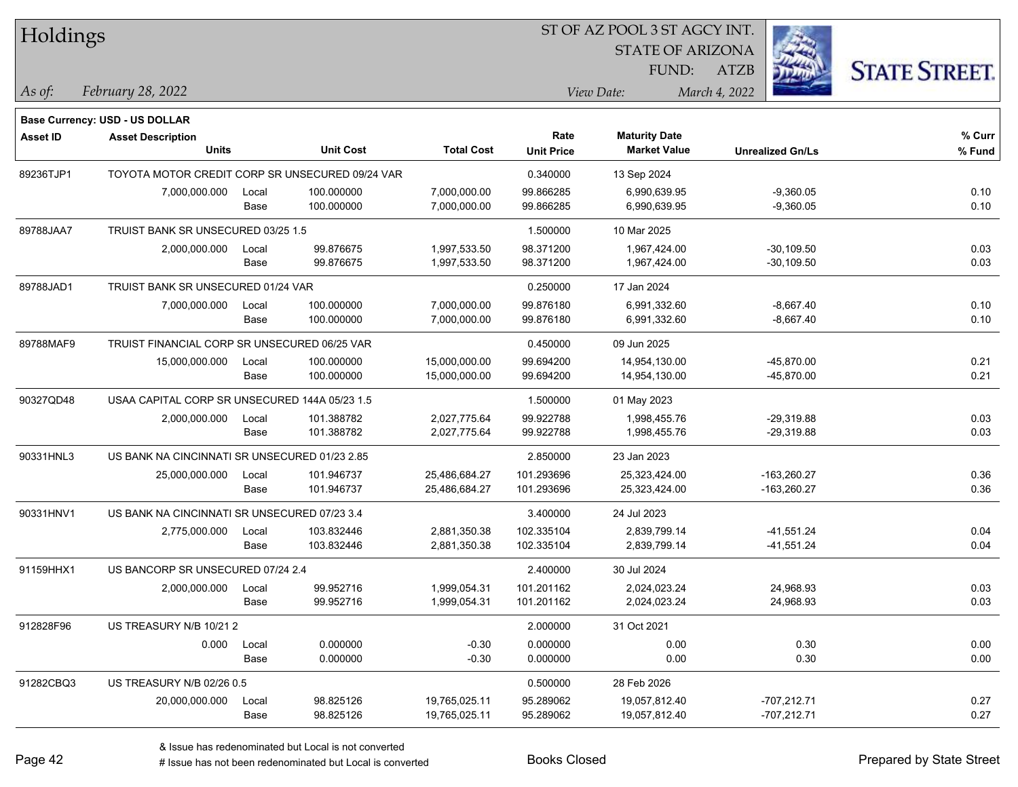| Holdings |  |
|----------|--|
|----------|--|

STATE OF ARIZONA FUND:



*February 28, 2022 As of: View Date: March 4, 2022*

ATZB

|           | <b>Base Currency: USD - US DOLLAR</b>         |                                                 |                  |                   |                   |                      |                         |        |
|-----------|-----------------------------------------------|-------------------------------------------------|------------------|-------------------|-------------------|----------------------|-------------------------|--------|
| Asset ID  | <b>Asset Description</b>                      |                                                 |                  |                   | Rate              | <b>Maturity Date</b> |                         | % Curr |
|           | <b>Units</b>                                  |                                                 | <b>Unit Cost</b> | <b>Total Cost</b> | <b>Unit Price</b> | <b>Market Value</b>  | <b>Unrealized Gn/Ls</b> | % Fund |
| 89236TJP1 |                                               | TOYOTA MOTOR CREDIT CORP SR UNSECURED 09/24 VAR |                  |                   | 0.340000          | 13 Sep 2024          |                         |        |
|           | 7,000,000.000                                 | Local                                           | 100.000000       | 7,000,000.00      | 99.866285         | 6,990,639.95         | $-9,360.05$             | 0.10   |
|           |                                               | Base                                            | 100.000000       | 7,000,000.00      | 99.866285         | 6,990,639.95         | $-9,360.05$             | 0.10   |
| 89788JAA7 | TRUIST BANK SR UNSECURED 03/25 1.5            |                                                 |                  |                   | 1.500000          | 10 Mar 2025          |                         |        |
|           | 2,000,000.000                                 | Local                                           | 99.876675        | 1,997,533.50      | 98.371200         | 1,967,424.00         | $-30,109.50$            | 0.03   |
|           |                                               | Base                                            | 99.876675        | 1,997,533.50      | 98.371200         | 1,967,424.00         | $-30,109.50$            | 0.03   |
| 89788JAD1 | TRUIST BANK SR UNSECURED 01/24 VAR            |                                                 |                  |                   | 0.250000          | 17 Jan 2024          |                         |        |
|           | 7,000,000.000                                 | Local                                           | 100.000000       | 7,000,000.00      | 99.876180         | 6,991,332.60         | $-8,667.40$             | 0.10   |
|           |                                               | Base                                            | 100.000000       | 7,000,000.00      | 99.876180         | 6,991,332.60         | $-8,667.40$             | 0.10   |
| 89788MAF9 | TRUIST FINANCIAL CORP SR UNSECURED 06/25 VAR  |                                                 |                  |                   | 0.450000          | 09 Jun 2025          |                         |        |
|           | 15,000,000.000                                | Local                                           | 100.000000       | 15,000,000.00     | 99.694200         | 14,954,130.00        | -45,870.00              | 0.21   |
|           |                                               | Base                                            | 100.000000       | 15,000,000.00     | 99.694200         | 14,954,130.00        | $-45,870.00$            | 0.21   |
| 90327QD48 | USAA CAPITAL CORP SR UNSECURED 144A 05/23 1.5 |                                                 |                  |                   | 1.500000          | 01 May 2023          |                         |        |
|           | 2,000,000.000                                 | Local                                           | 101.388782       | 2,027,775.64      | 99.922788         | 1,998,455.76         | -29,319.88              | 0.03   |
|           |                                               | Base                                            | 101.388782       | 2,027,775.64      | 99.922788         | 1,998,455.76         | $-29,319.88$            | 0.03   |
| 90331HNL3 | US BANK NA CINCINNATI SR UNSECURED 01/23 2.85 |                                                 |                  |                   | 2.850000          | 23 Jan 2023          |                         |        |
|           | 25,000,000.000                                | Local                                           | 101.946737       | 25,486,684.27     | 101.293696        | 25,323,424.00        | $-163,260.27$           | 0.36   |
|           |                                               | Base                                            | 101.946737       | 25,486,684.27     | 101.293696        | 25,323,424.00        | $-163,260.27$           | 0.36   |
| 90331HNV1 | US BANK NA CINCINNATI SR UNSECURED 07/23 3.4  |                                                 |                  |                   | 3.400000          | 24 Jul 2023          |                         |        |
|           | 2,775,000.000                                 | Local                                           | 103.832446       | 2,881,350.38      | 102.335104        | 2,839,799.14         | $-41,551.24$            | 0.04   |
|           |                                               | Base                                            | 103.832446       | 2,881,350.38      | 102.335104        | 2,839,799.14         | $-41,551.24$            | 0.04   |
| 91159HHX1 | US BANCORP SR UNSECURED 07/24 2.4             |                                                 |                  |                   | 2.400000          | 30 Jul 2024          |                         |        |
|           | 2,000,000.000                                 | Local                                           | 99.952716        | 1,999,054.31      | 101.201162        | 2,024,023.24         | 24,968.93               | 0.03   |
|           |                                               | Base                                            | 99.952716        | 1,999,054.31      | 101.201162        | 2,024,023.24         | 24,968.93               | 0.03   |
| 912828F96 | US TREASURY N/B 10/212                        |                                                 |                  |                   | 2.000000          | 31 Oct 2021          |                         |        |
|           | 0.000                                         | Local                                           | 0.000000         | $-0.30$           | 0.000000          | 0.00                 | 0.30                    | 0.00   |
|           |                                               | Base                                            | 0.000000         | $-0.30$           | 0.000000          | 0.00                 | 0.30                    | 0.00   |
| 91282CBQ3 | US TREASURY N/B 02/26 0.5                     |                                                 |                  |                   | 0.500000          | 28 Feb 2026          |                         |        |
|           | 20,000,000.000                                | Local                                           | 98.825126        | 19,765,025.11     | 95.289062         | 19,057,812.40        | -707,212.71             | 0.27   |
|           |                                               | Base                                            | 98.825126        | 19,765,025.11     | 95.289062         | 19,057,812.40        | $-707,212.71$           | 0.27   |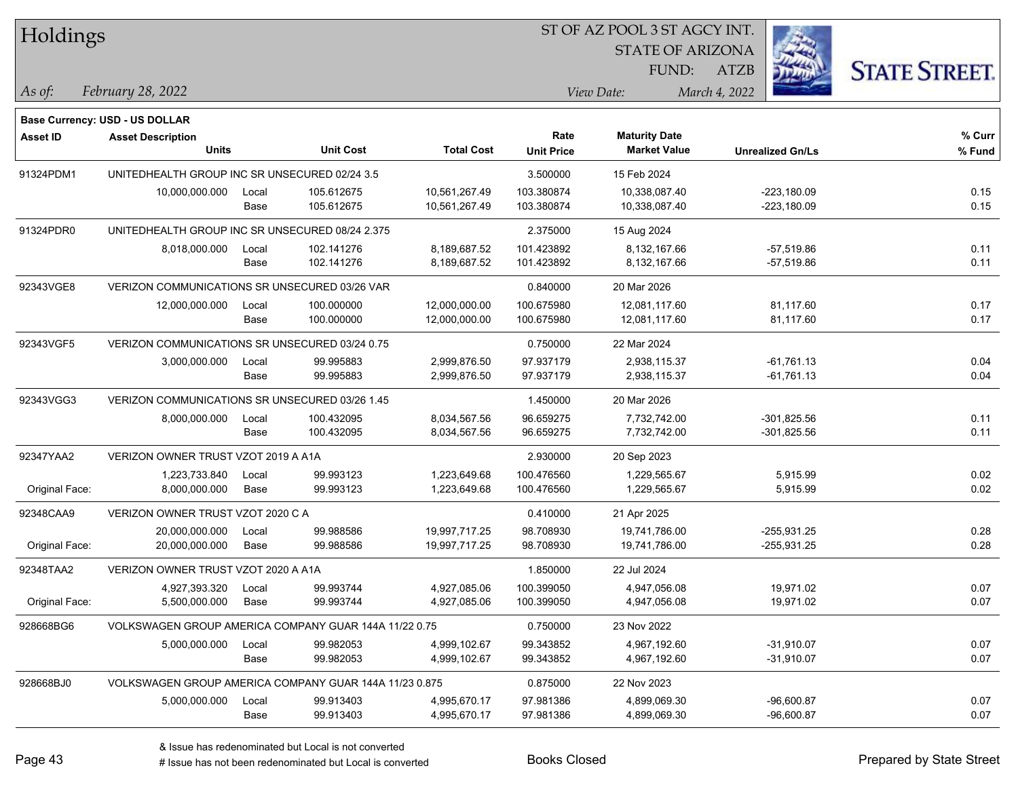|                 | Holdings                                               |       |                  |                   |                   | SI OF AZ POOL 3 SI AGCY INI. |                         |                      |
|-----------------|--------------------------------------------------------|-------|------------------|-------------------|-------------------|------------------------------|-------------------------|----------------------|
|                 |                                                        |       |                  |                   |                   | <b>STATE OF ARIZONA</b>      |                         |                      |
|                 |                                                        |       |                  |                   |                   | FUND:                        | <b>ATZB</b>             | <b>STATE STREET.</b> |
| As of:          | February 28, 2022                                      |       |                  |                   |                   | View Date:                   | March 4, 2022           |                      |
|                 | <b>Base Currency: USD - US DOLLAR</b>                  |       |                  |                   |                   |                              |                         |                      |
| <b>Asset ID</b> | <b>Asset Description</b>                               |       |                  |                   | Rate              | <b>Maturity Date</b>         |                         | % Curr               |
|                 | <b>Units</b>                                           |       | <b>Unit Cost</b> | <b>Total Cost</b> | <b>Unit Price</b> | <b>Market Value</b>          | <b>Unrealized Gn/Ls</b> | % Fund               |
| 91324PDM1       | UNITEDHEALTH GROUP INC SR UNSECURED 02/24 3.5          |       |                  |                   | 3.500000          | 15 Feb 2024                  |                         |                      |
|                 | 10,000,000.000                                         | Local | 105.612675       | 10,561,267.49     | 103.380874        | 10,338,087.40                | $-223,180.09$           | 0.15                 |
|                 |                                                        | Base  | 105.612675       | 10,561,267.49     | 103.380874        | 10,338,087.40                | $-223,180.09$           | 0.15                 |
| 91324PDR0       | UNITEDHEALTH GROUP INC SR UNSECURED 08/24 2.375        |       |                  |                   | 2.375000          | 15 Aug 2024                  |                         |                      |
|                 | 8,018,000.000                                          | Local | 102.141276       | 8,189,687.52      | 101.423892        | 8,132,167.66                 | $-57,519.86$            | 0.11                 |
|                 |                                                        | Base  | 102.141276       | 8,189,687.52      | 101.423892        | 8,132,167.66                 | $-57,519.86$            | 0.11                 |
| 92343VGE8       | VERIZON COMMUNICATIONS SR UNSECURED 03/26 VAR          |       |                  |                   | 0.840000          | 20 Mar 2026                  |                         |                      |
|                 | 12,000,000.000                                         | Local | 100.000000       | 12,000,000.00     | 100.675980        | 12,081,117.60                | 81,117.60               | 0.17                 |
|                 |                                                        | Base  | 100.000000       | 12,000,000.00     | 100.675980        | 12,081,117.60                | 81,117.60               | 0.17                 |
| 92343VGF5       | VERIZON COMMUNICATIONS SR UNSECURED 03/24 0.75         |       |                  |                   | 0.750000          | 22 Mar 2024                  |                         |                      |
|                 | 3,000,000.000                                          | Local | 99.995883        | 2,999,876.50      | 97.937179         | 2,938,115.37                 | $-61,761.13$            | 0.04                 |
|                 |                                                        | Base  | 99.995883        | 2,999,876.50      | 97.937179         | 2,938,115.37                 | $-61,761.13$            | 0.04                 |
| 92343VGG3       | VERIZON COMMUNICATIONS SR UNSECURED 03/26 1.45         |       |                  |                   | 1.450000          | 20 Mar 2026                  |                         |                      |
|                 | 8,000,000.000                                          | Local | 100.432095       | 8,034,567.56      | 96.659275         | 7,732,742.00                 | $-301,825.56$           | 0.11                 |
|                 |                                                        | Base  | 100.432095       | 8,034,567.56      | 96.659275         | 7,732,742.00                 | $-301,825.56$           | 0.11                 |
| 92347YAA2       | VERIZON OWNER TRUST VZOT 2019 A A1A                    |       |                  |                   | 2.930000          | 20 Sep 2023                  |                         |                      |
|                 | 1,223,733.840                                          | Local | 99.993123        | 1,223,649.68      | 100.476560        | 1,229,565.67                 | 5,915.99                | 0.02                 |
| Original Face:  | 8,000,000.000                                          | Base  | 99.993123        | 1,223,649.68      | 100.476560        | 1,229,565.67                 | 5,915.99                | 0.02                 |
| 92348CAA9       | VERIZON OWNER TRUST VZOT 2020 C A                      |       |                  |                   | 0.410000          | 21 Apr 2025                  |                         |                      |
|                 | 20,000,000.000                                         | Local | 99.988586        | 19,997,717.25     | 98.708930         | 19,741,786.00                | $-255,931.25$           | 0.28                 |
| Original Face:  | 20,000,000.000                                         | Base  | 99.988586        | 19,997,717.25     | 98.708930         | 19,741,786.00                | $-255,931.25$           | 0.28                 |
| 92348TAA2       | VERIZON OWNER TRUST VZOT 2020 A A1A                    |       |                  |                   | 1.850000          | 22 Jul 2024                  |                         |                      |
|                 | 4,927,393.320                                          | Local | 99.993744        | 4,927,085.06      | 100.399050        | 4,947,056.08                 | 19,971.02               | 0.07                 |
| Original Face:  | 5,500,000.000                                          | Base  | 99.993744        | 4,927,085.06      | 100.399050        | 4,947,056.08                 | 19,971.02               | 0.07                 |
| 928668BG6       | VOLKSWAGEN GROUP AMERICA COMPANY GUAR 144A 11/22 0.75  |       |                  |                   | 0.750000          | 23 Nov 2022                  |                         |                      |
|                 | 5,000,000.000                                          | Local | 99.982053        | 4,999,102.67      | 99.343852         | 4,967,192.60                 | $-31,910.07$            | 0.07                 |
|                 |                                                        | Base  | 99.982053        | 4,999,102.67      | 99.343852         | 4,967,192.60                 | $-31,910.07$            | 0.07                 |
| 928668BJ0       | VOLKSWAGEN GROUP AMERICA COMPANY GUAR 144A 11/23 0.875 |       |                  |                   | 0.875000          | 22 Nov 2023                  |                         |                      |
|                 | 5,000,000.000                                          | Local | 99.913403        | 4,995,670.17      | 97.981386         | 4,899,069.30                 | $-96,600.87$            | 0.07                 |
|                 |                                                        | Base  | 99.913403        | 4,995,670.17      | 97.981386         | 4,899,069.30                 | $-96,600.87$            | 0.07                 |

 $\overline{\text{SUSY}}$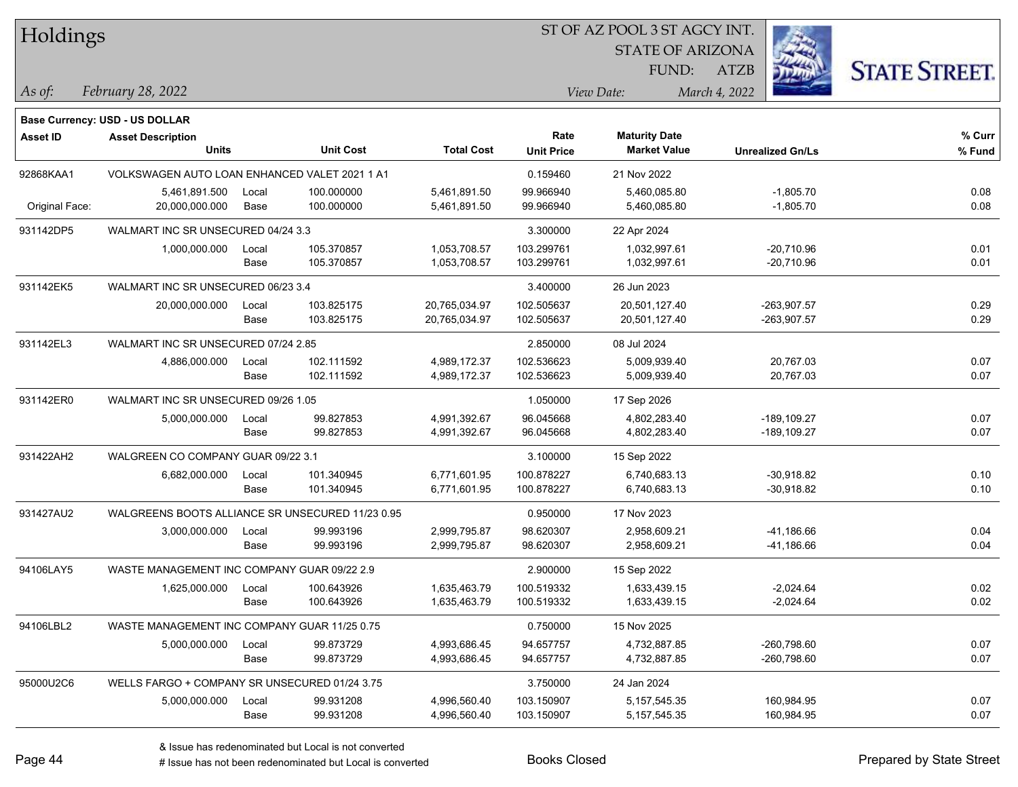| Holdings        |                                                  |       |                  |                   |                   | ST OF AZ POOL 3 ST AGCY INT. |                         |                      |  |
|-----------------|--------------------------------------------------|-------|------------------|-------------------|-------------------|------------------------------|-------------------------|----------------------|--|
|                 |                                                  |       |                  |                   |                   | <b>STATE OF ARIZONA</b>      |                         |                      |  |
|                 |                                                  |       |                  |                   |                   | FUND:                        | <b>ATZB</b>             | <b>STATE STREET.</b> |  |
| $\vert$ As of:  | February 28, 2022                                |       |                  |                   |                   | View Date:                   | March 4, 2022           |                      |  |
|                 | <b>Base Currency: USD - US DOLLAR</b>            |       |                  |                   |                   |                              |                         |                      |  |
| <b>Asset ID</b> | <b>Asset Description</b>                         |       |                  |                   | Rate              | <b>Maturity Date</b>         |                         | % Curr               |  |
|                 | Units                                            |       | <b>Unit Cost</b> | <b>Total Cost</b> | <b>Unit Price</b> | <b>Market Value</b>          | <b>Unrealized Gn/Ls</b> | % Fund               |  |
| 92868KAA1       | VOLKSWAGEN AUTO LOAN ENHANCED VALET 2021 1 A1    |       |                  |                   | 0.159460          | 21 Nov 2022                  |                         |                      |  |
|                 | 5,461,891.500                                    | Local | 100.000000       | 5,461,891.50      | 99.966940         | 5,460,085.80                 | $-1,805.70$             | 0.08                 |  |
| Original Face:  | 20,000,000.000                                   | Base  | 100.000000       | 5,461,891.50      | 99.966940         | 5,460,085.80                 | $-1,805.70$             | 0.08                 |  |
| 931142DP5       | WALMART INC SR UNSECURED 04/24 3.3               |       |                  |                   | 3.300000          | 22 Apr 2024                  |                         |                      |  |
|                 | 1,000,000.000                                    | Local | 105.370857       | 1,053,708.57      | 103.299761        | 1,032,997.61                 | $-20,710.96$            | 0.01                 |  |
|                 |                                                  | Base  | 105.370857       | 1,053,708.57      | 103.299761        | 1,032,997.61                 | $-20,710.96$            | 0.01                 |  |
| 931142EK5       | WALMART INC SR UNSECURED 06/23 3.4               |       |                  |                   | 3.400000          | 26 Jun 2023                  |                         |                      |  |
|                 | 20,000,000.000                                   | Local | 103.825175       | 20,765,034.97     | 102.505637        | 20,501,127.40                | $-263,907.57$           | 0.29                 |  |
|                 |                                                  | Base  | 103.825175       | 20,765,034.97     | 102.505637        | 20,501,127.40                | -263,907.57             | 0.29                 |  |
| 931142EL3       | WALMART INC SR UNSECURED 07/24 2.85              |       |                  |                   | 2.850000          | 08 Jul 2024                  |                         |                      |  |
|                 | 4,886,000.000                                    | Local | 102.111592       | 4,989,172.37      | 102.536623        | 5,009,939.40                 | 20,767.03               | 0.07                 |  |
|                 |                                                  | Base  | 102.111592       | 4,989,172.37      | 102.536623        | 5,009,939.40                 | 20,767.03               | 0.07                 |  |
| 931142ER0       | WALMART INC SR UNSECURED 09/26 1.05              |       |                  |                   | 1.050000          | 17 Sep 2026                  |                         |                      |  |
|                 | 5,000,000.000                                    | Local | 99.827853        | 4,991,392.67      | 96.045668         | 4,802,283.40                 | -189,109.27             | 0.07                 |  |
|                 |                                                  | Base  | 99.827853        | 4,991,392.67      | 96.045668         | 4,802,283.40                 | -189,109.27             | 0.07                 |  |
| 931422AH2       | WALGREEN CO COMPANY GUAR 09/22 3.1               |       |                  |                   | 3.100000          | 15 Sep 2022                  |                         |                      |  |
|                 | 6,682,000.000                                    | Local | 101.340945       | 6,771,601.95      | 100.878227        | 6,740,683.13                 | $-30,918.82$            | 0.10                 |  |
|                 |                                                  | Base  | 101.340945       | 6,771,601.95      | 100.878227        | 6,740,683.13                 | $-30,918.82$            | 0.10                 |  |
| 931427AU2       | WALGREENS BOOTS ALLIANCE SR UNSECURED 11/23 0.95 |       |                  |                   | 0.950000          | 17 Nov 2023                  |                         |                      |  |
|                 | 3,000,000.000                                    | Local | 99.993196        | 2,999,795.87      | 98.620307         | 2,958,609.21                 | $-41,186.66$            | 0.04                 |  |
|                 |                                                  | Base  | 99.993196        | 2,999,795.87      | 98.620307         | 2,958,609.21                 | -41,186.66              | 0.04                 |  |
| 94106LAY5       | WASTE MANAGEMENT INC COMPANY GUAR 09/22 2.9      |       |                  |                   | 2.900000          | 15 Sep 2022                  |                         |                      |  |
|                 | 1,625,000.000                                    | Local | 100.643926       | 1,635,463.79      | 100.519332        | 1,633,439.15                 | $-2,024.64$             | 0.02                 |  |
|                 |                                                  | Base  | 100.643926       | 1,635,463.79      | 100.519332        | 1,633,439.15                 | $-2,024.64$             | 0.02                 |  |
| 94106LBL2       | WASTE MANAGEMENT INC COMPANY GUAR 11/25 0.75     |       |                  |                   | 0.750000          | 15 Nov 2025                  |                         |                      |  |
|                 | 5,000,000.000                                    | Local | 99.873729        | 4,993,686.45      | 94.657757         | 4,732,887.85                 | $-260,798.60$           | 0.07                 |  |
|                 |                                                  | Base  | 99.873729        | 4,993,686.45      | 94.657757         | 4,732,887.85                 | $-260,798.60$           | 0.07                 |  |
| 95000U2C6       | WELLS FARGO + COMPANY SR UNSECURED 01/24 3.75    |       |                  |                   | 3.750000          | 24 Jan 2024                  |                         |                      |  |
|                 | 5,000,000.000                                    | Local | 99.931208        | 4,996,560.40      | 103.150907        | 5, 157, 545. 35              | 160,984.95              | 0.07                 |  |
|                 |                                                  | Base  | 99.931208        | 4,996,560.40      | 103.150907        | 5, 157, 545. 35              | 160,984.95              | 0.07                 |  |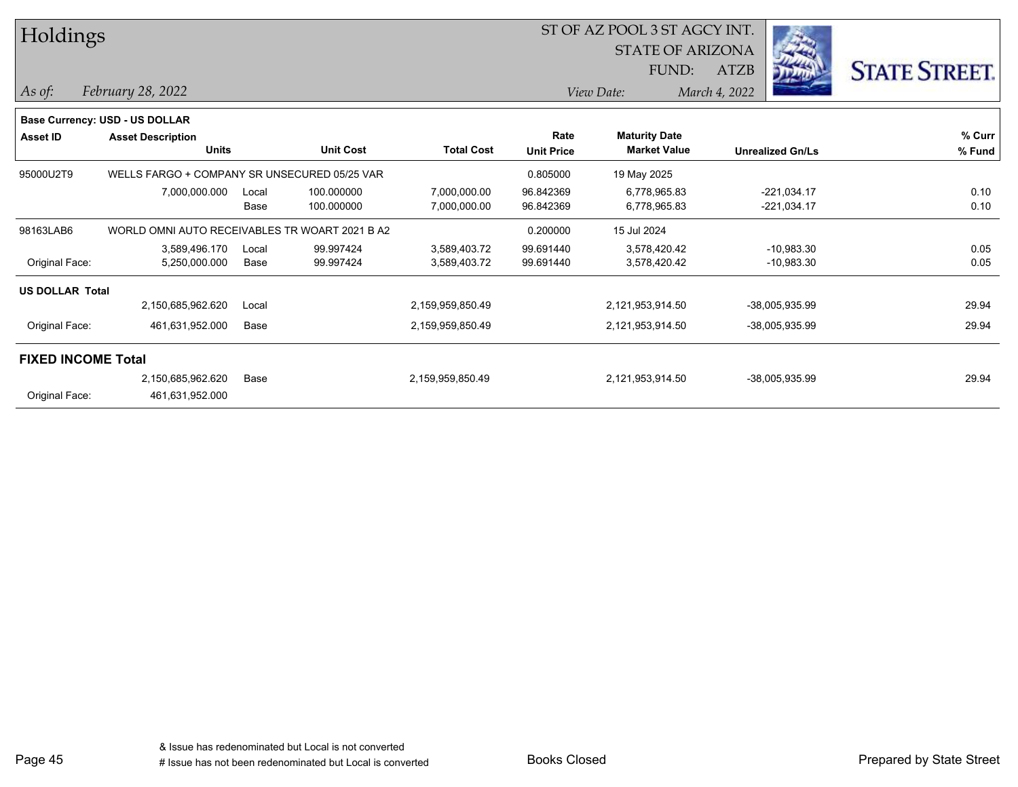| Holdings               |                                                |       |                  |                   |                   | ST OF AZ POOL 3 ST AGCY INT. |                         |                      |  |  |
|------------------------|------------------------------------------------|-------|------------------|-------------------|-------------------|------------------------------|-------------------------|----------------------|--|--|
|                        |                                                |       |                  |                   |                   | <b>STATE OF ARIZONA</b>      |                         |                      |  |  |
|                        |                                                |       |                  |                   |                   | FUND:                        | <b>ATZB</b>             | <b>STATE STREET.</b> |  |  |
| As of:                 | February 28, 2022                              |       |                  |                   |                   | View Date:                   | March 4, 2022           |                      |  |  |
|                        | Base Currency: USD - US DOLLAR                 |       |                  |                   |                   |                              |                         |                      |  |  |
| <b>Asset ID</b>        | <b>Asset Description</b>                       |       |                  |                   | Rate              | <b>Maturity Date</b>         |                         | % Curr               |  |  |
|                        | <b>Units</b>                                   |       | <b>Unit Cost</b> | <b>Total Cost</b> | <b>Unit Price</b> | <b>Market Value</b>          | <b>Unrealized Gn/Ls</b> | % Fund               |  |  |
| 95000U2T9              | WELLS FARGO + COMPANY SR UNSECURED 05/25 VAR   |       |                  |                   | 0.805000          | 19 May 2025                  |                         |                      |  |  |
|                        | 7,000,000.000                                  | Local | 100.000000       | 7,000,000.00      | 96.842369         | 6,778,965.83                 | $-221,034.17$           | 0.10                 |  |  |
|                        |                                                | Base  | 100.000000       | 7,000,000.00      | 96.842369         | 6,778,965.83                 | $-221,034.17$           | 0.10                 |  |  |
| 98163LAB6              | WORLD OMNI AUTO RECEIVABLES TR WOART 2021 B A2 |       |                  |                   | 0.200000          | 15 Jul 2024                  |                         |                      |  |  |
|                        | 3,589,496.170                                  | Local | 99.997424        | 3,589,403.72      | 99.691440         | 3,578,420.42                 | $-10,983.30$            | 0.05                 |  |  |
| Original Face:         | 5,250,000.000                                  | Base  | 99.997424        | 3,589,403.72      | 99.691440         | 3,578,420.42                 | $-10,983.30$            | 0.05                 |  |  |
| <b>US DOLLAR Total</b> |                                                |       |                  |                   |                   |                              |                         |                      |  |  |
|                        | 2,150,685,962.620                              | Local |                  | 2,159,959,850.49  |                   | 2,121,953,914.50             | -38,005,935.99          | 29.94                |  |  |
| Original Face:         | 461,631,952.000                                | Base  |                  | 2,159,959,850.49  |                   | 2,121,953,914.50             | -38,005,935.99          | 29.94                |  |  |
|                        | <b>FIXED INCOME Total</b>                      |       |                  |                   |                   |                              |                         |                      |  |  |
|                        | 2,150,685,962.620                              | Base  |                  | 2,159,959,850.49  |                   | 2,121,953,914.50             | -38,005,935.99          | 29.94                |  |  |
| Original Face:         | 461,631,952.000                                |       |                  |                   |                   |                              |                         |                      |  |  |

Page 45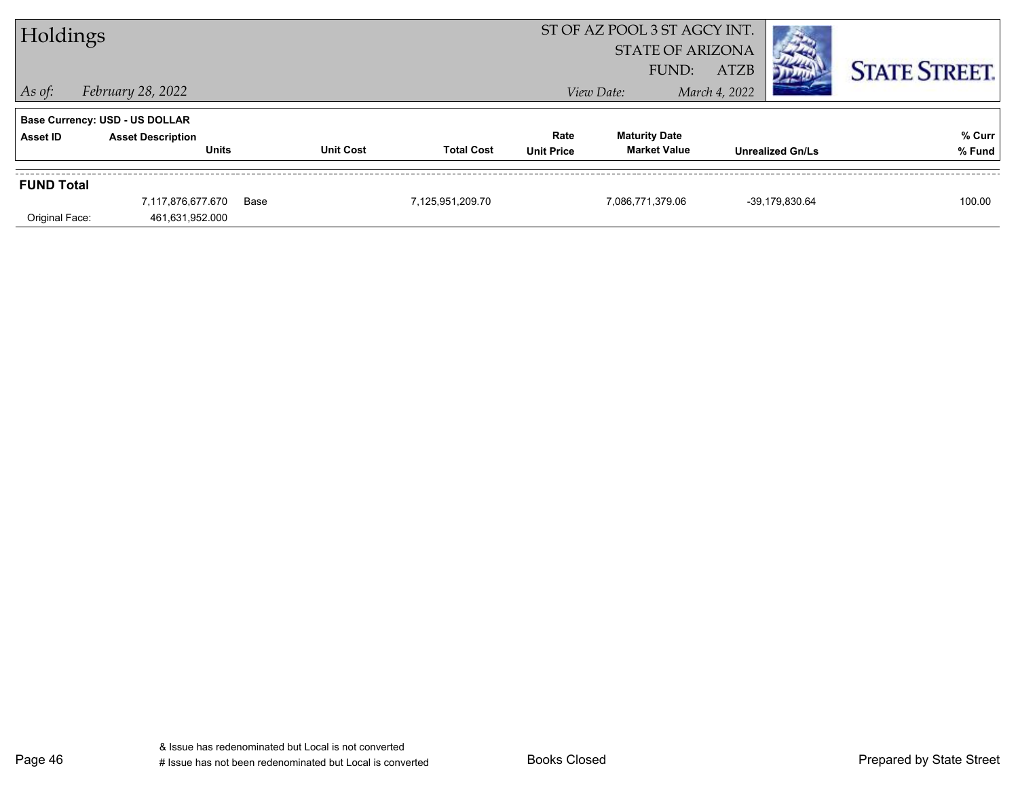| Holdings                            |                                                                                   |                  |                   |                           | ST OF AZ POOL 3 ST AGCY INT.<br><b>STATE OF ARIZONA</b> |                              |                      |
|-------------------------------------|-----------------------------------------------------------------------------------|------------------|-------------------|---------------------------|---------------------------------------------------------|------------------------------|----------------------|
| $\vert$ As of:                      | February 28, 2022                                                                 |                  |                   |                           | FUND:<br>View Date:                                     | <b>ATZB</b><br>March 4, 2022 | <b>STATE STREET.</b> |
| Asset ID                            | <b>Base Currency: USD - US DOLLAR</b><br><b>Asset Description</b><br><b>Units</b> | <b>Unit Cost</b> | <b>Total Cost</b> | Rate<br><b>Unit Price</b> | <b>Maturity Date</b><br><b>Market Value</b>             | <b>Unrealized Gn/Ls</b>      | % Curr<br>% Fund     |
| <b>FUND Total</b><br>Original Face: | 7,117,876,677.670<br>461,631,952.000                                              | Base             | 7,125,951,209.70  |                           | 7,086,771,379.06                                        | -39,179,830.64               | 100.00               |

Page 46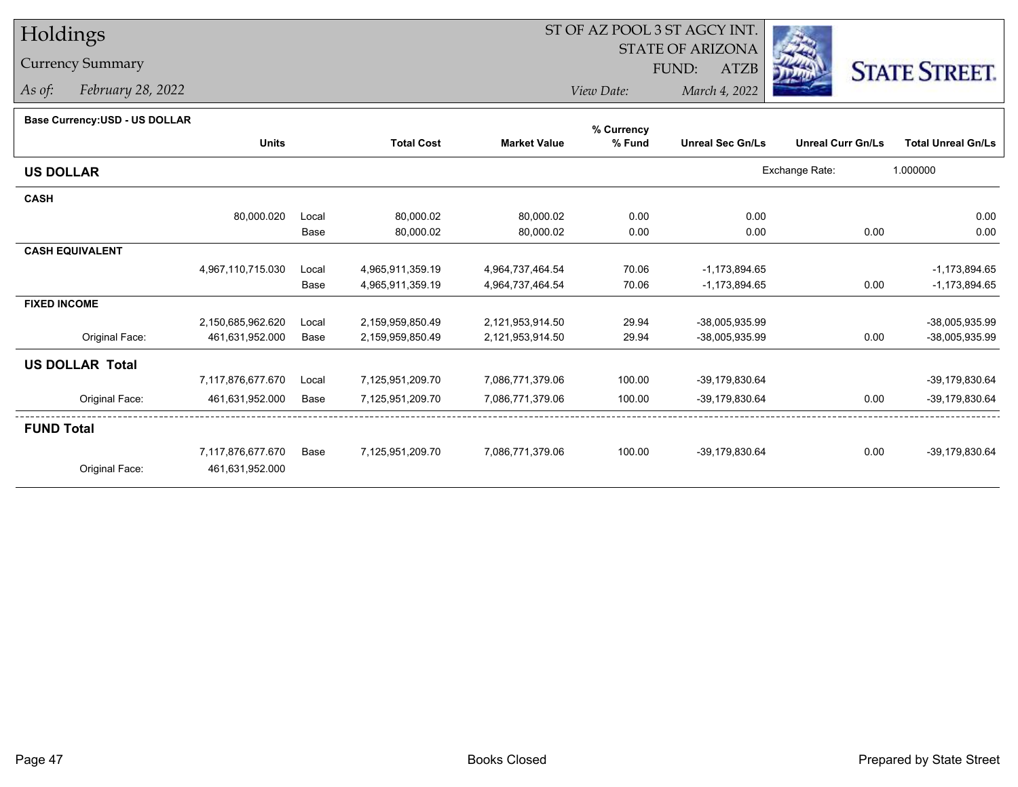## Holdings

### Currency Summary

*As of: February 28, 2022*

#### **Base Currency:USD - US DOLLAR**

|                        |                   |       |                   |                     | % Currency |                         |                          |                           |
|------------------------|-------------------|-------|-------------------|---------------------|------------|-------------------------|--------------------------|---------------------------|
|                        | <b>Units</b>      |       | <b>Total Cost</b> | <b>Market Value</b> | % Fund     | <b>Unreal Sec Gn/Ls</b> | <b>Unreal Curr Gn/Ls</b> | <b>Total Unreal Gn/Ls</b> |
| <b>US DOLLAR</b>       |                   |       |                   |                     |            |                         | Exchange Rate:           | 1.000000                  |
| <b>CASH</b>            |                   |       |                   |                     |            |                         |                          |                           |
|                        | 80,000.020        | Local | 80,000.02         | 80,000.02           | 0.00       | 0.00                    |                          | 0.00                      |
|                        |                   | Base  | 80,000.02         | 80,000.02           | 0.00       | 0.00                    | 0.00                     | 0.00                      |
| <b>CASH EQUIVALENT</b> |                   |       |                   |                     |            |                         |                          |                           |
|                        | 4,967,110,715.030 | Local | 4,965,911,359.19  | 4,964,737,464.54    | 70.06      | $-1,173,894.65$         |                          | $-1,173,894.65$           |
|                        |                   | Base  | 4,965,911,359.19  | 4,964,737,464.54    | 70.06      | $-1,173,894.65$         | 0.00                     | $-1,173,894.65$           |
| <b>FIXED INCOME</b>    |                   |       |                   |                     |            |                         |                          |                           |
|                        | 2,150,685,962.620 | Local | 2,159,959,850.49  | 2,121,953,914.50    | 29.94      | -38,005,935.99          |                          | -38,005,935.99            |
| Original Face:         | 461,631,952.000   | Base  | 2,159,959,850.49  | 2,121,953,914.50    | 29.94      | -38,005,935.99          | 0.00                     | -38,005,935.99            |
| <b>US DOLLAR Total</b> |                   |       |                   |                     |            |                         |                          |                           |
|                        | 7,117,876,677.670 | Local | 7,125,951,209.70  | 7,086,771,379.06    | 100.00     | -39,179,830.64          |                          | -39,179,830.64            |
| Original Face:         | 461,631,952.000   | Base  | 7,125,951,209.70  | 7,086,771,379.06    | 100.00     | -39,179,830.64          | 0.00                     | -39,179,830.64            |
| <b>FUND Total</b>      |                   |       |                   |                     |            |                         |                          |                           |
|                        | 7,117,876,677.670 | Base  | 7,125,951,209.70  | 7,086,771,379.06    | 100.00     | -39,179,830.64          | 0.00                     | -39,179,830.64            |
| Original Face:         | 461,631,952.000   |       |                   |                     |            |                         |                          |                           |
|                        |                   |       |                   |                     |            |                         |                          |                           |



*View Date:March 4, 2022*

STATE OF ARIZONA

FUND:

ATZB

ST OF AZ POOL 3 ST AGCY INT.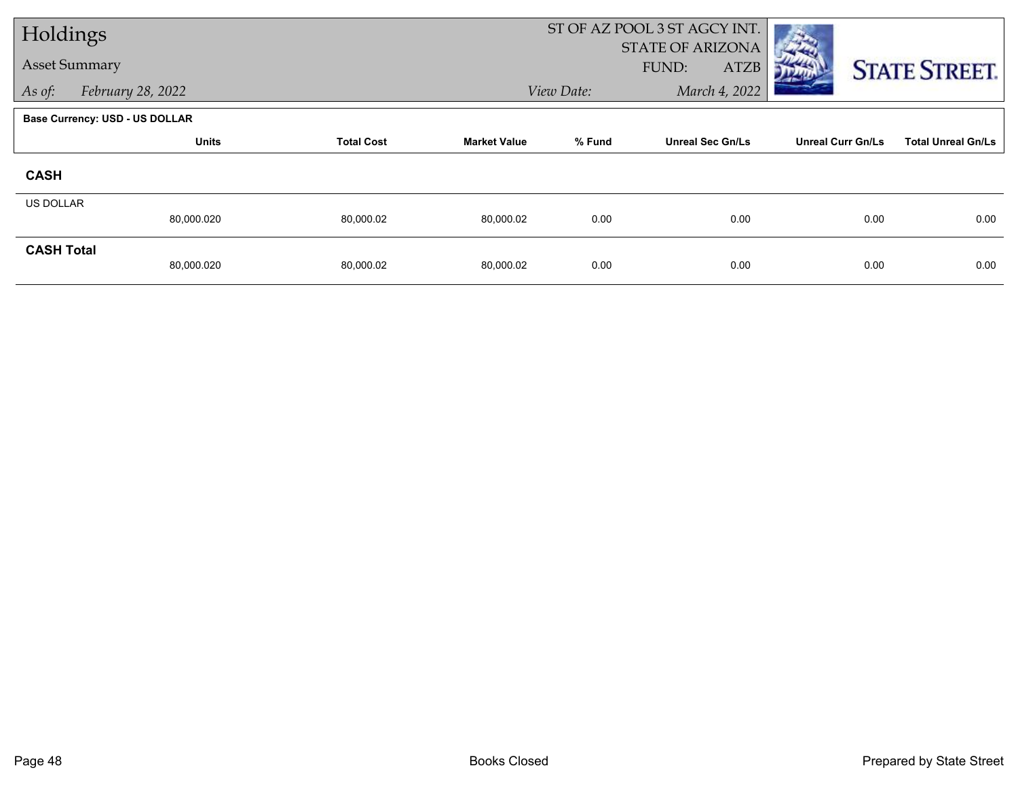| Holdings             |                                       |                   |                     | ST OF AZ POOL 3 ST AGCY INT. |                                                 |                          |                           |
|----------------------|---------------------------------------|-------------------|---------------------|------------------------------|-------------------------------------------------|--------------------------|---------------------------|
| <b>Asset Summary</b> |                                       |                   |                     |                              | <b>STATE OF ARIZONA</b><br><b>ATZB</b><br>FUND: |                          | <b>STATE STREET.</b>      |
| As of:               | February 28, 2022                     |                   |                     | View Date:                   | March 4, 2022                                   |                          |                           |
|                      | <b>Base Currency: USD - US DOLLAR</b> |                   |                     |                              |                                                 |                          |                           |
|                      | <b>Units</b>                          | <b>Total Cost</b> | <b>Market Value</b> | % Fund                       | <b>Unreal Sec Gn/Ls</b>                         | <b>Unreal Curr Gn/Ls</b> | <b>Total Unreal Gn/Ls</b> |
| <b>CASH</b>          |                                       |                   |                     |                              |                                                 |                          |                           |
| <b>US DOLLAR</b>     |                                       |                   |                     |                              |                                                 |                          |                           |
|                      | 80,000.020                            | 80,000.02         | 80,000.02           | 0.00                         | 0.00                                            | 0.00                     | 0.00                      |
| <b>CASH Total</b>    | 80,000.020                            | 80,000.02         | 80,000.02           | 0.00                         | 0.00                                            | 0.00                     | 0.00                      |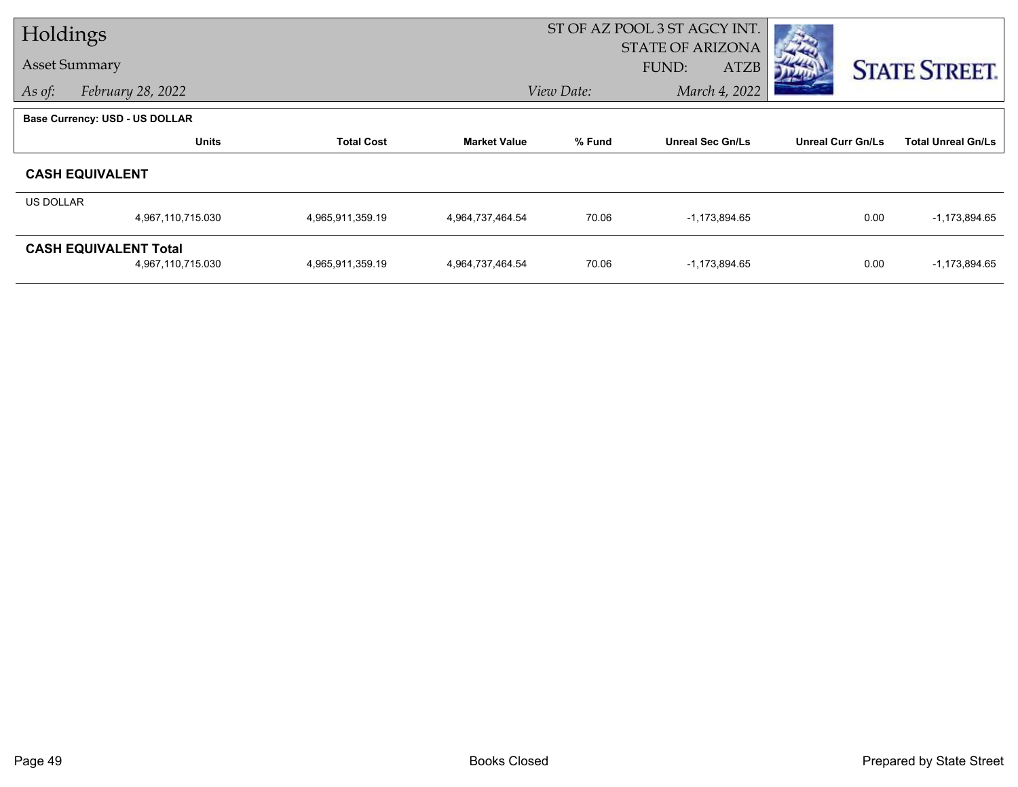| Holdings         |                                       |                   |                     | ST OF AZ POOL 3 ST AGCY INT. |                         |                          |                           |  |
|------------------|---------------------------------------|-------------------|---------------------|------------------------------|-------------------------|--------------------------|---------------------------|--|
|                  | <b>Asset Summary</b>                  |                   |                     |                              | <b>STATE OF ARIZONA</b> |                          |                           |  |
|                  |                                       |                   |                     |                              | <b>ATZB</b><br>FUND:    |                          | <b>STATE STREET.</b>      |  |
| As of:           | February 28, 2022                     |                   |                     | View Date:                   | March 4, 2022           |                          |                           |  |
|                  | <b>Base Currency: USD - US DOLLAR</b> |                   |                     |                              |                         |                          |                           |  |
|                  | <b>Units</b>                          | <b>Total Cost</b> | <b>Market Value</b> | % Fund                       | <b>Unreal Sec Gn/Ls</b> | <b>Unreal Curr Gn/Ls</b> | <b>Total Unreal Gn/Ls</b> |  |
|                  | <b>CASH EQUIVALENT</b>                |                   |                     |                              |                         |                          |                           |  |
| <b>US DOLLAR</b> |                                       |                   |                     |                              |                         |                          |                           |  |
|                  | 4,967,110,715.030                     | 4,965,911,359.19  | 4,964,737,464.54    | 70.06                        | $-1,173,894.65$         | 0.00                     | $-1,173,894.65$           |  |
|                  | <b>CASH EQUIVALENT Total</b>          |                   |                     |                              |                         |                          |                           |  |
|                  | 4,967,110,715.030                     | 4,965,911,359.19  | 4,964,737,464.54    | 70.06                        | $-1,173,894.65$         | 0.00                     | $-1,173,894.65$           |  |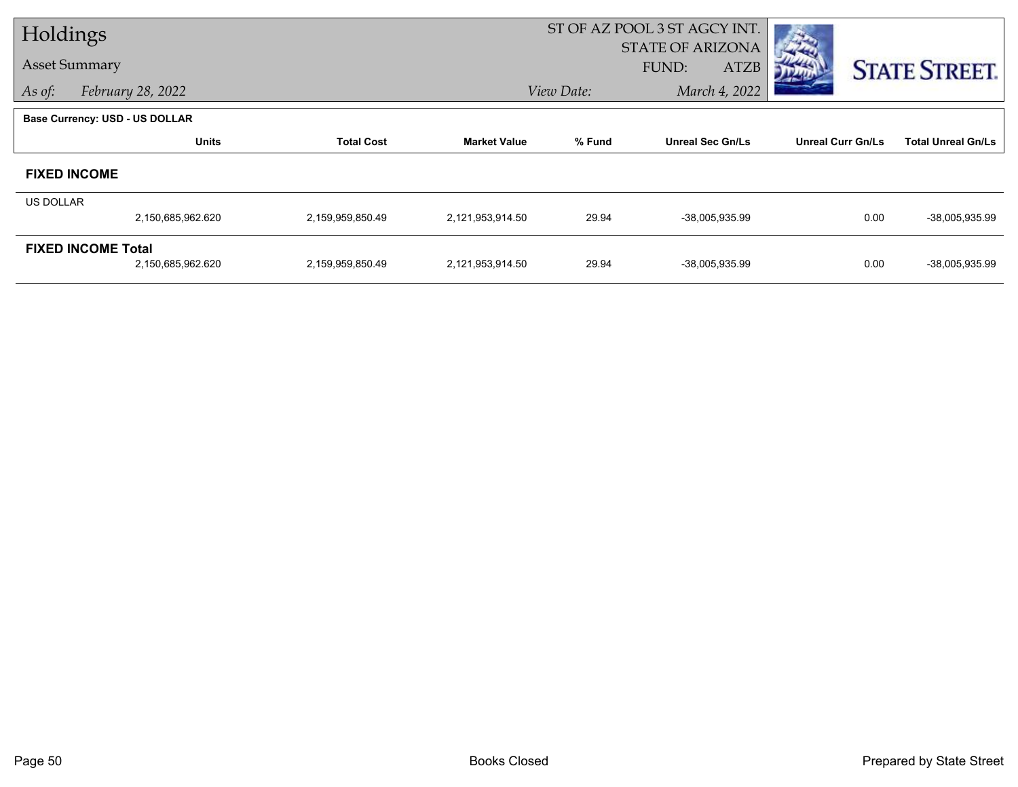| Holdings  |                                       |                   |                     |            | ST OF AZ POOL 3 ST AGCY INT.                    |                          |                           |
|-----------|---------------------------------------|-------------------|---------------------|------------|-------------------------------------------------|--------------------------|---------------------------|
|           | <b>Asset Summary</b>                  |                   |                     |            | <b>STATE OF ARIZONA</b><br>FUND:<br><b>ATZB</b> |                          |                           |
| As of:    | February 28, 2022                     |                   |                     | View Date: | March 4, 2022                                   |                          | <b>STATE STREET.</b>      |
|           |                                       |                   |                     |            |                                                 |                          |                           |
|           | <b>Base Currency: USD - US DOLLAR</b> |                   |                     |            |                                                 |                          |                           |
|           | <b>Units</b>                          | <b>Total Cost</b> | <b>Market Value</b> | % Fund     | <b>Unreal Sec Gn/Ls</b>                         | <b>Unreal Curr Gn/Ls</b> | <b>Total Unreal Gn/Ls</b> |
|           | <b>FIXED INCOME</b>                   |                   |                     |            |                                                 |                          |                           |
| US DOLLAR |                                       |                   |                     |            |                                                 |                          |                           |
|           | 2,150,685,962.620                     | 2,159,959,850.49  | 2,121,953,914.50    | 29.94      | -38,005,935.99                                  | 0.00                     | -38,005,935.99            |
|           | <b>FIXED INCOME Total</b>             |                   |                     |            |                                                 |                          |                           |
|           | 2,150,685,962.620                     | 2,159,959,850.49  | 2,121,953,914.50    | 29.94      | -38,005,935.99                                  | 0.00                     | -38,005,935.99            |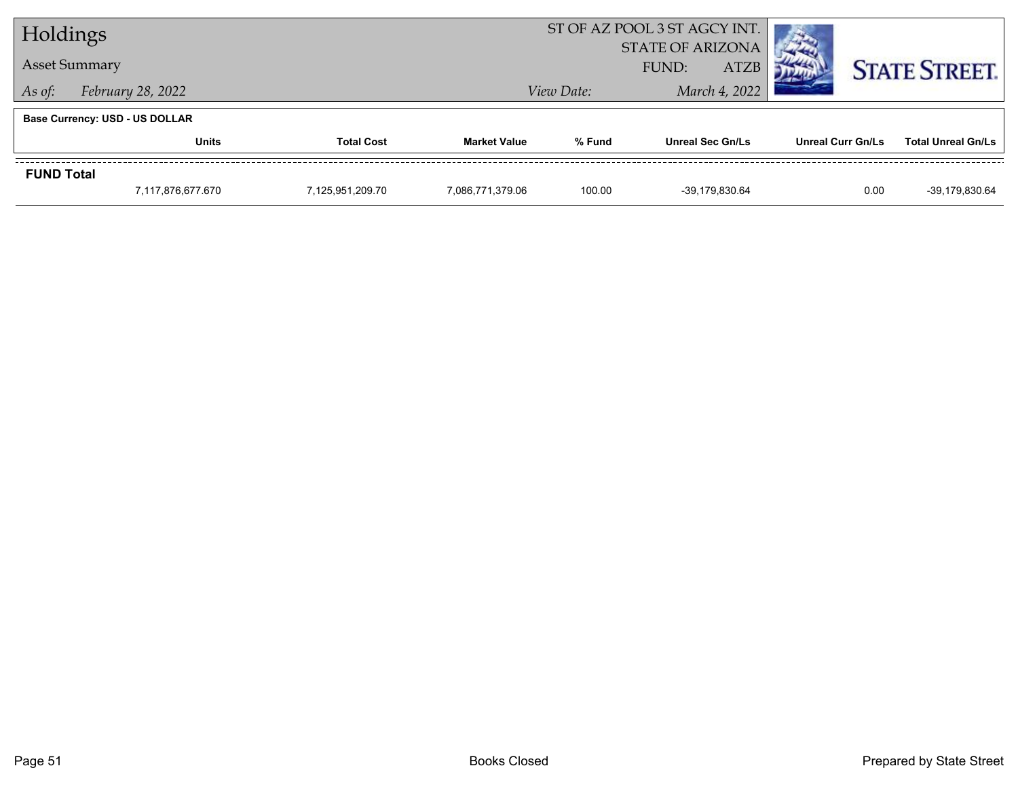| Holdings          |                                       |                   | ST OF AZ POOL 3 ST AGCY INT. |            |                                                 |                          |                           |
|-------------------|---------------------------------------|-------------------|------------------------------|------------|-------------------------------------------------|--------------------------|---------------------------|
|                   | <b>Asset Summary</b>                  |                   |                              |            | <b>STATE OF ARIZONA</b><br><b>ATZB</b><br>FUND: |                          | <b>STATE STREET.</b>      |
| As of:            | February 28, 2022                     |                   |                              | View Date: | March 4, 2022                                   |                          |                           |
|                   | <b>Base Currency: USD - US DOLLAR</b> |                   |                              |            |                                                 |                          |                           |
|                   | <b>Units</b>                          | <b>Total Cost</b> | <b>Market Value</b>          | % Fund     | <b>Unreal Sec Gn/Ls</b>                         | <b>Unreal Curr Gn/Ls</b> | <b>Total Unreal Gn/Ls</b> |
| <b>FUND Total</b> |                                       |                   |                              |            |                                                 |                          |                           |
|                   | 7.117.876.677.670                     | 7.125.951.209.70  | 7,086,771,379.06             | 100.00     | -39.179.830.64                                  | 0.00                     | -39,179,830.64            |